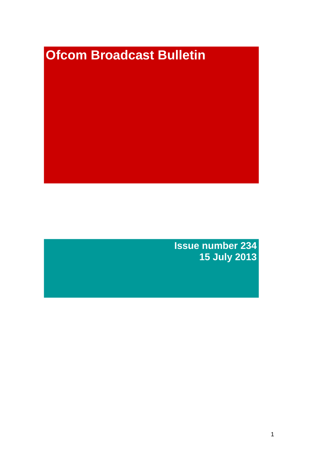# **Ofcom Broadcast Bulletin**

**Issue number 234 15 July 2013**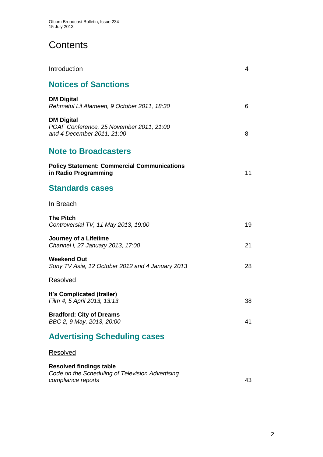# **Contents**

| Introduction                                                                                             | 4  |
|----------------------------------------------------------------------------------------------------------|----|
| <b>Notices of Sanctions</b>                                                                              |    |
| <b>DM Digital</b><br>Rehmatul Lil Alameen, 9 October 2011, 18:30                                         | 6  |
| <b>DM Digital</b><br>POAF Conference, 25 November 2011, 21:00<br>and 4 December 2011, 21:00              | 8  |
| <b>Note to Broadcasters</b>                                                                              |    |
| <b>Policy Statement: Commercial Communications</b><br>in Radio Programming                               | 11 |
| <b>Standards cases</b>                                                                                   |    |
| <u>In Breach</u>                                                                                         |    |
| <b>The Pitch</b><br>Controversial TV, 11 May 2013, 19:00                                                 | 19 |
| Journey of a Lifetime<br>Channel i, 27 January 2013, 17:00                                               | 21 |
| <b>Weekend Out</b><br>Sony TV Asia, 12 October 2012 and 4 January 2013                                   | 28 |
| Resolved                                                                                                 |    |
| It's Complicated (trailer)<br>Film 4, 5 April 2013, 13:13                                                | 38 |
| <b>Bradford: City of Dreams</b><br>BBC 2, 9 May, 2013, 20:00                                             | 41 |
| <b>Advertising Scheduling cases</b>                                                                      |    |
| Resolved                                                                                                 |    |
| <b>Resolved findings table</b><br>Code on the Scheduling of Television Advertising<br>compliance reports | 43 |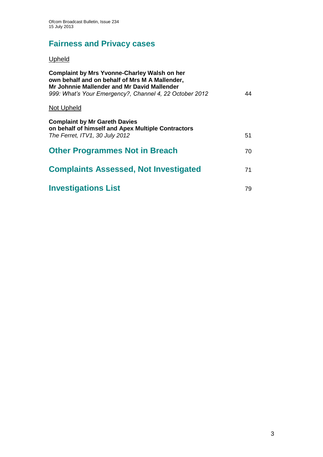# **Fairness and Privacy cases**

## Upheld

| <b>Complaint by Mrs Yvonne-Charley Walsh on her</b><br>own behalf and on behalf of Mrs M A Mallender,<br>Mr Johnnie Mallender and Mr David Mallender<br>999: What's Your Emergency?, Channel 4, 22 October 2012 | 44 |
|-----------------------------------------------------------------------------------------------------------------------------------------------------------------------------------------------------------------|----|
| Not Upheld                                                                                                                                                                                                      |    |
| <b>Complaint by Mr Gareth Davies</b><br>on behalf of himself and Apex Multiple Contractors<br>The Ferret, ITV1, 30 July 2012                                                                                    | 51 |
| <b>Other Programmes Not in Breach</b>                                                                                                                                                                           | 70 |
| <b>Complaints Assessed, Not Investigated</b>                                                                                                                                                                    | 71 |
| <b>Investigations List</b>                                                                                                                                                                                      | 79 |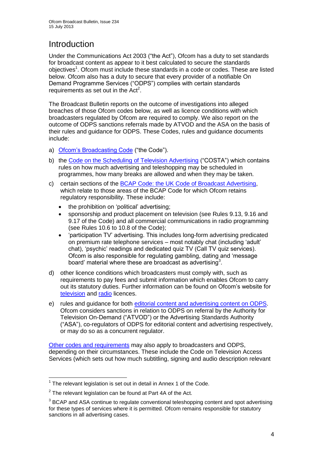# **Introduction**

Under the Communications Act 2003 ("the Act"), Ofcom has a duty to set standards for broadcast content as appear to it best calculated to secure the standards objectives<sup>1</sup>. Ofcom must include these standards in a code or codes. These are listed below. Ofcom also has a duty to secure that every provider of a notifiable On Demand Programme Services ("ODPS") complies with certain standards requirements as set out in the  $Act<sup>2</sup>$ .

The Broadcast Bulletin reports on the outcome of investigations into alleged breaches of those Ofcom codes below, as well as licence conditions with which broadcasters regulated by Ofcom are required to comply. We also report on the outcome of ODPS sanctions referrals made by ATVOD and the ASA on the basis of their rules and guidance for ODPS. These Codes, rules and guidance documents include:

- a) [Ofcom's Broadcasting Code](http://stakeholders.ofcom.org.uk/broadcasting/broadcast-codes/broadcast-code/) ("the Code").
- b) the [Code on the Scheduling of Television Advertising](http://stakeholders.ofcom.org.uk/broadcasting/broadcast-codes/advert-code/) ("COSTA") which contains rules on how much advertising and teleshopping may be scheduled in programmes, how many breaks are allowed and when they may be taken.
- c) certain sections of the [BCAP Code: the UK Code of Broadcast Advertising,](http://www.bcap.org.uk/Advertising-Codes/Broadcast-HTML.aspx) which relate to those areas of the BCAP Code for which Ofcom retains regulatory responsibility. These include:
	- the prohibition on 'political' advertising:
	- sponsorship and product placement on television (see Rules 9.13, 9.16 and 9.17 of the Code) and all commercial communications in radio programming (see Rules 10.6 to 10.8 of the Code);
	- 'participation TV' advertising. This includes long-form advertising predicated on premium rate telephone services – most notably chat (including 'adult' chat), 'psychic' readings and dedicated quiz TV (Call TV quiz services). Ofcom is also responsible for regulating gambling, dating and 'message board' material where these are broadcast as advertising<sup>3</sup>.
- d) other licence conditions which broadcasters must comply with, such as requirements to pay fees and submit information which enables Ofcom to carry out its statutory duties. Further information can be found on Ofcom's website for [television](http://licensing.ofcom.org.uk/tv-broadcast-licences/) and [radio](http://licensing.ofcom.org.uk/radio-broadcast-licensing/) licences.
- e) rules and guidance for both [editorial content and advertising content on ODPS.](http://www.atvod.co.uk/uploads/files/ATVOD_Rules_and_Guidance_Ed_2.0_May_2012.pdf) Ofcom considers sanctions in relation to ODPS on referral by the Authority for Television On-Demand ("ATVOD") or the Advertising Standards Authority ("ASA"), co-regulators of ODPS for editorial content and advertising respectively, or may do so as a concurrent regulator.

[Other codes and requirements](http://stakeholders.ofcom.org.uk/broadcasting/broadcast-codes/) may also apply to broadcasters and ODPS, depending on their circumstances. These include the Code on Television Access Services (which sets out how much subtitling, signing and audio description relevant

<sup>1</sup>  $1$  The relevant legislation is set out in detail in Annex 1 of the Code.

 $2$  The relevant legislation can be found at Part 4A of the Act.

 $3$  BCAP and ASA continue to regulate conventional teleshopping content and spot advertising for these types of services where it is permitted. Ofcom remains responsible for statutory sanctions in all advertising cases.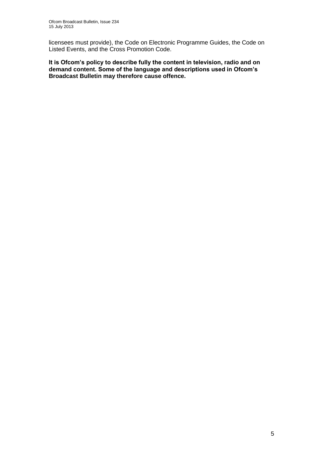licensees must provide), the Code on Electronic Programme Guides, the Code on Listed Events, and the Cross Promotion Code.

**It is Ofcom's policy to describe fully the content in television, radio and on demand content. Some of the language and descriptions used in Ofcom's Broadcast Bulletin may therefore cause offence.**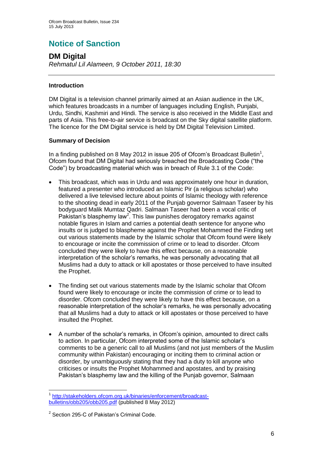# **Notice of Sanction**

## **DM Digital**

*Rehmatul Lil Alameen, 9 October 2011, 18:30*

## **Introduction**

DM Digital is a television channel primarily aimed at an Asian audience in the UK, which features broadcasts in a number of languages including English, Punjabi, Urdu, Sindhi, Kashmiri and Hindi. The service is also received in the Middle East and parts of Asia. This free-to-air service is broadcast on the Sky digital satellite platform. The licence for the DM Digital service is held by DM Digital Television Limited.

## **Summary of Decision**

In a finding published on 8 May 2012 in issue 205 of Ofcom's Broadcast Bulletin<sup>1</sup>, Ofcom found that DM Digital had seriously breached the Broadcasting Code ("the Code") by broadcasting material which was in breach of Rule 3.1 of the Code:

- This broadcast, which was in Urdu and was approximately one hour in duration, featured a presenter who introduced an Islamic Pir (a religious scholar) who delivered a live televised lecture about points of Islamic theology with reference to the shooting dead in early 2011 of the Punjab governor Salmaan Taseer by his bodyguard Malik Mumtaz Qadri. Salmaan Taseer had been a vocal critic of Pakistan's blasphemy law<sup>2</sup>. This law punishes derogatory remarks against notable figures in Islam and carries a potential death sentence for anyone who insults or is judged to blaspheme against the Prophet Mohammed the Finding set out various statements made by the Islamic scholar that Ofcom found were likely to encourage or incite the commission of crime or to lead to disorder. Ofcom concluded they were likely to have this effect because, on a reasonable interpretation of the scholar's remarks, he was personally advocating that all Muslims had a duty to attack or kill apostates or those perceived to have insulted the Prophet.
- The finding set out various statements made by the Islamic scholar that Ofcom found were likely to encourage or incite the commission of crime or to lead to disorder. Ofcom concluded they were likely to have this effect because, on a reasonable interpretation of the scholar's remarks, he was personally advocating that all Muslims had a duty to attack or kill apostates or those perceived to have insulted the Prophet.
- A number of the scholar's remarks, in Ofcom's opinion, amounted to direct calls to action. In particular, Ofcom interpreted some of the Islamic scholar's comments to be a generic call to all Muslims (and not just members of the Muslim community within Pakistan) encouraging or inciting them to criminal action or disorder, by unambiguously stating that they had a duty to kill anyone who criticises or insults the Prophet Mohammed and apostates, and by praising Pakistan's blasphemy law and the killing of the Punjab governor, Salmaan

<sup>1</sup> 1 [http://stakeholders.ofcom.org.uk/binaries/enforcement/broadcast](http://stakeholders.ofcom.org.uk/binaries/enforcement/broadcast-bulletins/obb205/obb205.pdf)[bulletins/obb205/obb205.pdf](http://stakeholders.ofcom.org.uk/binaries/enforcement/broadcast-bulletins/obb205/obb205.pdf) (published 8 May 2012)

<sup>&</sup>lt;sup>2</sup> Section 295-C of Pakistan's Criminal Code.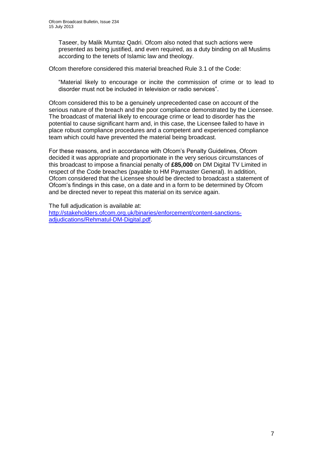Taseer, by Malik Mumtaz Qadri. Ofcom also noted that such actions were presented as being justified, and even required, as a duty binding on all Muslims according to the tenets of Islamic law and theology.

Ofcom therefore considered this material breached Rule 3.1 of the Code:

"Material likely to encourage or incite the commission of crime or to lead to disorder must not be included in television or radio services".

Ofcom considered this to be a genuinely unprecedented case on account of the serious nature of the breach and the poor compliance demonstrated by the Licensee. The broadcast of material likely to encourage crime or lead to disorder has the potential to cause significant harm and, in this case, the Licensee failed to have in place robust compliance procedures and a competent and experienced compliance team which could have prevented the material being broadcast.

For these reasons, and in accordance with Ofcom's Penalty Guidelines, Ofcom decided it was appropriate and proportionate in the very serious circumstances of this broadcast to impose a financial penalty of **£85,000** on DM Digital TV Limited in respect of the Code breaches (payable to HM Paymaster General). In addition, Ofcom considered that the Licensee should be directed to broadcast a statement of Ofcom's findings in this case, on a date and in a form to be determined by Ofcom and be directed never to repeat this material on its service again.

The full adjudication is available at:

[http://stakeholders.ofcom.org.uk/binaries/enforcement/content-sanctions](http://stakeholders.ofcom.org.uk/binaries/enforcement/content-sanctions-adjudications/Rehmatul-DM-Digital.pdf)[adjudications/Rehmatul-DM-Digital.pdf.](http://stakeholders.ofcom.org.uk/binaries/enforcement/content-sanctions-adjudications/Rehmatul-DM-Digital.pdf)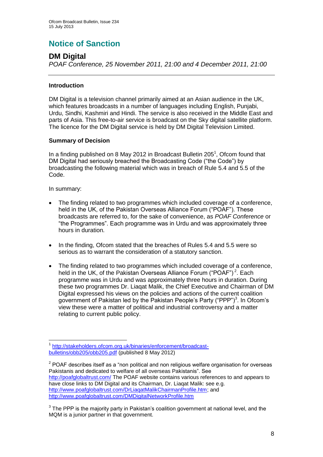# **Notice of Sanction**

## **DM Digital**

*POAF Conference, 25 November 2011, 21:00 and 4 December 2011, 21:00*

## **Introduction**

DM Digital is a television channel primarily aimed at an Asian audience in the UK, which features broadcasts in a number of languages including English, Punjabi, Urdu, Sindhi, Kashmiri and Hindi. The service is also received in the Middle East and parts of Asia. This free-to-air service is broadcast on the Sky digital satellite platform. The licence for the DM Digital service is held by DM Digital Television Limited.

## **Summary of Decision**

In a finding published on 8 May 2012 in Broadcast Bulletin 205<sup>1</sup>, Ofcom found that DM Digital had seriously breached the Broadcasting Code ("the Code") by broadcasting the following material which was in breach of Rule 5.4 and 5.5 of the Code.

In summary:

- The finding related to two programmes which included coverage of a conference, held in the UK, of the Pakistan Overseas Alliance Forum ("POAF"). These broadcasts are referred to, for the sake of convenience, as *POAF Conference* or "the Programmes". Each programme was in Urdu and was approximately three hours in duration.
- In the finding, Ofcom stated that the breaches of Rules 5.4 and 5.5 were so serious as to warrant the consideration of a statutory sanction.
- The finding related to two programmes which included coverage of a conference, held in the UK, of the Pakistan Overseas Alliance Forum ("POAF")<sup>2</sup>. Each programme was in Urdu and was approximately three hours in duration. During these two programmes Dr. Liaqat Malik, the Chief Executive and Chairman of DM Digital expressed his views on the policies and actions of the current coalition government of Pakistan led by the Pakistan People's Party ("PPP")<sup>3</sup>. In Ofcom's view these were a matter of political and industrial controversy and a matter relating to current public policy.

<sup>1</sup> 1 [http://stakeholders.ofcom.org.uk/binaries/enforcement/broadcast](http://stakeholders.ofcom.org.uk/binaries/enforcement/broadcast-bulletins/obb205/obb205.pdf)[bulletins/obb205/obb205.pdf](http://stakeholders.ofcom.org.uk/binaries/enforcement/broadcast-bulletins/obb205/obb205.pdf) (published 8 May 2012)

 $2$  POAF describes itself as a "non political and non religious welfare organisation for overseas Pakistanis and dedicated to welfare of all overseas Pakistanis". See <http://poafglobaltrust.com/> The POAF website contains various references to and appears to have close links to DM Digital and its Chairman, Dr. Liagat Malik: see e.g. [http://www.poafglobaltrust.com/DrLiaqatMalikChairmanProfile.htm;](http://www.poafglobaltrust.com/DrLiaqatMalikChairmanProfile.htm) and <http://www.poafglobaltrust.com/DMDigitalNetworkProfile.htm>

 $3$  The PPP is the majority party in Pakistan's coalition government at national level, and the MQM is a junior partner in that government.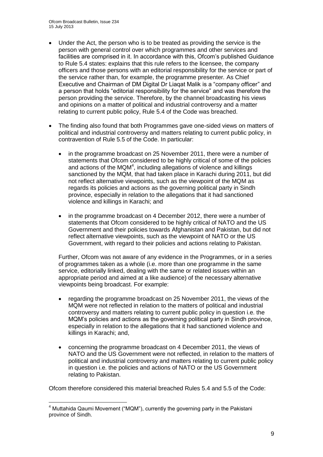- Under the Act, the person who is to be treated as providing the service is the person with general control over which programmes and other services and facilities are comprised in it. In accordance with this, Ofcom's published Guidance to Rule 5.4 states: explains that this rule refers to the licensee, the company officers and those persons with an editorial responsibility for the service or part of the service rather than, for example, the programme presenter*.* As Chief Executive and Chairman of DM Digital Dr Liaqat Malik is a "company officer" and a person that holds "editorial responsibility for the service" and was therefore the person providing the service. Therefore, by the channel broadcasting his views and opinions on a matter of political and industrial controversy and a matter relating to current public policy, Rule 5.4 of the Code was breached.
- The finding also found that both Programmes gave one-sided views on matters of political and industrial controversy and matters relating to current public policy, in contravention of Rule 5.5 of the Code. In particular:
	- in the programme broadcast on 25 November 2011, there were a number of statements that Ofcom considered to be highly critical of some of the policies and actions of the  $MQM<sup>4</sup>$ , including allegations of violence and killings sanctioned by the MQM, that had taken place in Karachi during 2011, but did not reflect alternative viewpoints, such as the viewpoint of the MQM as regards its policies and actions as the governing political party in Sindh province, especially in relation to the allegations that it had sanctioned violence and killings in Karachi; and
	- in the programme broadcast on 4 December 2012, there were a number of statements that Ofcom considered to be highly critical of NATO and the US Government and their policies towards Afghanistan and Pakistan, but did not reflect alternative viewpoints, such as the viewpoint of NATO or the US Government, with regard to their policies and actions relating to Pakistan.

Further, Ofcom was not aware of any evidence in the Programmes, or in a series of programmes taken as a whole (i.e. more than one programme in the same service, editorially linked, dealing with the same or related issues within an appropriate period and aimed at a like audience) of the necessary alternative viewpoints being broadcast. For example:

- regarding the programme broadcast on 25 November 2011, the views of the MQM were not reflected in relation to the matters of political and industrial controversy and matters relating to current public policy in question i.e. the MQM's policies and actions as the governing political party in Sindh province, especially in relation to the allegations that it had sanctioned violence and killings in Karachi; and,
- concerning the programme broadcast on 4 December 2011, the views of NATO and the US Government were not reflected, in relation to the matters of political and industrial controversy and matters relating to current public policy in question i.e. the policies and actions of NATO or the US Government relating to Pakistan.

Ofcom therefore considered this material breached Rules 5.4 and 5.5 of the Code:

1

 $4$  Muttahida Qaumi Movement ("MQM"), currently the governing party in the Pakistani province of Sindh.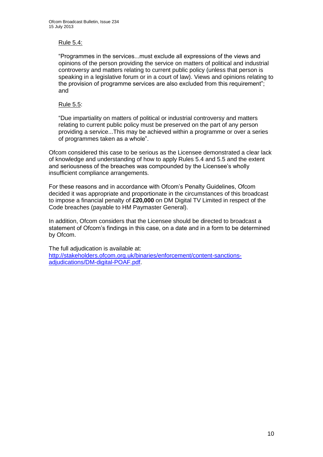## Rule 5.4:

"Programmes in the services...must exclude all expressions of the views and opinions of the person providing the service on matters of political and industrial controversy and matters relating to current public policy (unless that person is speaking in a legislative forum or in a court of law). Views and opinions relating to the provision of programme services are also excluded from this requirement"; and

## Rule 5.5:

"Due impartiality on matters of political or industrial controversy and matters relating to current public policy must be preserved on the part of any person providing a service...This may be achieved within a programme or over a series of programmes taken as a whole".

Ofcom considered this case to be serious as the Licensee demonstrated a clear lack of knowledge and understanding of how to apply Rules 5.4 and 5.5 and the extent and seriousness of the breaches was compounded by the Licensee's wholly insufficient compliance arrangements.

For these reasons and in accordance with Ofcom's Penalty Guidelines, Ofcom decided it was appropriate and proportionate in the circumstances of this broadcast to impose a financial penalty of **£20,000** on DM Digital TV Limited in respect of the Code breaches (payable to HM Paymaster General).

In addition, Ofcom considers that the Licensee should be directed to broadcast a statement of Ofcom's findings in this case, on a date and in a form to be determined by Ofcom.

The full adjudication is available at: [http://stakeholders.ofcom.org.uk/binaries/enforcement/content-sanctions](http://stakeholders.ofcom.org.uk/binaries/enforcement/content-sanctions-adjudications/DM-digital-POAF.pdf)[adjudications/DM-digital-POAF.pdf.](http://stakeholders.ofcom.org.uk/binaries/enforcement/content-sanctions-adjudications/DM-digital-POAF.pdf)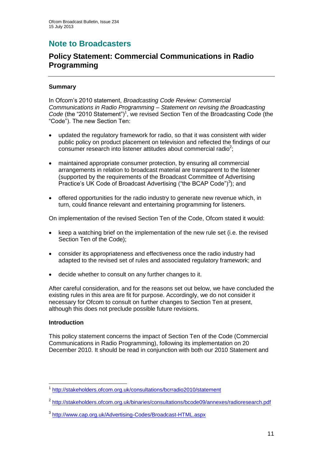# **Note to Broadcasters**

## **Policy Statement: Commercial Communications in Radio Programming**

## **1 Summary**

In Ofcom's 2010 statement, *Broadcasting Code Review: Commercial Communications in Radio Programming – Statement on revising the Broadcasting*  Code (the "2010 Statement")<sup>1</sup>, we revised Section Ten of the Broadcasting Code (the "Code"). The new Section Ten:

- updated the regulatory framework for radio, so that it was consistent with wider public policy on product placement on television and reflected the findings of our consumer research into listener attitudes about commercial radio<sup>2</sup>;
- maintained appropriate consumer protection, by ensuring all commercial arrangements in relation to broadcast material are transparent to the listener (supported by the requirements of the Broadcast Committee of Advertising Practice's UK Code of Broadcast Advertising ("the BCAP Code")<sup>3</sup>); and
- offered opportunities for the radio industry to generate new revenue which, in turn, could finance relevant and entertaining programming for listeners.

On implementation of the revised Section Ten of the Code, Ofcom stated it would:

- keep a watching brief on the implementation of the new rule set (i.e. the revised Section Ten of the Code);
- consider its appropriateness and effectiveness once the radio industry had adapted to the revised set of rules and associated regulatory framework; and
- decide whether to consult on any further changes to it.

After careful consideration, and for the reasons set out below, we have concluded the existing rules in this area are fit for purpose. Accordingly, we do not consider it necessary for Ofcom to consult on further changes to Section Ten at present, although this does not preclude possible future revisions.

## **Introduction**

This policy statement concerns the impact of Section Ten of the Code (Commercial Communications in Radio Programming), following its implementation on 20 December 2010. It should be read in conjunction with both our 2010 Statement and

 1 <http://stakeholders.ofcom.org.uk/consultations/bcrradio2010/statement>

<sup>&</sup>lt;sup>2</sup> <http://stakeholders.ofcom.org.uk/binaries/consultations/bcode09/annexes/radioresearch.pdf>

<sup>3</sup> <http://www.cap.org.uk/Advertising-Codes/Broadcast-HTML.aspx>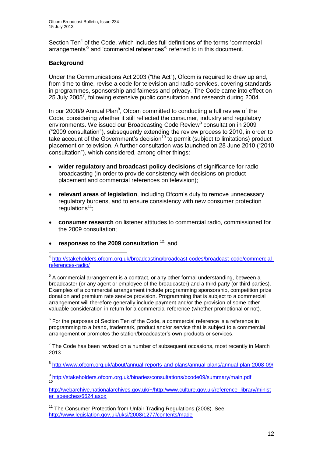Section Ten<sup>4</sup> of the Code, which includes full definitions of the terms 'commercial arrangements<sup>35</sup> and 'commercial references<sup>36</sup> referred to in this document.

## **Background**

Under the Communications Act 2003 ("the Act"), Ofcom is required to draw up and, from time to time, revise a code for television and radio services, covering standards in programmes, sponsorship and fairness and privacy. The Code came into effect on 25 July 2005<sup>7</sup>, following extensive public consultation and research during 2004.

In our 2008/9 Annual Plan $^8$ , Ofcom committed to conducting a full review of the Code, considering whether it still reflected the consumer, industry and regulatory environments. We issued our Broadcasting Code Review<sup>9</sup> consultation in 2009 ("2009 consultation"), subsequently extending the review process to 2010, in order to take account of the Government's decision<sup>10</sup> to permit (subject to limitations) product placement on television. A further consultation was launched on 28 June 2010 ("2010 consultation"), which considered, among other things:

- **wider regulatory and broadcast policy decisions** of significance for radio broadcasting (in order to provide consistency with decisions on product placement and commercial references on television);
- **relevant areas of legislation**, including Ofcom's duty to remove unnecessary regulatory burdens, and to ensure consistency with new consumer protection  $regulations<sup>11</sup>$ :
- **consumer research** on listener attitudes to commercial radio, commissioned for the 2009 consultation;
- **responses to the 2009 consultation** <sup>12</sup>; and

<u>.</u> 4 [http://stakeholders.ofcom.org.uk/broadcasting/broadcast-codes/broadcast-code/commercial](http://stakeholders.ofcom.org.uk/broadcasting/broadcast-codes/broadcast-code/commercial-references-radio/)[references-radio/](http://stakeholders.ofcom.org.uk/broadcasting/broadcast-codes/broadcast-code/commercial-references-radio/)

 $5$  A commercial arrangement is a contract, or any other formal understanding, between a broadcaster (or any agent or employee of the broadcaster) and a third party (or third parties). Examples of a commercial arrangement include programming sponsorship, competition prize donation and premium rate service provision. Programming that is subject to a commercial arrangement will therefore generally include payment and/or the provision of some other valuable consideration in return for a commercial reference (whether promotional or not).

 $6$  For the purposes of Section Ten of the Code, a commercial reference is a reference in programming to a brand, trademark, product and/or service that is subject to a commercial arrangement or promotes the station/broadcaster's own products or services.

 $7$  The Code has been revised on a number of subsequent occasions, most recently in March 2013.

<sup>8</sup> <http://www.ofcom.org.uk/about/annual-reports-and-plans/annual-plans/annual-plan-2008-09/>

9 <http://stakeholders.ofcom.org.uk/binaries/consultations/bcode09/summary/main.pdf> 10

[http://webarchive.nationalarchives.gov.uk/+/http:/www.culture.gov.uk/reference\\_library/minist](http://webarchive.nationalarchives.gov.uk/+/http:/www.culture.gov.uk/reference_library/minister_speeches/6624.aspx) [er\\_speeches/6624.aspx](http://webarchive.nationalarchives.gov.uk/+/http:/www.culture.gov.uk/reference_library/minister_speeches/6624.aspx)

<sup>11</sup> The Consumer Protection from Unfair Trading Regulations (2008). See: <http://www.legislation.gov.uk/uksi/2008/1277/contents/made>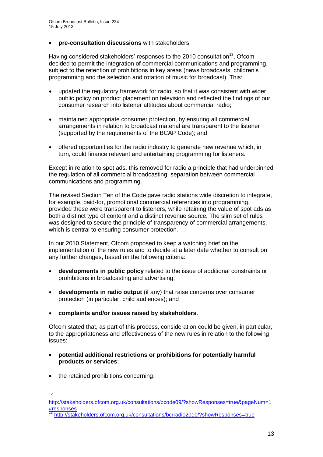**pre-consultation discussions** with stakeholders.

Having considered stakeholders' responses to the 2010 consultation<sup>13</sup>, Ofcom decided to permit the integration of commercial communications and programming, subject to the retention of prohibitions in key areas (news broadcasts, children's programming and the selection and rotation of music for broadcast). This:

- updated the regulatory framework for radio, so that it was consistent with wider public policy on product placement on television and reflected the findings of our consumer research into listener attitudes about commercial radio;
- maintained appropriate consumer protection, by ensuring all commercial arrangements in relation to broadcast material are transparent to the listener (supported by the requirements of the BCAP Code); and
- offered opportunities for the radio industry to generate new revenue which, in turn, could finance relevant and entertaining programming for listeners.

Except in relation to spot ads, this removed for radio a principle that had underpinned the regulation of all commercial broadcasting: separation between commercial communications and programming.

The revised Section Ten of the Code gave radio stations wide discretion to integrate, for example, paid-for, promotional commercial references into programming, provided these were transparent to listeners, while retaining the value of spot ads as both a distinct type of content and a distinct revenue source. The slim set of rules was designed to secure the principle of transparency of commercial arrangements, which is central to ensuring consumer protection.

In our 2010 Statement, Ofcom proposed to keep a watching brief on the implementation of the new rules and to decide at a later date whether to consult on any further changes, based on the following criteria:

- **developments in public policy** related to the issue of additional constraints or prohibitions in broadcasting and advertising;
- **developments in radio output** (if any) that raise concerns over consumer protection (in particular, child audiences); and
- **complaints and/or issues raised by stakeholders**.

Ofcom stated that, as part of this process, consideration could be given, in particular, to the appropriateness and effectiveness of the new rules in relation to the following issues:

- **potential additional restrictions or prohibitions for potentially harmful products or services**;
- the retained prohibitions concerning:

 $\frac{1}{12}$ 

[http://stakeholders.ofcom.org.uk/consultations/bcode09/?showResponses=true&pageNum=1](http://stakeholders.ofcom.org.uk/consultations/bcode09/?showResponses=true&pageNum=1#responses) [#responses](http://stakeholders.ofcom.org.uk/consultations/bcode09/?showResponses=true&pageNum=1#responses)

<http://stakeholders.ofcom.org.uk/consultations/bcrradio2010/?showResponses=true>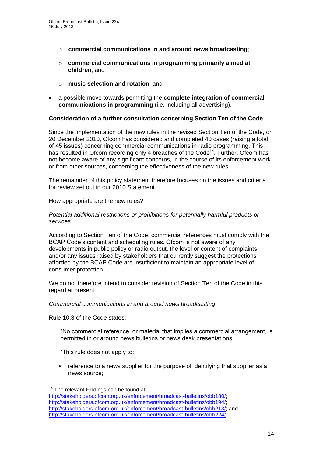- o **commercial communications in and around news broadcasting**;
- o **commercial communications in programming primarily aimed at children**; and
- o **music selection and rotation**; and
- a possible move towards permitting the **complete integration of commercial communications in programming** (i.e. including all advertising).

## **2 Consideration of a further consultation concerning Section Ten of the Code**

Since the implementation of the new rules in the revised Section Ten of the Code, on 20 December 2010, Ofcom has considered and completed 40 cases (raising a total of 45 issues) concerning commercial communications in radio programming. This has resulted in Ofcom recording only 4 breaches of the Code<sup>14</sup>. Further, Ofcom has not become aware of any significant concerns, in the course of its enforcement work or from other sources, concerning the effectiveness of the new rules.

The remainder of this policy statement therefore focuses on the issues and criteria for review set out in our 2010 Statement.

#### How appropriate are the new rules?

## *Potential additional restrictions or prohibitions for potentially harmful products or services*

According to Section Ten of the Code, commercial references must comply with the BCAP Code's content and scheduling rules. Ofcom is not aware of any developments in public policy or radio output, the level or content of complaints and/or any issues raised by stakeholders that currently suggest the protections afforded by the BCAP Code are insufficient to maintain an appropriate level of consumer protection.

We do not therefore intend to consider revision of Section Ten of the Code in this regard at present.

#### *Commercial communications in and around news broadcasting*

Rule 10.3 of the Code states:

"No commercial reference, or material that implies a commercial arrangement, is permitted in or around news bulletins or news desk presentations.

"This rule does not apply to:

 reference to a news supplier for the purpose of identifying that supplier as a news source;

1

<sup>&</sup>lt;sup>14</sup> The relevant Findings can be found at:

[http://stakeholders.ofcom.org.uk/enforcement/broadcast-bulletins/obb180/;](http://stakeholders.ofcom.org.uk/enforcement/broadcast-bulletins/obb180/) [http://stakeholders.ofcom.org.uk/enforcement/broadcast-bulletins/obb194/;](http://stakeholders.ofcom.org.uk/enforcement/broadcast-bulletins/obb194/) [http://stakeholders.ofcom.org.uk/enforcement/broadcast-bulletins/obb213/;](http://stakeholders.ofcom.org.uk/enforcement/broadcast-bulletins/obb213/) and <http://stakeholders.ofcom.org.uk/enforcement/broadcast-bulletins/obb224/>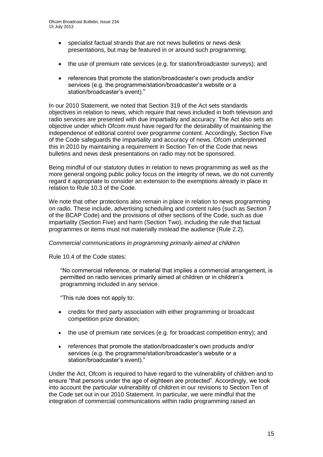- specialist factual strands that are not news bulletins or news desk presentations, but may be featured in or around such programming;
- the use of premium rate services (e.g. for station/broadcaster surveys); and
- references that promote the station/broadcaster's own products and/or services (e.g. the programme/station/broadcaster's website or a station/broadcaster's event)."

In our 2010 Statement, we noted that Section 319 of the Act sets standards objectives in relation to news, which require that news included in both television and radio services are presented with due impartiality and accuracy. The Act also sets an objective under which Ofcom must have regard for the desirability of maintaining the independence of editorial control over programme content. Accordingly, Section Five of the Code safeguards the impartiality and accuracy of news. Ofcom underpinned this in 2010 by maintaining a requirement in Section Ten of the Code that news bulletins and news desk presentations on radio may not be sponsored.

Being mindful of our statutory duties in relation to news programming as well as the more general ongoing public policy focus on the integrity of news, we do not currently regard it appropriate to consider an extension to the exemptions already in place in relation to Rule 10.3 of the Code.

We note that other protections also remain in place in relation to news programming on radio. These include, advertising scheduling and content rules (such as Section 7 of the BCAP Code) and the provisions of other sections of the Code, such as due impartiality (Section Five) and harm (Section Two), including the rule that factual programmes or items must not materially mislead the audience (Rule 2.2).

#### *Commercial communications in programming primarily aimed at children*

Rule 10.4 of the Code states:

"No commercial reference, or material that implies a commercial arrangement, is permitted on radio services primarily aimed at children or in children's programming included in any service.

"This rule does not apply to:

- credits for third party association with either programming or broadcast competition prize donation;
- the use of premium rate services (e.g. for broadcast competition entry); and
- references that promote the station/broadcaster's own products and/or services (e.g. the programme/station/broadcaster's website or a station/broadcaster's event)."

Under the Act, Ofcom is required to have regard to the vulnerability of children and to ensure "that persons under the age of eighteen are protected". Accordingly, we took into account the particular vulnerability of children in our revisions to Section Ten of the Code set out in our 2010 Statement. In particular, we were mindful that the integration of commercial communications within radio programming raised an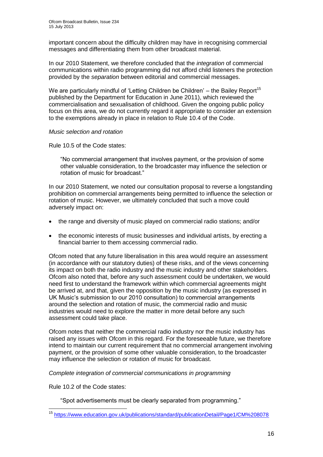important concern about the difficulty children may have in recognising commercial messages and differentiating them from other broadcast material.

In our 2010 Statement, we therefore concluded that the *integration* of commercial communications within radio programming did not afford child listeners the protection provided by the *separation* between editorial and commercial messages.

We are particularly mindful of 'Letting Children be Children'  $-$  the Bailey Report<sup>15</sup> published by the Department for Education in June 2011), which reviewed the commercialisation and sexualisation of childhood. Given the ongoing public policy focus on this area, we do not currently regard it appropriate to consider an extension to the exemptions already in place in relation to Rule 10.4 of the Code.

## *Music selection and rotation*

Rule 10.5 of the Code states:

"No commercial arrangement that involves payment, or the provision of some other valuable consideration, to the broadcaster may influence the selection or rotation of music for broadcast."

In our 2010 Statement, we noted our consultation proposal to reverse a longstanding prohibition on commercial arrangements being permitted to influence the selection or rotation of music. However, we ultimately concluded that such a move could adversely impact on:

- the range and diversity of music played on commercial radio stations; and/or
- the economic interests of music businesses and individual artists, by erecting a financial barrier to them accessing commercial radio.

Ofcom noted that any future liberalisation in this area would require an assessment (in accordance with our statutory duties) of these risks, and of the views concerning its impact on both the radio industry and the music industry and other stakeholders. Ofcom also noted that, before any such assessment could be undertaken, we would need first to understand the framework within which commercial agreements might be arrived at, and that, given the opposition by the music industry (as expressed in UK Music's submission to our 2010 consultation) to commercial arrangements around the selection and rotation of music, the commercial radio and music industries would need to explore the matter in more detail before any such assessment could take place.

Ofcom notes that neither the commercial radio industry nor the music industry has raised any issues with Ofcom in this regard. For the foreseeable future, we therefore intend to maintain our current requirement that no commercial arrangement involving payment, or the provision of some other valuable consideration, to the broadcaster may influence the selection or rotation of music for broadcast.

## *Complete integration of commercial communications in programming*

Rule 10.2 of the Code states:

1

"Spot advertisements must be clearly separated from programming."

<sup>&</sup>lt;sup>15</sup> <https://www.education.gov.uk/publications/standard/publicationDetail/Page1/CM%208078>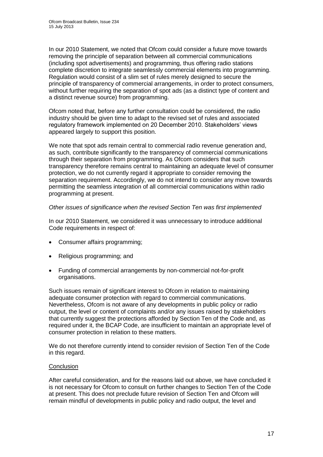In our 2010 Statement, we noted that Ofcom could consider a future move towards removing the principle of separation between all commercial communications (including spot advertisements) and programming, thus offering radio stations complete discretion to integrate seamlessly commercial elements into programming. Regulation would consist of a slim set of rules merely designed to secure the principle of transparency of commercial arrangements, in order to protect consumers, without further requiring the separation of spot ads (as a distinct type of content and a distinct revenue source) from programming.

Ofcom noted that, before any further consultation could be considered, the radio industry should be given time to adapt to the revised set of rules and associated regulatory framework implemented on 20 December 2010. Stakeholders' views appeared largely to support this position.

We note that spot ads remain central to commercial radio revenue generation and, as such, contribute significantly to the transparency of commercial communications through their separation from programming. As Ofcom considers that such transparency therefore remains central to maintaining an adequate level of consumer protection, we do not currently regard it appropriate to consider removing the separation requirement. Accordingly, we do not intend to consider any move towards permitting the seamless integration of all commercial communications within radio programming at present.

## *Other issues of significance when the revised Section Ten was first implemented*

In our 2010 Statement, we considered it was unnecessary to introduce additional Code requirements in respect of:

- Consumer affairs programming;
- Religious programming; and
- Funding of commercial arrangements by non-commercial not-for-profit organisations.

Such issues remain of significant interest to Ofcom in relation to maintaining adequate consumer protection with regard to commercial communications. Nevertheless, Ofcom is not aware of any developments in public policy or radio output, the level or content of complaints and/or any issues raised by stakeholders that currently suggest the protections afforded by Section Ten of the Code and, as required under it, the BCAP Code, are insufficient to maintain an appropriate level of consumer protection in relation to these matters.

We do not therefore currently intend to consider revision of Section Ten of the Code in this regard.

## **Conclusion**

After careful consideration, and for the reasons laid out above, we have concluded it is not necessary for Ofcom to consult on further changes to Section Ten of the Code at present. This does not preclude future revision of Section Ten and Ofcom will remain mindful of developments in public policy and radio output, the level and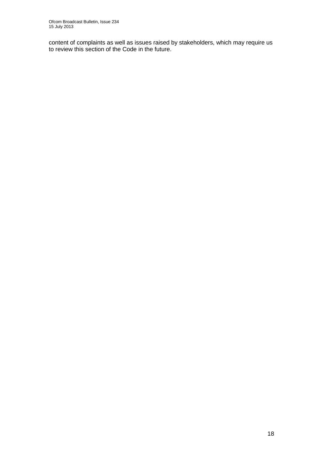content of complaints as well as issues raised by stakeholders, which may require us to review this section of the Code in the future.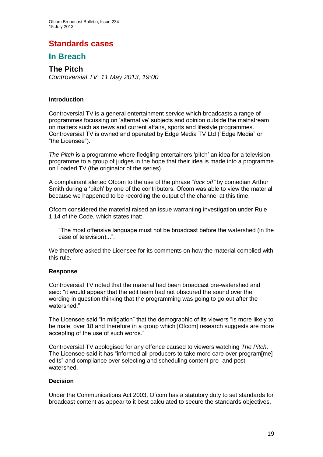## **Standards cases**

## **In Breach**

## **The Pitch**

*Controversial TV, 11 May 2013, 19:00*

## **Introduction**

Controversial TV is a general entertainment service which broadcasts a range of programmes focussing on 'alternative' subjects and opinion outside the mainstream on matters such as news and current affairs, sports and lifestyle programmes. Controversial TV is owned and operated by Edge Media TV Ltd ("Edge Media" or "the Licensee").

*The Pitch* is a programme where fledgling entertainers 'pitch' an idea for a television programme to a group of judges in the hope that their idea is made into a programme on Loaded TV (the originator of the series).

A complainant alerted Ofcom to the use of the phrase *"fuck off"* by comedian Arthur Smith during a 'pitch' by one of the contributors. Ofcom was able to view the material because we happened to be recording the output of the channel at this time.

Ofcom considered the material raised an issue warranting investigation under Rule 1.14 of the Code, which states that:

"The most offensive language must not be broadcast before the watershed (in the case of television)...".

We therefore asked the Licensee for its comments on how the material complied with this rule.

## **Response**

Controversial TV noted that the material had been broadcast pre-watershed and said: "it would appear that the edit team had not obscured the sound over the wording in question thinking that the programming was going to go out after the watershed."

The Licensee said "in mitigation" that the demographic of its viewers "is more likely to be male, over 18 and therefore in a group which [Ofcom] research suggests are more accepting of the use of such words."

Controversial TV apologised for any offence caused to viewers watching *The Pitch*. The Licensee said it has "informed all producers to take more care over program[me] edits" and compliance over selecting and scheduling content pre- and postwatershed.

## **Decision**

Under the Communications Act 2003, Ofcom has a statutory duty to set standards for broadcast content as appear to it best calculated to secure the standards objectives,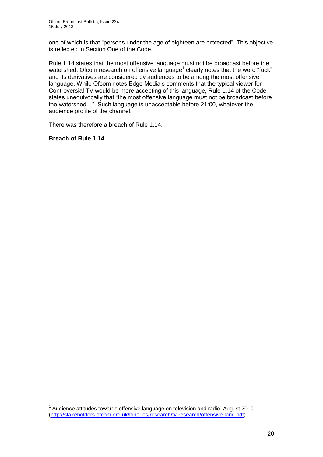one of which is that "persons under the age of eighteen are protected". This objective is reflected in Section One of the Code.

Rule 1.14 states that the most offensive language must not be broadcast before the watershed. Ofcom research on offensive language<sup>1</sup> clearly notes that the word "fuck" and its derivatives are considered by audiences to be among the most offensive language. While Ofcom notes Edge Media's comments that the typical viewer for Controversial TV would be more accepting of this language, Rule 1.14 of the Code states unequivocally that "the most offensive language must not be broadcast before the watershed…". Such language is unacceptable before 21:00, whatever the audience profile of the channel.

There was therefore a breach of Rule 1.14.

## **Breach of Rule 1.14**

1

 $1$  Audience attitudes towards offensive language on television and radio, August 2010 [\(http://stakeholders.ofcom.org.uk/binaries/research/tv-research/offensive-lang.pdf\)](http://stakeholders.ofcom.org.uk/binaries/research/tv-research/offensive-lang.pdf)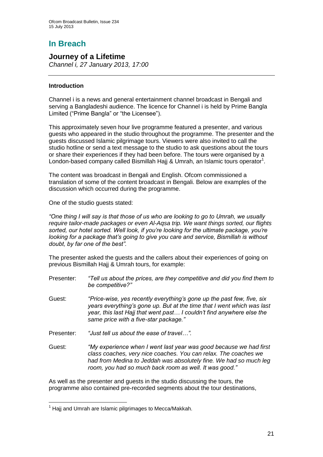# **In Breach**

**Journey of a Lifetime** *Channel i, 27 January 2013, 17:00*

## **Introduction**

Channel i is a news and general entertainment channel broadcast in Bengali and serving a Bangladeshi audience. The licence for Channel i is held by Prime Bangla Limited ("Prime Bangla" or "the Licensee").

This approximately seven hour live programme featured a presenter, and various guests who appeared in the studio throughout the programme. The presenter and the guests discussed Islamic pilgrimage tours. Viewers were also invited to call the studio hotline or send a text message to the studio to ask questions about the tours or share their experiences if they had been before. The tours were organised by a London-based company called Bismillah Hajj & Umrah, an Islamic tours operator<sup>1</sup>.

The content was broadcast in Bengali and English. Ofcom commissioned a translation of some of the content broadcast in Bengali. Below are examples of the discussion which occurred during the programme.

One of the studio guests stated:

*"One thing I will say is that those of us who are looking to go to Umrah, we usually require tailor-made packages or even Al-Aqsa trip. We want things sorted, our flights sorted, our hotel sorted. Well look, if you're looking for the ultimate package, you're looking for a package that's going to give you care and service, Bismillah is without doubt, by far one of the best".*

The presenter asked the guests and the callers about their experiences of going on previous Bismillah Hajj & Umrah tours, for example:

- Presenter: *"Tell us about the prices, are they competitive and did you find them to be competitive?"*
- Guest: *"Price-wise, yes recently everything's gone up the past few, five, six years everything's gone up. But at the time that I went which was last year, this last Hajj that went past… I couldn't find anywhere else the same price with a five-star package."*
- Presenter: *"Just tell us about the ease of travel…".*
- Guest: *"My experience when I went last year was good because we had first class coaches, very nice coaches. You can relax. The coaches we had from Medina to Jeddah was absolutely fine. We had so much leg room, you had so much back room as well. It was good."*

As well as the presenter and guests in the studio discussing the tours, the programme also contained pre-recorded segments about the tour destinations,

1

 $1$  Hajj and Umrah are Islamic pilgrimages to Mecca/Makkah.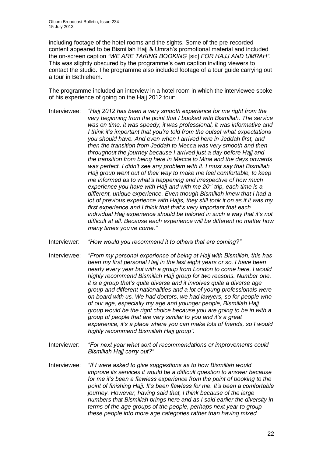including footage of the hotel rooms and the sights. Some of the pre-recorded content appeared to be Bismillah Hajj & Umrah's promotional material and included the on-screen caption *"WE ARE TAKING BOOKING* [sic] *FOR HAJJ AND UMRAH"*. This was slightly obscured by the programme's own caption inviting viewers to contact the studio. The programme also included footage of a tour guide carrying out a tour in Bethlehem.

The programme included an interview in a hotel room in which the interviewee spoke of his experience of going on the Hajj 2012 tour:

- Interviewee: *"Hajj 2012 has been a very smooth experience for me right from the very beginning from the point that I booked with Bismillah. The service was on time, it was speedy, it was professional, it was informative and I think it's important that you're told from the outset what expectations you should have. And even when I arrived here in Jeddah first, and then the transition from Jeddah to Mecca was very smooth and then throughout the journey because I arrived just a day before Hajj and the transition from being here in Mecca to Mina and the days onwards was perfect. I didn't see any problem with it. I must say that Bismillah Hajj group went out of their way to make me feel comfortable, to keep me informed as to what's happening and irrespective of how much experience you have with Hajj and with me 20th trip, each time is a different, unique experience. Even though Bismillah knew that I had a lot of previous experience with Hajjs, they still took it on as if it was my first experience and I think that that's very important that each individual Hajj experience should be tailored in such a way that it's not difficult at all. Because each experience will be different no matter how many times you've come."*
- Interviewer: *"How would you recommend it to others that are coming?"*
- Interviewee: *"From my personal experience of being at Hajj with Bismillah, this has been my first personal Hajj in the last eight years or so, I have been nearly every year but with a group from London to come here, I would highly recommend Bismillah Hajj group for two reasons. Number one, it is a group that's quite diverse and it involves quite a diverse age group and different nationalities and a lot of young professionals were on board with us. We had doctors, we had lawyers, so for people who of our age, especially my age and younger people, Bismillah Hajj group would be the right choice because you are going to be in with a group of people that are very similar to you and it's a great experience, it's a place where you can make lots of friends, so I would highly recommend Bismillah Hajj group".*
- Interviewer: *"For next year what sort of recommendations or improvements could Bismillah Hajj carry out?"*
- Interviewee: *"If I were asked to give suggestions as to how Bismillah would improve its services it would be a difficult question to answer because for me it's been a flawless experience from the point of booking to the point of finishing Hajj. It's been flawless for me. It's been a comfortable journey. However, having said that, I think because of the large numbers that Bismillah brings here and as I said earlier the diversity in terms of the age groups of the people, perhaps next year to group these people into more age categories rather than having mixed*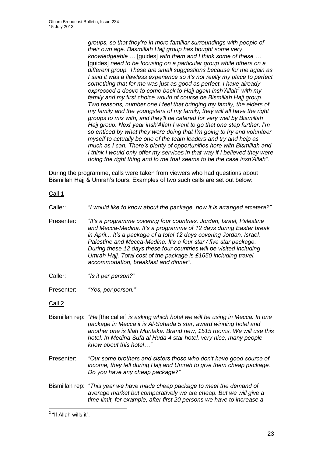*groups, so that they're in more familiar surroundings with people of their own age. Basmillah Hajj group has bought some very knowledgeable …* [guides] *with them and I think some of these …*  [quides] need to be focusing on a particular group while others on a *different group. These are small suggestions because for me again as I said it was a flawless experience so it's not really my place to perfect something that for me was just as good as perfect. I have already expressed a desire to come back to Hajj again insh'Allah<sup>2</sup> with my family and my first choice would of course be Bismillah Hajj group. Two reasons, number one I feel that bringing my family, the elders of my family and the youngsters of my family, they will all have the right groups to mix with, and they'll be catered for very well by Bismillah Hajj group. Next year insh'Allah I want to go that one step further. I'm so enticed by what they were doing that I'm going to try and volunteer myself to actually be one of the team leaders and try and help as much as I can. There's plenty of opportunities here with Bismillah and I think I would only offer my services in that way if I believed they were doing the right thing and to me that seems to be the case insh'Allah".* 

During the programme, calls were taken from viewers who had questions about Bismillah Hajj & Umrah's tours. Examples of two such calls are set out below:

Call 1

Caller: *"I would like to know about the package, how it is arranged etcetera?"*

- Presenter: *"It's a programme covering four countries, Jordan, Israel, Palestine and Mecca-Medina. It's a programme of 12 days during Easter break in April... It's a package of a total 12 days covering Jordan, Israel, Palestine and Mecca-Medina. It's a four star / five star package. During these 12 days these four countries will be visited including Umrah Hajj. Total cost of the package is £1650 including travel, accommodation, breakfast and dinner".*
- Caller: *"Is it per person?"*
- Presenter: *"Yes, per person."*

Call 2

- Bismillah rep: *"He* [the caller] *is asking which hotel we will be using in Mecca. In one package in Mecca it is Al-Suhada 5 star, award winning hotel and another one is Illah Muntaka. Brand new, 1515 rooms. We will use this hotel. In Medina Sufa al Huda 4 star hotel, very nice, many people know about this hotel…"*
- Presenter: *"Our some brothers and sisters those who don't have good source of income, they tell during Hajj and Umrah to give them cheap package. Do you have any cheap package?"*
- Bismillah rep: *"This year we have made cheap package to meet the demand of average market but comparatively we are cheap. But we will give a time limit, for example, after first 20 persons we have to increase a*

 2 "If Allah wills it".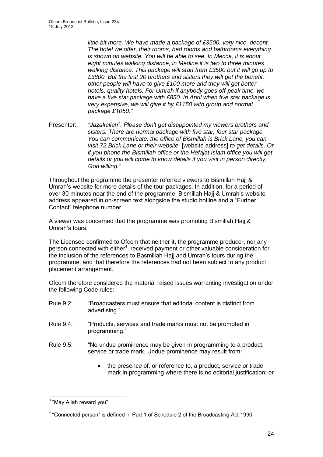*little bit more. We have made a package of £3500, very nice, decent. The hotel we offer, their rooms, bed rooms and bathrooms everything is shown on website. You will be able to see. In Mecca, it is about eight minutes walking distance, in Medina it is two to three minutes walking distance. This package will start from £3500 but it will go up to £3800. But the first 20 brothers and sisters they will get the benefit, other people will have to give £100 more and they will get better hotels, quality hotels. For Umrah if anybody goes off-peak time, we have a five star package with £850. In April when five star package is very expensive, we will give it by £1150 with group and normal package £1050."*

Presenter: "Jazakallah<sup>3</sup>. Please don't get disappointed my viewers brothers and *sisters. There are normal package with five star, four star package. You can communicate, the office of Bismillah is Brick Lane, you can visit 72 Brick Lane or their website,* [website address] *to get details. Or if you phone the Bismillah office or the Hefajat Islam office you will get details or you will come to know details if you visit in person directly, God willing."*

Throughout the programme the presenter referred viewers to Bismillah Hajj & Umrah's website for more details of the tour packages. In addition, for a period of over 30 minutes near the end of the programme, Bismillah Hajj & Umrah's website address appeared in on-screen text alongside the studio hotline and a "Further Contact" telephone number.

A viewer was concerned that the programme was promoting Bismillah Hajj & Umrah's tours.

The Licensee confirmed to Ofcom that neither it, the programme producer, nor any person connected with either<sup>4</sup>, received payment or other valuable consideration for the inclusion of the references to Basmillah Hajj and Umrah's tours during the programme, and that therefore the references had not been subject to any product placement arrangement.

Ofcom therefore considered the material raised issues warranting investigation under the following Code rules:

- Rule 9.2: "Broadcasters must ensure that editorial content is distinct from advertising."
- Rule 9.4: "Products, services and trade marks must not be promoted in programming."
- Rule 9.5: "No undue prominence may be given in programming to a product, service or trade mark. Undue prominence may result from:
	- the presence of, or reference to, a product, service or trade mark in programming where there is no editorial justification; or

<sup>1</sup> <sup>3</sup> "May Allah reward you"

<sup>&</sup>lt;sup>4</sup> "Connected person" is defined in Part 1 of Schedule 2 of the Broadcasting Act 1990.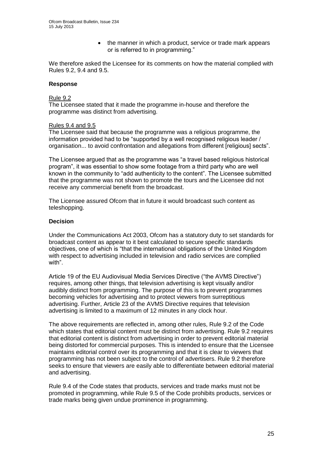• the manner in which a product, service or trade mark appears or is referred to in programming."

We therefore asked the Licensee for its comments on how the material complied with Rules 9.2, 9.4 and 9.5.

## **Response**

#### Rule 9.2

The Licensee stated that it made the programme in-house and therefore the programme was distinct from advertising.

#### Rules 9.4 and 9.5

The Licensee said that because the programme was a religious programme, the information provided had to be "supported by a well recognised religious leader / organisation... to avoid confrontation and allegations from different [religious] sects".

The Licensee argued that as the programme was "a travel based religious historical program", it was essential to show some footage from a third party who are well known in the community to "add authenticity to the content". The Licensee submitted that the programme was not shown to promote the tours and the Licensee did not receive any commercial benefit from the broadcast.

The Licensee assured Ofcom that in future it would broadcast such content as teleshopping.

## **Decision**

Under the Communications Act 2003, Ofcom has a statutory duty to set standards for broadcast content as appear to it best calculated to secure specific standards objectives, one of which is "that the international obligations of the United Kingdom with respect to advertising included in television and radio services are complied with".

Article 19 of the EU Audiovisual Media Services Directive ("the AVMS Directive") requires, among other things, that television advertising is kept visually and/or audibly distinct from programming. The purpose of this is to prevent programmes becoming vehicles for advertising and to protect viewers from surreptitious advertising. Further, Article 23 of the AVMS Directive requires that television advertising is limited to a maximum of 12 minutes in any clock hour.

The above requirements are reflected in, among other rules, Rule 9.2 of the Code which states that editorial content must be distinct from advertising. Rule 9.2 requires that editorial content is distinct from advertising in order to prevent editorial material being distorted for commercial purposes. This is intended to ensure that the Licensee maintains editorial control over its programming and that it is clear to viewers that programming has not been subject to the control of advertisers. Rule 9.2 therefore seeks to ensure that viewers are easily able to differentiate between editorial material and advertising.

Rule 9.4 of the Code states that products, services and trade marks must not be promoted in programming, while Rule 9.5 of the Code prohibits products, services or trade marks being given undue prominence in programming.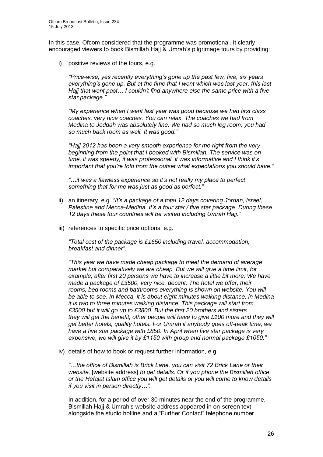In this case, Ofcom considered that the programme was promotional. It clearly encouraged viewers to book Bismillah Hajj & Umrah's pilgrimage tours by providing:

i) positive reviews of the tours, e.g.

*"Price-wise, yes recently everything's gone up the past few, five, six years everything's gone up. But at the time that I went which was last year, this last Hajj that went past… I couldn't find anywhere else the same price with a five star package."*

*"My experience when I went last year was good because we had first class coaches, very nice coaches. You can relax. The coaches we had from Medina to Jeddah was absolutely fine. We had so much leg room, you had so much back room as well. It was good."*

*"Hajj 2012 has been a very smooth experience for me right from the very beginning from the point that I booked with Bismillah. The service was on time, it was speedy, it was professional, it was informative and I think it's important that you're told from the outset what expectations you should have."*

*"…it was a flawless experience so it's not really my place to perfect something that for me was just as good as perfect."*

- ii) an itinerary, e.g. *"It's a package of a total 12 days covering Jordan, Israel, Palestine and Mecca-Medina. It's a four star / five star package. During these 12 days these four countries will be visited including Umrah Hajj."*
- iii) references to specific price options, e.g.

*"Total cost of the package is £1650 including travel, accommodation, breakfast and dinner".*

*"This year we have made cheap package to meet the demand of average market but comparatively we are cheap. But we will give a time limit, for example, after first 20 persons we have to increase a little bit more. We have made a package of £3500, very nice, decent. The hotel we offer, their rooms, bed rooms and bathrooms everything is shown on website. You will be able to see. In Mecca, it is about eight minutes walking distance, in Medina it is two to three minutes walking distance. This package will start from £3500 but it will go up to £3800. But the first 20 brothers and sisters they will get the benefit, other people will have to give £100 more and they will get better hotels, quality hotels. For Umrah if anybody goes off-peak time, we have a five star package with £850. In April when five star package is very expensive, we will give it by £1150 with group and normal package £1050."*

iv) details of how to book or request further information, e.g.

*"…the office of Bismillah is Brick Lane, you can visit 72 Brick Lane or their website,* [website address] *to get details. Or if you phone the Bismillah office or the Hefajat Islam office you will get details or you will come to know details if you visit in person directly…".*

In addition, for a period of over 30 minutes near the end of the programme, Bismillah Hajj & Umrah's website address appeared in on-screen text alongside the studio hotline and a "Further Contact" telephone number.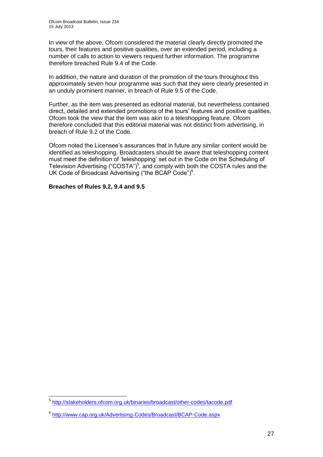In view of the above, Ofcom considered the material clearly directly promoted the tours, their features and positive qualities, over an extended period, including a number of calls to action to viewers request further information. The programme therefore breached Rule 9.4 of the Code.

In addition, the nature and duration of the promotion of the tours throughout this approximately seven hour programme was such that they were clearly presented in an unduly prominent manner, in breach of Rule 9.5 of the Code.

Further, as the item was presented as editorial material, but nevertheless contained direct, detailed and extended promotions of the tours' features and positive qualities, Ofcom took the view that the item was akin to a teleshopping feature. Ofcom therefore concluded that this editorial material was not distinct from advertising, in breach of Rule 9.2 of the Code.

Ofcom noted the Licensee's assurances that in future any similar content would be identified as teleshopping. Broadcasters should be aware that teleshopping content must meet the definition of 'teleshopping' set out in the Code on the Scheduling of Television Advertising ("COSTA")<sup>5</sup>, and comply with both the COSTA rules and the UK Code of Broadcast Advertising ("the BCAP Code")<sup>6</sup>.

## **Breaches of Rules 9.2, 9.4 and 9.5**

 5 <http://stakeholders.ofcom.org.uk/binaries/broadcast/other-codes/tacode.pdf>

<sup>6</sup> <http://www.cap.org.uk/Advertising-Codes/Broadcast/BCAP-Code.aspx>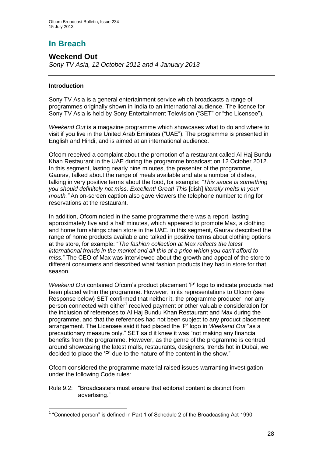# **In Breach**

## **Weekend Out**

*Sony TV Asia, 12 October 2012 and 4 January 2013*

## **Introduction**

Sony TV Asia is a general entertainment service which broadcasts a range of programmes originally shown in India to an international audience. The licence for Sony TV Asia is held by Sony Entertainment Television ("SET" or "the Licensee").

*Weekend Out* is a magazine programme which showcases what to do and where to visit if you live in the United Arab Emirates ("UAE"). The programme is presented in English and Hindi, and is aimed at an international audience.

Ofcom received a complaint about the promotion of a restaurant called Al Haj Bundu Khan Restaurant in the UAE during the programme broadcast on 12 October 2012. In this segment, lasting nearly nine minutes, the presenter of the programme, Gaurav, talked about the range of meals available and ate a number of dishes, talking in very positive terms about the food, for example: *"This sauce is something you should definitely not miss. Excellent! Great! This* [dish] *literally melts in your mouth."* An on-screen caption also gave viewers the telephone number to ring for reservations at the restaurant.

In addition, Ofcom noted in the same programme there was a report, lasting approximately five and a half minutes, which appeared to promote Max, a clothing and home furnishings chain store in the UAE. In this segment, Gaurav described the range of home products available and talked in positive terms about clothing options at the store, for example: "*The fashion collection at Max reflects the latest international trends in the market and all this at a price which you can't afford to miss.*" The CEO of Max was interviewed about the growth and appeal of the store to different consumers and described what fashion products they had in store for that season.

*Weekend Out* contained Ofcom's product placement 'P' logo to indicate products had been placed within the programme. However, in its representations to Ofcom (see Response below) SET confirmed that neither it, the programme producer, nor any person connected with either<sup>1</sup> received payment or other valuable consideration for the inclusion of references to Al Haj Bundu Khan Restaurant and Max during the programme, and that the references had not been subject to any product placement arrangement. The Licensee said it had placed the 'P' logo in *Weekend Out* "as a precautionary measure only." SET said it knew it was "not making any financial benefits from the programme. However, as the genre of the programme is centred around showcasing the latest malls, restaurants, designers, trends hot in Dubai, we decided to place the 'P' due to the nature of the content in the show."

Ofcom considered the programme material raised issues warranting investigation under the following Code rules:

Rule 9.2: "Broadcasters must ensure that editorial content is distinct from advertising."

 1 "Connected person" is defined in Part 1 of Schedule 2 of the Broadcasting Act 1990.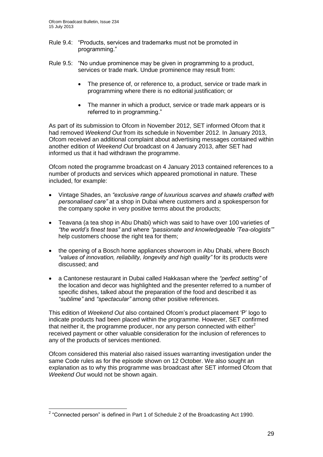- Rule 9.4: "Products, services and trademarks must not be promoted in programming."
- Rule 9.5: "No undue prominence may be given in programming to a product, services or trade mark. Undue prominence may result from:
	- The presence of, or reference to, a product, service or trade mark in programming where there is no editorial justification; or
	- The manner in which a product, service or trade mark appears or is referred to in programming."

As part of its submission to Ofcom in November 2012, SET informed Ofcom that it had removed *Weekend Out* from its schedule in November 2012. In January 2013, Ofcom received an additional complaint about advertising messages contained within another edition of *Weekend Out* broadcast on 4 January 2013, after SET had informed us that it had withdrawn the programme.

Ofcom noted the programme broadcast on 4 January 2013 contained references to a number of products and services which appeared promotional in nature. These included, for example:

- Vintage Shades, an *"exclusive range of luxurious scarves and shawls crafted with personalised care"* at a shop in Dubai where customers and a spokesperson for the company spoke in very positive terms about the products;
- Teavana (a tea shop in Abu Dhabi) which was said to have over 100 varieties of *"the world's finest teas"* and where *"passionate and knowledgeable 'Tea-ologists'"*  help customers choose the right tea for them;
- the opening of a Bosch home appliances showroom in Abu Dhabi, where Bosch *"values of innovation, reliability, longevity and high quality"* for its products were discussed; and
- a Cantonese restaurant in Dubai called Hakkasan where the *"perfect setting"* of the location and decor was highlighted and the presenter referred to a number of specific dishes, talked about the preparation of the food and described it as *"sublime"* and *"spectacular"* among other positive references.

This edition of *Weekend Out* also contained Ofcom's product placement 'P' logo to indicate products had been placed within the programme. However, SET confirmed that neither it, the programme producer, nor any person connected with either<sup>2</sup> received payment or other valuable consideration for the inclusion of references to any of the products of services mentioned.

Ofcom considered this material also raised issues warranting investigation under the same Code rules as for the episode shown on 12 October. We also sought an explanation as to why this programme was broadcast after SET informed Ofcom that *Weekend Out* would not be shown again.

 2 "Connected person" is defined in Part 1 of Schedule 2 of the Broadcasting Act 1990.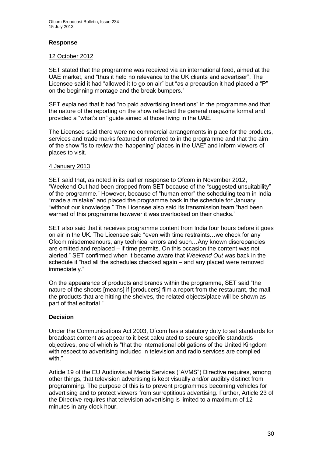## **Response**

## 12 October 2012

SET stated that the programme was received via an international feed, aimed at the UAE market, and "thus it held no relevance to the UK clients and advertiser". The Licensee said it had "allowed it to go on air" but "as a precaution it had placed a "P" on the beginning montage and the break bumpers."

SET explained that it had "no paid advertising insertions" in the programme and that the nature of the reporting on the show reflected the general magazine format and provided a "what's on" guide aimed at those living in the UAE.

The Licensee said there were no commercial arrangements in place for the products, services and trade marks featured or referred to in the programme and that the aim of the show "is to review the 'happening' places in the UAE" and inform viewers of places to visit.

## 4 January 2013

SET said that, as noted in its earlier response to Ofcom in November 2012, "Weekend Out had been dropped from SET because of the "suggested unsuitability" of the programme." However, because of "human error" the scheduling team in India "made a mistake" and placed the programme back in the schedule for January "without our knowledge." The Licensee also said its transmission team "had been warned of this programme however it was overlooked on their checks."

SET also said that it receives programme content from India four hours before it goes on air in the UK. The Licensee said "even with time restraints…we check for any Ofcom misdemeanours, any technical errors and such…Any known discrepancies are omitted and replaced – if time permits. On this occasion the content was not alerted." SET confirmed when it became aware that *Weekend Out* was back in the schedule it "had all the schedules checked again – and any placed were removed immediately."

On the appearance of products and brands within the programme, SET said "the nature of the shoots [means] if [producers] film a report from the restaurant, the mall, the products that are hitting the shelves, the related objects/place will be shown as part of that editorial."

## **Decision**

Under the Communications Act 2003, Ofcom has a statutory duty to set standards for broadcast content as appear to it best calculated to secure specific standards objectives, one of which is "that the international obligations of the United Kingdom with respect to advertising included in television and radio services are complied with."

Article 19 of the EU Audiovisual Media Services ("AVMS") Directive requires, among other things, that television advertising is kept visually and/or audibly distinct from programming. The purpose of this is to prevent programmes becoming vehicles for advertising and to protect viewers from surreptitious advertising. Further, Article 23 of the Directive requires that television advertising is limited to a maximum of 12 minutes in any clock hour.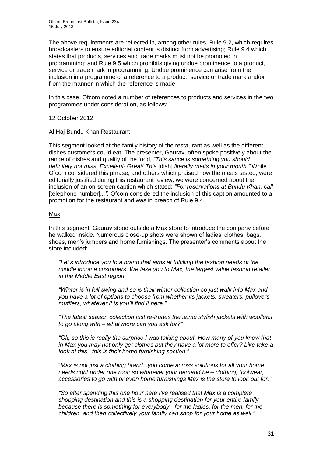The above requirements are reflected in, among other rules, Rule 9.2, which requires broadcasters to ensure editorial content is distinct from advertising; Rule 9.4 which states that products, services and trade marks must not be promoted in programming; and Rule 9.5 which prohibits giving undue prominence to a product, service or trade mark in programming. Undue prominence can arise from the inclusion in a programme of a reference to a product, service or trade mark and/or from the manner in which the reference is made.

In this case, Ofcom noted a number of references to products and services in the two programmes under consideration, as follows:

## 12 October 2012

## Al Haj Bundu Khan Restaurant

This segment looked at the family history of the restaurant as well as the different dishes customers could eat. The presenter, Gaurav, often spoke positively about the range of dishes and quality of the food, *"This sauce is something you should definitely not miss. Excellent! Great! This* [dish] *literally melts in your mouth."* While Ofcom considered this phrase, and others which praised how the meals tasted, were editorially justified during this restaurant review, we were concerned about the inclusion of an on-screen caption which stated: *"For reservations at Bundu Khan, call*  [telephone number]*...".* Ofcom considered the inclusion of this caption amounted to a promotion for the restaurant and was in breach of Rule 9.4.

## Max

In this segment, Gaurav stood outside a Max store to introduce the company before he walked inside. Numerous close-up shots were shown of ladies' clothes, bags, shoes, men's jumpers and home furnishings. The presenter's comments about the store included:

*"Let's introduce you to a brand that aims at fulfilling the fashion needs of the middle income customers. We take you to Max, the largest value fashion retailer in the Middle East region."*

*"Winter is in full swing and so is their winter collection so just walk into Max and you have a lot of options to choose from whether its jackets, sweaters, pullovers, mufflers, whatever it is you'll find it here*.*"*

*"The latest season collection just re-trades the same stylish jackets with woollens to go along with – what more can you ask for?"*

*"Ok, so this is really the surprise I was talking about. How many of you knew that in Max you may not only get clothes but they have a lot more to offer? Like take a look at this...this is their home furnishing section."*

"*Max is not just a clothing brand...you come across solutions for all your home needs right under one roof; so whatever your demand be – clothing, footwear, accessories to go with or even home furnishings Max is the store to look out for."*

*"So after spending this one hour here I've realised that Max is a complete shopping destination and this is a shopping destination for your entire family because there is something for everybody - for the ladies, for the men, for the children, and then collectively your family can shop for your home as well."*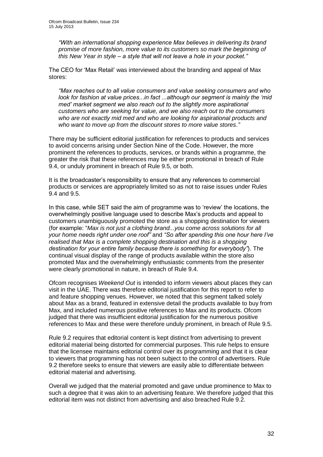*"With an international shopping experience Max believes in delivering its brand promise of more fashion, more value to its customers so mark the beginning of this New Year in style – a style that will not leave a hole in your pocket."*

The CEO for 'Max Retail' was interviewed about the branding and appeal of Max stores:

*"Max reaches out to all value consumers and value seeking consumers and who look for fashion at value prices...in fact ...although our segment is mainly the 'mid med' market segment we also reach out to the slightly more aspirational customers who are seeking for value, and we also reach out to the consumers who are not exactly mid med and who are looking for aspirational products and who want to move up from the discount stores to more value stores*.*"*

There may be sufficient editorial justification for references to products and services to avoid concerns arising under Section Nine of the Code. However, the more prominent the references to products, services, or brands within a programme, the greater the risk that these references may be either promotional in breach of Rule 9.4, or unduly prominent in breach of Rule 9.5, or both.

It is the broadcaster's responsibility to ensure that any references to commercial products or services are appropriately limited so as not to raise issues under Rules 9.4 and 9.5.

In this case, while SET said the aim of programme was to 'review' the locations, the overwhelmingly positive language used to describe Max's products and appeal to customers unambiguously promoted the store as a shopping destination for viewers (for example: "*Max is not just a clothing brand...you come across solutions for all your home needs right under one roof"* and *"So after spending this one hour here I've realised that Max is a complete shopping destination and this is a shopping destination for your entire family because there is something for everybody"*). The continual visual display of the range of products available within the store also promoted Max and the overwhelmingly enthusiastic comments from the presenter were clearly promotional in nature, in breach of Rule 9.4.

Ofcom recognises *Weekend Out* is intended to inform viewers about places they can visit in the UAE. There was therefore editorial justification for this report to refer to and feature shopping venues. However, we noted that this segment talked solely about Max as a brand, featured in extensive detail the products available to buy from Max, and included numerous positive references to Max and its products. Ofcom judged that there was insufficient editorial justification for the numerous positive references to Max and these were therefore unduly prominent, in breach of Rule 9.5.

Rule 9.2 requires that editorial content is kept distinct from advertising to prevent editorial material being distorted for commercial purposes. This rule helps to ensure that the licensee maintains editorial control over its programming and that it is clear to viewers that programming has not been subject to the control of advertisers. Rule 9.2 therefore seeks to ensure that viewers are easily able to differentiate between editorial material and advertising.

Overall we judged that the material promoted and gave undue prominence to Max to such a degree that it was akin to an advertising feature. We therefore judged that this editorial item was not distinct from advertising and also breached Rule 9.2.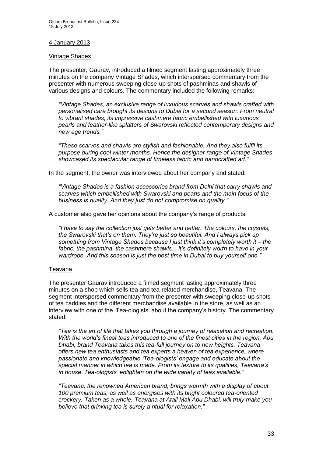## 4 January 2013

#### Vintage Shades

The presenter, Gaurav, introduced a filmed segment lasting approximately three minutes on the company Vintage Shades, which interspersed commentary from the presenter with numerous sweeping close-up shots of pashminas and shawls of various designs and colours. The commentary included the following remarks:

*"Vintage Shades, an exclusive range of luxurious scarves and shawls crafted with personalised care brought its designs to Dubai for a second season. From neutral to vibrant shades, its impressive cashmere fabric embellished with luxurious pearls and feather-like splatters of Swarovski reflected contemporary designs and new age trends."*

*"These scarves and shawls are stylish and fashionable. And they also fulfil its purpose during cool winter months. Hence the designer range of Vintage Shades showcased its spectacular range of timeless fabric and handcrafted art."* 

In the segment, the owner was interviewed about her company and stated:

*"Vintage Shades is a fashion accessories brand from Delhi that carry shawls and scarves which embellished with Swarovski and pearls and the main focus of the business is quality. And they just do not compromise on quality."* 

A customer also gave her opinions about the company's range of products:

*"I have to say the collection just gets better and better. The colours, the crystals, the Swarovski that's on them. They're just so beautiful. And I always pick up something from Vintage Shades because I just think it's completely worth it – the fabric, the pashmina, the cashmere shawls... it's definitely worth to have in your wardrobe. And this season is just the best time in Dubai to buy yourself one."* 

## Teavana

The presenter Gaurav introduced a filmed segment lasting approximately three minutes on a shop which sells tea and tea-related merchandise, Teavana. The segment interspersed commentary from the presenter with sweeping close-up shots of tea caddies and the different merchandise available in the store, as well as an interview with one of the 'Tea-ologists' about the company's history. The commentary stated:

*"Tea is the art of life that takes you through a journey of relaxation and recreation. With the world's finest teas introduced to one of the finest cities in the region, Abu Dhabi, brand Teavana takes this tea-full journey on to new heights. Teavana offers new tea enthusiasts and tea experts a heaven of tea experience, where passionate and knowledgeable 'Tea-ologists' engage and educate about the special manner in which tea is made. From its texture to its qualities, Teavana's in house 'Tea-ologists' enlighten on the wide variety of teas available."*

*"Teavana, the renowned American brand, brings warmth with a display of about 100 premium teas, as well as energises with its bright coloured tea-oriented crockery. Taken as a whole, Teavana at Atall Mall Abu Dhabi, will truly make you believe that drinking tea is surely a ritual for relaxation."*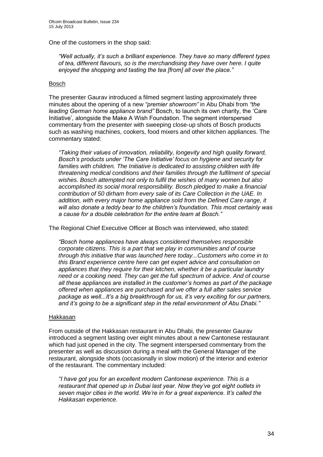One of the customers in the shop said:

*"Well actually, it's such a brilliant experience. They have so many different types of tea, different flavours, so is the merchandising they have over here. I quite enjoyed the shopping and tasting the tea [from] all over the place."*

#### Bosch

The presenter Gaurav introduced a filmed segment lasting approximately three minutes about the opening of a new *"premier showroom"* in Abu Dhabi from *"the leading German home appliance brand"* Bosch, to launch its own charity, the 'Care Initiative', alongside the Make A Wish Foundation. The segment interspersed commentary from the presenter with sweeping close-up shots of Bosch products such as washing machines, cookers, food mixers and other kitchen appliances. The commentary stated:

*"Taking their values of innovation, reliability, longevity and high quality forward, Bosch's products under 'The Care Initiative' focus on hygiene and security for families with children. The Initiative is dedicated to assisting children with life threatening medical conditions and their families through the fulfilment of special wishes. Bosch attempted not only to fulfil the wishes of many women but also accomplished its social moral responsibility. Bosch pledged to make a financial contribution of 50 dirham from every sale of its Care Collection in the UAE. In addition, with every major home appliance sold from the Defined Care range, it will also donate a teddy bear to the children's foundation. This most certainly was a cause for a double celebration for the entire team at Bosch."* 

The Regional Chief Executive Officer at Bosch was interviewed, who stated:

*"Bosch home appliances have always considered themselves responsible corporate citizens. This is a part that we play in communities and of course through this initiative that was launched here today...Customers who come in to this Brand experience centre here can get expert advice and consultation on appliances that they require for their kitchen, whether it be a particular laundry need or a cooking need. They can get the full spectrum of advice. And of course all these appliances are installed in the customer's homes as part of the package offered when appliances are purchased and we offer a full after sales service package as well...It's a big breakthrough for us, it's very exciting for our partners, and it's going to be a significant step in the retail environment of Abu Dhabi."*

#### **Hakkasan**

From outside of the Hakkasan restaurant in Abu Dhabi, the presenter Gaurav introduced a segment lasting over eight minutes about a new Cantonese restaurant which had just opened in the city. The segment interspersed commentary from the presenter as well as discussion during a meal with the General Manager of the restaurant, alongside shots (occasionally in slow motion) of the interior and exterior of the restaurant. The commentary included:

*"I have got you for an excellent modern Cantonese experience. This is a restaurant that opened up in Dubai last year. Now they've got eight outlets in seven major cities in the world. We're in for a great experience. It's called the Hakkasan experience.*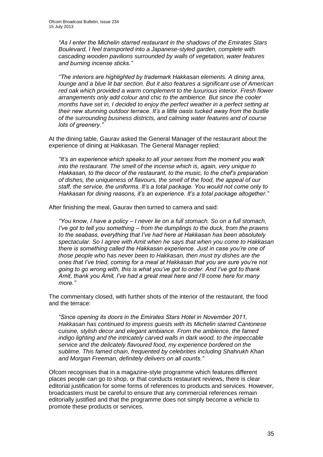*"As I enter the Michelin starred restaurant in the shadows of the Emirates Stars Boulevard, I feel transported into a Japanese-styled garden, complete with cascading wooden pavilions surrounded by walls of vegetation, water features and burning incense sticks."* 

*"The interiors are highlighted by trademark Hakkasan elements. A dining area, lounge and a blue lit bar section. But it also features a significant use of American red oak which provided a warm complement to the luxurious interior. Fresh flower arrangements only add colour and chic to the ambience. But since the cooler months have set in, I decided to enjoy the perfect weather in a perfect setting at their new stunning outdoor terrace. It's a little oasis tucked away from the bustle of the surrounding business districts, and calming water features and of course lots of greenery."* 

At the dining table, Gaurav asked the General Manager of the restaurant about the experience of dining at Hakkasan. The General Manager replied:

*"It's an experience which speaks to all your senses from the moment you walk into the restaurant. The smell of the incense which is, again, very unique to Hakkasan, to the decor of the restaurant, to the music, to the chef's preparation of dishes, the uniqueness of flavours, the smell of the food, the appeal of our staff, the service, the uniforms. It's a total package. You would not come only to Hakkasan for dining reasons, it's an experience. It's a total package altogether."* 

After finishing the meal, Gaurav then turned to camera and said:

*"You know, I have a policy – I never lie on a full stomach. So on a full stomach, I've got to tell you something – from the dumplings to the duck, from the prawns to the seabass, everything that I've had here at Hakkasan has been absolutely spectacular. So I agree with Amit when he says that when you come to Hakkasan there is something called the Hakkasan experience. Just in case you're one of those people who has never been to Hakkasan, then must try dishes are the ones that I've tried, coming for a meal at Hakkasan that you are sure you're not going to go wrong with, this is what you've got to order. And I've got to thank Amit, thank you Amit, I've had a great meal here and I'll come here for many more."* 

The commentary closed, with further shots of the interior of the restaurant, the food and the terrace:

*"Since opening its doors in the Emirates Stars Hotel in November 2011, Hakkasan has continued to impress guests with its Michelin starred Cantonese cuisine, stylish decor and elegant ambiance. From the ambience, the famed indigo lighting and the intricately carved walls in dark wood, to the impeccable service and the delicately flavoured food, my experience bordered on the sublime. This famed chain, frequented by celebrities including Shahrukh Khan and Morgan Freeman, definitely delivers on all counts."* 

Ofcom recognises that in a magazine-style programme which features different places people can go to shop, or that conducts restaurant reviews, there is clear editorial justification for some forms of references to products and services. However, broadcasters must be careful to ensure that any commercial references remain editorially justified and that the programme does not simply become a vehicle to promote these products or services.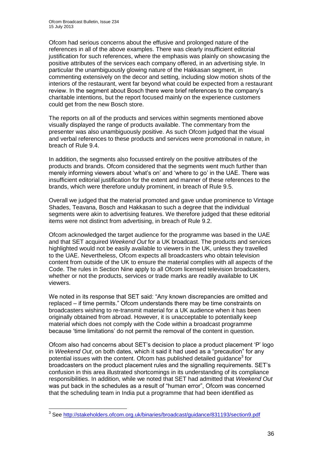Ofcom had serious concerns about the effusive and prolonged nature of the references in all of the above examples. There was clearly insufficient editorial justification for such references, where the emphasis was plainly on showcasing the positive attributes of the services each company offered, in an advertising style. In particular the unambiguously glowing nature of the Hakkasan segment, in commenting extensively on the decor and setting, including slow motion shots of the interiors of the restaurant, went far beyond what could be expected from a restaurant review. In the segment about Bosch there were brief references to the company's charitable intentions, but the report focused mainly on the experience customers could get from the new Bosch store.

The reports on all of the products and services within segments mentioned above visually displayed the range of products available. The commentary from the presenter was also unambiguously positive. As such Ofcom judged that the visual and verbal references to these products and services were promotional in nature, in breach of Rule 9.4.

In addition, the segments also focussed entirely on the positive attributes of the products and brands. Ofcom considered that the segments went much further than merely informing viewers about 'what's on' and 'where to go' in the UAE. There was insufficient editorial justification for the extent and manner of these references to the brands, which were therefore unduly prominent, in breach of Rule 9.5.

Overall we judged that the material promoted and gave undue prominence to Vintage Shades, Teavana, Bosch and Hakkasan to such a degree that the individual segments were akin to advertising features. We therefore judged that these editorial items were not distinct from advertising, in breach of Rule 9.2.

Ofcom acknowledged the target audience for the programme was based in the UAE and that SET acquired *Weekend Out* for a UK broadcast. The products and services highlighted would not be easily available to viewers in the UK, unless they travelled to the UAE. Nevertheless, Ofcom expects all broadcasters who obtain television content from outside of the UK to ensure the material complies with all aspects of the Code. The rules in Section Nine apply to all Ofcom licensed television broadcasters, whether or not the products, services or trade marks are readily available to UK viewers.

We noted in its response that SET said: "Any known discrepancies are omitted and replaced – if time permits." Ofcom understands there may be time constraints on broadcasters wishing to re-transmit material for a UK audience when it has been originally obtained from abroad. However, it is unacceptable to potentially keep material which does not comply with the Code within a broadcast programme because 'time limitations' do not permit the removal of the content in question.

Ofcom also had concerns about SET's decision to place a product placement 'P' logo in *Weekend Out*, on both dates, which it said it had used as a "precaution" for any potential issues with the content. Ofcom has published detailed guidance<sup>3</sup> for broadcasters on the product placement rules and the signalling requirements. SET's confusion in this area illustrated shortcomings in its understanding of its compliance responsibilities. In addition, while we noted that SET had admitted that *Weekend Out* was put back in the schedules as a result of "human error", Ofcom was concerned that the scheduling team in India put a programme that had been identified as

 3 See<http://stakeholders.ofcom.org.uk/binaries/broadcast/guidance/831193/section9.pdf>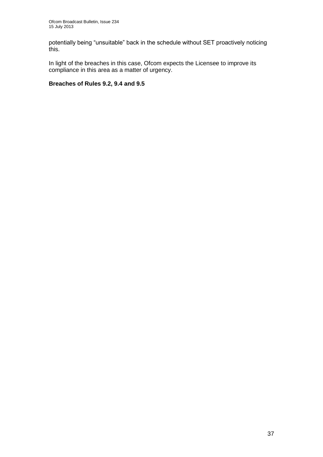potentially being "unsuitable" back in the schedule without SET proactively noticing this.

In light of the breaches in this case, Ofcom expects the Licensee to improve its compliance in this area as a matter of urgency.

#### **Breaches of Rules 9.2, 9.4 and 9.5**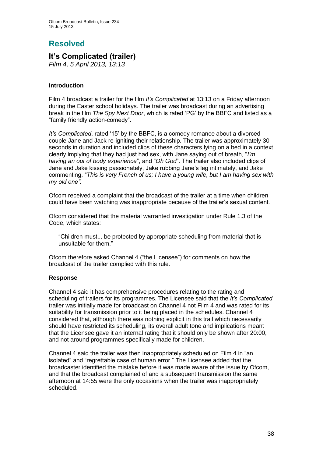# **Resolved**

## **It's Complicated (trailer)**

*Film 4, 5 April 2013, 13:13*

#### **Introduction**

Film 4 broadcast a trailer for the film *It's Complicated* at 13:13 on a Friday afternoon during the Easter school holidays. The trailer was broadcast during an advertising break in the film *The Spy Next Door*, which is rated 'PG' by the BBFC and listed as a "family friendly action-comedy".

*It's Complicated*, rated '15' by the BBFC, is a comedy romance about a divorced couple Jane and Jack re-igniting their relationship. The trailer was approximately 30 seconds in duration and included clips of these characters lying on a bed in a context clearly implying that they had just had sex, with Jane saying out of breath, "*I'm having an out of body experience*", and "*Oh God*". The trailer also included clips of Jane and Jake kissing passionately, Jake rubbing Jane's leg intimately, and Jake commenting, "*This is very French of us; I have a young wife, but I am having sex with my old one".*

Ofcom received a complaint that the broadcast of the trailer at a time when children could have been watching was inappropriate because of the trailer's sexual content.

Ofcom considered that the material warranted investigation under Rule 1.3 of the Code, which states:

"Children must... be protected by appropriate scheduling from material that is unsuitable for them."

Ofcom therefore asked Channel 4 ("the Licensee") for comments on how the broadcast of the trailer complied with this rule.

#### **Response**

Channel 4 said it has comprehensive procedures relating to the rating and scheduling of trailers for its programmes. The Licensee said that the *It's Complicated* trailer was initially made for broadcast on Channel 4 not Film 4 and was rated for its suitability for transmission prior to it being placed in the schedules. Channel 4 considered that, although there was nothing explicit in this trail which necessarily should have restricted its scheduling, its overall adult tone and implications meant that the Licensee gave it an internal rating that it should only be shown after 20:00, and not around programmes specifically made for children.

Channel 4 said the trailer was then inappropriately scheduled on Film 4 in "an isolated" and "regrettable case of human error." The Licensee added that the broadcaster identified the mistake before it was made aware of the issue by Ofcom, and that the broadcast complained of and a subsequent transmission the same afternoon at 14:55 were the only occasions when the trailer was inappropriately scheduled.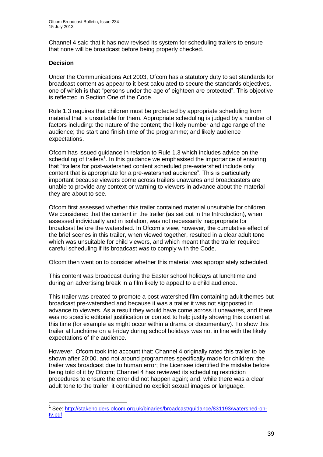Channel 4 said that it has now revised its system for scheduling trailers to ensure that none will be broadcast before being properly checked.

#### **Decision**

1

Under the Communications Act 2003, Ofcom has a statutory duty to set standards for broadcast content as appear to it best calculated to secure the standards objectives, one of which is that "persons under the age of eighteen are protected". This objective is reflected in Section One of the Code.

Rule 1.3 requires that children must be protected by appropriate scheduling from material that is unsuitable for them. Appropriate scheduling is judged by a number of factors including: the nature of the content; the likely number and age range of the audience; the start and finish time of the programme; and likely audience expectations.

Ofcom has issued guidance in relation to Rule 1.3 which includes advice on the scheduling of trailers<sup>1</sup>. In this guidance we emphasised the importance of ensuring that "trailers for post-watershed content scheduled pre-watershed include only content that is appropriate for a pre-watershed audience". This is particularly important because viewers come across trailers unawares and broadcasters are unable to provide any context or warning to viewers in advance about the material they are about to see.

Ofcom first assessed whether this trailer contained material unsuitable for children. We considered that the content in the trailer (as set out in the Introduction), when assessed individually and in isolation, was not necessarily inappropriate for broadcast before the watershed. In Ofcom's view, however, the cumulative effect of the brief scenes in this trailer, when viewed together, resulted in a clear adult tone which was unsuitable for child viewers, and which meant that the trailer required careful scheduling if its broadcast was to comply with the Code.

Ofcom then went on to consider whether this material was appropriately scheduled.

This content was broadcast during the Easter school holidays at lunchtime and during an advertising break in a film likely to appeal to a child audience.

This trailer was created to promote a post-watershed film containing adult themes but broadcast pre-watershed and because it was a trailer it was not signposted in advance to viewers. As a result they would have come across it unawares, and there was no specific editorial justification or context to help justify showing this content at this time (for example as might occur within a drama or documentary). To show this trailer at lunchtime on a Friday during school holidays was not in line with the likely expectations of the audience.

However, Ofcom took into account that: Channel 4 originally rated this trailer to be shown after 20:00, and not around programmes specifically made for children; the trailer was broadcast due to human error; the Licensee identified the mistake before being told of it by Ofcom; Channel 4 has reviewed its scheduling restriction procedures to ensure the error did not happen again; and, while there was a clear adult tone to the trailer, it contained no explicit sexual images or language.

<sup>&</sup>lt;sup>1</sup> See: [http://stakeholders.ofcom.org.uk/binaries/broadcast/guidance/831193/watershed-on](http://stakeholders.ofcom.org.uk/binaries/broadcast/guidance/831193/watershed-on-tv.pdf)[tv.pdf](http://stakeholders.ofcom.org.uk/binaries/broadcast/guidance/831193/watershed-on-tv.pdf)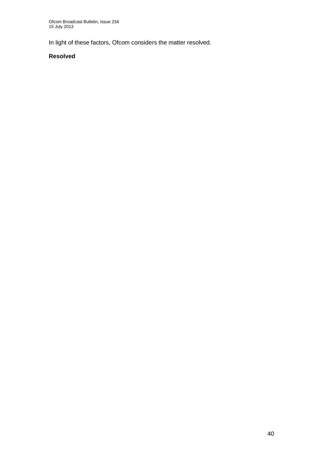In light of these factors, Ofcom considers the matter resolved.

#### **Resolved**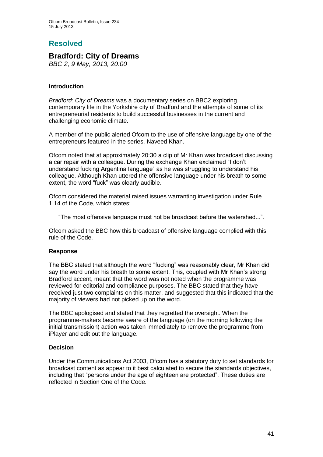## **Resolved**

# **Bradford: City of Dreams**

*BBC 2, 9 May, 2013, 20:00*

#### **Introduction**

*Bradford: City of Dreams* was a documentary series on BBC2 exploring contemporary life in the Yorkshire city of Bradford and the attempts of some of its entrepreneurial residents to build successful businesses in the current and challenging economic climate.

A member of the public alerted Ofcom to the use of offensive language by one of the entrepreneurs featured in the series, Naveed Khan.

Ofcom noted that at approximately 20:30 a clip of Mr Khan was broadcast discussing a car repair with a colleague. During the exchange Khan exclaimed "I don't understand fucking Argentina language" as he was struggling to understand his colleague. Although Khan uttered the offensive language under his breath to some extent, the word "fuck" was clearly audible.

Ofcom considered the material raised issues warranting investigation under Rule 1.14 of the Code, which states:

"The most offensive language must not be broadcast before the watershed...".

Ofcom asked the BBC how this broadcast of offensive language complied with this rule of the Code.

#### **Response**

The BBC stated that although the word "fucking" was reasonably clear, Mr Khan did say the word under his breath to some extent. This, coupled with Mr Khan's strong Bradford accent, meant that the word was not noted when the programme was reviewed for editorial and compliance purposes. The BBC stated that they have received just two complaints on this matter, and suggested that this indicated that the majority of viewers had not picked up on the word.

The BBC apologised and stated that they regretted the oversight. When the programme-makers became aware of the language (on the morning following the initial transmission) action was taken immediately to remove the programme from iPlayer and edit out the language.

#### **Decision**

Under the Communications Act 2003, Ofcom has a statutory duty to set standards for broadcast content as appear to it best calculated to secure the standards objectives, including that "persons under the age of eighteen are protected". These duties are reflected in Section One of the Code.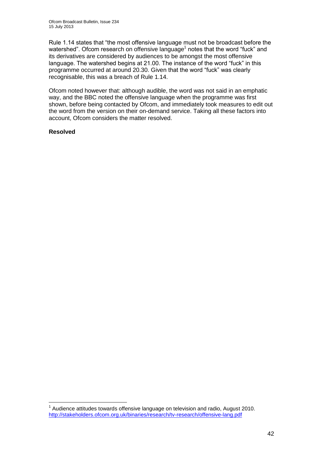Rule 1.14 states that "the most offensive language must not be broadcast before the watershed". Ofcom research on offensive language<sup>1</sup> notes that the word "fuck" and its derivatives are considered by audiences to be amongst the most offensive language. The watershed begins at 21.00. The instance of the word "fuck" in this programme occurred at around 20.30. Given that the word "fuck" was clearly recognisable, this was a breach of Rule 1.14.

Ofcom noted however that: although audible, the word was not said in an emphatic way, and the BBC noted the offensive language when the programme was first shown, before being contacted by Ofcom, and immediately took measures to edit out the word from the version on their on-demand service. Taking all these factors into account, Ofcom considers the matter resolved.

#### **Resolved**

1

 $1$  Audience attitudes towards offensive language on television and radio, August 2010. <http://stakeholders.ofcom.org.uk/binaries/research/tv-research/offensive-lang.pdf>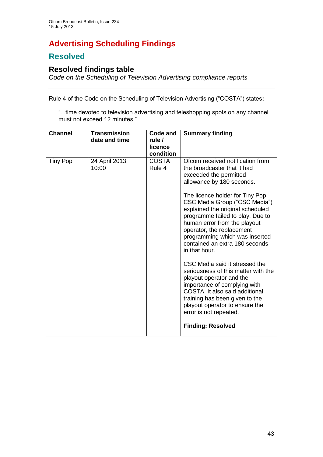# **Advertising Scheduling Findings**

## **Resolved**

### **Resolved findings table**

*Code on the Scheduling of Television Advertising compliance reports*

Rule 4 of the Code on the Scheduling of Television Advertising ("COSTA") states**:**

"...time devoted to television advertising and teleshopping spots on any channel must not exceed 12 minutes."

| <b>Channel</b>  | <b>Transmission</b><br>date and time | Code and<br>rule /<br>licence<br>condition | <b>Summary finding</b>                                                                                                                                                                                                                                                                                                                                                                                                                                                                                                                                                                                                                                                                                                |
|-----------------|--------------------------------------|--------------------------------------------|-----------------------------------------------------------------------------------------------------------------------------------------------------------------------------------------------------------------------------------------------------------------------------------------------------------------------------------------------------------------------------------------------------------------------------------------------------------------------------------------------------------------------------------------------------------------------------------------------------------------------------------------------------------------------------------------------------------------------|
| <b>Tiny Pop</b> | 24 April 2013,<br>10:00              | <b>COSTA</b><br>Rule 4                     | Ofcom received notification from<br>the broadcaster that it had<br>exceeded the permitted<br>allowance by 180 seconds.<br>The licence holder for Tiny Pop<br>CSC Media Group ("CSC Media")<br>explained the original scheduled<br>programme failed to play. Due to<br>human error from the playout<br>operator, the replacement<br>programming which was inserted<br>contained an extra 180 seconds<br>in that hour.<br>CSC Media said it stressed the<br>seriousness of this matter with the<br>playout operator and the<br>importance of complying with<br>COSTA. It also said additional<br>training has been given to the<br>playout operator to ensure the<br>error is not repeated.<br><b>Finding: Resolved</b> |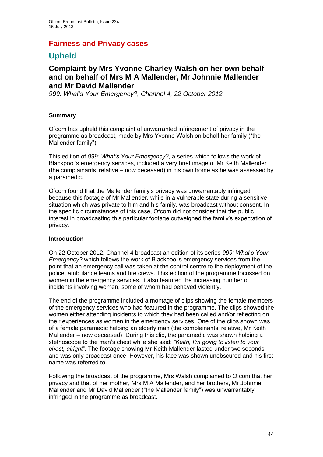### **Fairness and Privacy cases**

### **Upheld**

### **Complaint by Mrs Yvonne-Charley Walsh on her own behalf and on behalf of Mrs M A Mallender, Mr Johnnie Mallender and Mr David Mallender**

*999: What's Your Emergency?, Channel 4, 22 October 2012*

#### **Summary**

Ofcom has upheld this complaint of unwarranted infringement of privacy in the programme as broadcast, made by Mrs Yvonne Walsh on behalf her family ("the Mallender family").

This edition of *999: What's Your Emergency?*, a series which follows the work of Blackpool's emergency services, included a very brief image of Mr Keith Mallender (the complainants' relative – now deceased) in his own home as he was assessed by a paramedic.

Ofcom found that the Mallender family's privacy was unwarrantably infringed because this footage of Mr Mallender, while in a vulnerable state during a sensitive situation which was private to him and his family, was broadcast without consent. In the specific circumstances of this case, Ofcom did not consider that the public interest in broadcasting this particular footage outweighed the family's expectation of privacy.

#### **Introduction**

On 22 October 2012, Channel 4 broadcast an edition of its series *999: What's Your Emergency?* which follows the work of Blackpool's emergency services from the point that an emergency call was taken at the control centre to the deployment of the police, ambulance teams and fire crews. This edition of the programme focussed on women in the emergency services. It also featured the increasing number of incidents involving women, some of whom had behaved violently.

The end of the programme included a montage of clips showing the female members of the emergency services who had featured in the programme. The clips showed the women either attending incidents to which they had been called and/or reflecting on their experiences as women in the emergency services. One of the clips shown was of a female paramedic helping an elderly man (the complainants' relative, Mr Keith Mallender – now deceased). During this clip, the paramedic was shown holding a stethoscope to the man's chest while she said: *"Keith, I'm going to listen to your chest, alright"*. The footage showing Mr Keith Mallender lasted under two seconds and was only broadcast once. However, his face was shown unobscured and his first name was referred to.

Following the broadcast of the programme, Mrs Walsh complained to Ofcom that her privacy and that of her mother, Mrs M A Mallender, and her brothers, Mr Johnnie Mallender and Mr David Mallender ("the Mallender family") was unwarrantably infringed in the programme as broadcast.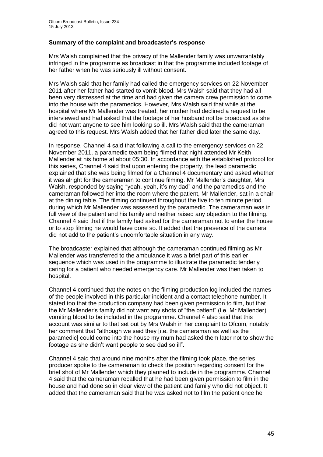#### **Summary of the complaint and broadcaster's response**

Mrs Walsh complained that the privacy of the Mallender family was unwarrantably infringed in the programme as broadcast in that the programme included footage of her father when he was seriously ill without consent.

Mrs Walsh said that her family had called the emergency services on 22 November 2011 after her father had started to vomit blood. Mrs Walsh said that they had all been very distressed at the time and had given the camera crew permission to come into the house with the paramedics. However, Mrs Walsh said that while at the hospital where Mr Mallender was treated, her mother had declined a request to be interviewed and had asked that the footage of her husband not be broadcast as she did not want anyone to see him looking so ill. Mrs Walsh said that the cameraman agreed to this request. Mrs Walsh added that her father died later the same day.

In response, Channel 4 said that following a call to the emergency services on 22 November 2011, a paramedic team being filmed that night attended Mr Keith Mallender at his home at about 05:30. In accordance with the established protocol for this series, Channel 4 said that upon entering the property, the lead paramedic explained that she was being filmed for a Channel 4 documentary and asked whether it was alright for the cameraman to continue filming. Mr Mallender's daughter, Mrs Walsh, responded by saying "yeah, yeah, it's my dad" and the paramedics and the cameraman followed her into the room where the patient, Mr Mallender, sat in a chair at the dining table. The filming continued throughout the five to ten minute period during which Mr Mallender was assessed by the paramedic. The cameraman was in full view of the patient and his family and neither raised any objection to the filming. Channel 4 said that if the family had asked for the cameraman not to enter the house or to stop filming he would have done so. It added that the presence of the camera did not add to the patient's uncomfortable situation in any way.

The broadcaster explained that although the cameraman continued filming as Mr Mallender was transferred to the ambulance it was a brief part of this earlier sequence which was used in the programme to illustrate the paramedic tenderly caring for a patient who needed emergency care. Mr Mallender was then taken to hospital.

Channel 4 continued that the notes on the filming production log included the names of the people involved in this particular incident and a contact telephone number. It stated too that the production company had been given permission to film, but that the Mr Mallender's family did not want any shots of "the patient" (i.e. Mr Mallender) vomiting blood to be included in the programme. Channel 4 also said that this account was similar to that set out by Mrs Walsh in her complaint to Ofcom, notably her comment that "although we said they [i.e. the cameraman as well as the paramedic] could come into the house my mum had asked them later not to show the footage as she didn't want people to see dad so ill".

Channel 4 said that around nine months after the filming took place, the series producer spoke to the cameraman to check the position regarding consent for the brief shot of Mr Mallender which they planned to include in the programme. Channel 4 said that the cameraman recalled that he had been given permission to film in the house and had done so in clear view of the patient and family who did not object. It added that the cameraman said that he was asked not to film the patient once he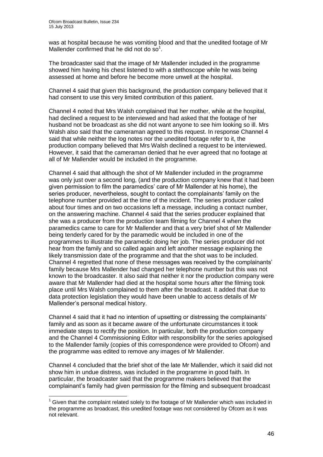1

was at hospital because he was vomiting blood and that the unedited footage of Mr Mallender confirmed that he did not do  $\overline{so}^1$ .

The broadcaster said that the image of Mr Mallender included in the programme showed him having his chest listened to with a stethoscope while he was being assessed at home and before he become more unwell at the hospital.

Channel 4 said that given this background, the production company believed that it had consent to use this very limited contribution of this patient.

Channel 4 noted that Mrs Walsh complained that her mother, while at the hospital, had declined a request to be interviewed and had asked that the footage of her husband not be broadcast as she did not want anyone to see him looking so ill. Mrs Walsh also said that the cameraman agreed to this request. In response Channel 4 said that while neither the log notes nor the unedited footage refer to it, the production company believed that Mrs Walsh declined a request to be interviewed. However, it said that the cameraman denied that he ever agreed that no footage at all of Mr Mallender would be included in the programme.

Channel 4 said that although the shot of Mr Mallender included in the programme was only just over a second long, (and the production company knew that it had been given permission to film the paramedics' care of Mr Mallender at his home), the series producer, nevertheless, sought to contact the complainants' family on the telephone number provided at the time of the incident. The series producer called about four times and on two occasions left a message, including a contact number, on the answering machine. Channel 4 said that the series producer explained that she was a producer from the production team filming for Channel 4 when the paramedics came to care for Mr Mallender and that a very brief shot of Mr Mallender being tenderly cared for by the paramedic would be included in one of the programmes to illustrate the paramedic doing her job. The series producer did not hear from the family and so called again and left another message explaining the likely transmission date of the programme and that the shot was to be included. Channel 4 regretted that none of these messages was received by the complainants' family because Mrs Mallender had changed her telephone number but this was not known to the broadcaster. It also said that neither it nor the production company were aware that Mr Mallender had died at the hospital some hours after the filming took place until Mrs Walsh complained to them after the broadcast. It added that due to data protection legislation they would have been unable to access details of Mr Mallender's personal medical history.

Channel 4 said that it had no intention of upsetting or distressing the complainants' family and as soon as it became aware of the unfortunate circumstances it took immediate steps to rectify the position. In particular, both the production company and the Channel 4 Commissioning Editor with responsibility for the series apologised to the Mallender family (copies of this correspondence were provided to Ofcom) and the programme was edited to remove any images of Mr Mallender.

Channel 4 concluded that the brief shot of the late Mr Mallender, which it said did not show him in undue distress, was included in the programme in good faith. In particular, the broadcaster said that the programme makers believed that the complainant's family had given permission for the filming and subsequent broadcast

 $<sup>1</sup>$  Given that the complaint related solely to the footage of Mr Mallender which was included in</sup> the programme as broadcast, this unedited footage was not considered by Ofcom as it was not relevant.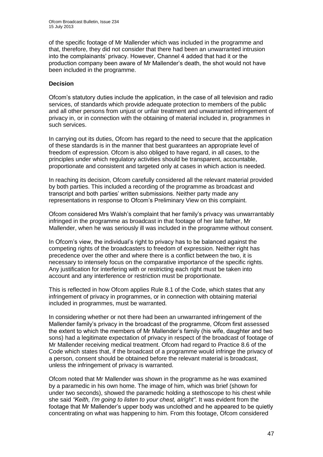of the specific footage of Mr Mallender which was included in the programme and that, therefore, they did not consider that there had been an unwarranted intrusion into the complainants' privacy. However, Channel 4 added that had it or the production company been aware of Mr Mallender's death, the shot would not have been included in the programme.

#### **Decision**

Ofcom's statutory duties include the application, in the case of all television and radio services, of standards which provide adequate protection to members of the public and all other persons from unjust or unfair treatment and unwarranted infringement of privacy in, or in connection with the obtaining of material included in, programmes in such services.

In carrying out its duties, Ofcom has regard to the need to secure that the application of these standards is in the manner that best guarantees an appropriate level of freedom of expression. Ofcom is also obliged to have regard, in all cases, to the principles under which regulatory activities should be transparent, accountable, proportionate and consistent and targeted only at cases in which action is needed.

In reaching its decision, Ofcom carefully considered all the relevant material provided by both parties. This included a recording of the programme as broadcast and transcript and both parties' written submissions. Neither party made any representations in response to Ofcom's Preliminary View on this complaint.

Ofcom considered Mrs Walsh's complaint that her family's privacy was unwarrantably infringed in the programme as broadcast in that footage of her late father, Mr Mallender, when he was seriously ill was included in the programme without consent.

In Ofcom's view, the individual's right to privacy has to be balanced against the competing rights of the broadcasters to freedom of expression. Neither right has precedence over the other and where there is a conflict between the two, it is necessary to intensely focus on the comparative importance of the specific rights. Any justification for interfering with or restricting each right must be taken into account and any interference or restriction must be proportionate.

This is reflected in how Ofcom applies Rule 8.1 of the Code, which states that any infringement of privacy in programmes, or in connection with obtaining material included in programmes, must be warranted.

In considering whether or not there had been an unwarranted infringement of the Mallender family's privacy in the broadcast of the programme, Ofcom first assessed the extent to which the members of Mr Mallender's family (his wife, daughter and two sons) had a legitimate expectation of privacy in respect of the broadcast of footage of Mr Mallender receiving medical treatment. Ofcom had regard to Practice 8.6 of the Code which states that, if the broadcast of a programme would infringe the privacy of a person, consent should be obtained before the relevant material is broadcast, unless the infringement of privacy is warranted.

Ofcom noted that Mr Mallender was shown in the programme as he was examined by a paramedic in his own home. The image of him, which was brief (shown for under two seconds), showed the paramedic holding a stethoscope to his chest while she said *"Keith, I'm going to listen to your chest, alright"*. It was evident from the footage that Mr Mallender's upper body was unclothed and he appeared to be quietly concentrating on what was happening to him. From this footage, Ofcom considered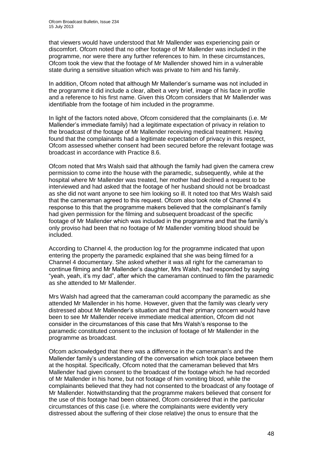that viewers would have understood that Mr Mallender was experiencing pain or discomfort. Ofcom noted that no other footage of Mr Mallender was included in the programme, nor were there any further references to him. In these circumstances, Ofcom took the view that the footage of Mr Mallender showed him in a vulnerable state during a sensitive situation which was private to him and his family.

In addition, Ofcom noted that although Mr Mallender's surname was not included in the programme it did include a clear, albeit a very brief, image of his face in profile and a reference to his first name. Given this Ofcom considers that Mr Mallender was identifiable from the footage of him included in the programme.

In light of the factors noted above, Ofcom considered that the complainants (i.e. Mr Mallender's immediate family) had a legitimate expectation of privacy in relation to the broadcast of the footage of Mr Mallender receiving medical treatment. Having found that the complainants had a legitimate expectation of privacy in this respect, Ofcom assessed whether consent had been secured before the relevant footage was broadcast in accordance with Practice 8.6.

Ofcom noted that Mrs Walsh said that although the family had given the camera crew permission to come into the house with the paramedic, subsequently, while at the hospital where Mr Mallender was treated, her mother had declined a request to be interviewed and had asked that the footage of her husband should not be broadcast as she did not want anyone to see him looking so ill. It noted too that Mrs Walsh said that the cameraman agreed to this request. Ofcom also took note of Channel 4's response to this that the programme makers believed that the complainant's family had given permission for the filming and subsequent broadcast of the specific footage of Mr Mallender which was included in the programme and that the family's only proviso had been that no footage of Mr Mallender vomiting blood should be included.

According to Channel 4, the production log for the programme indicated that upon entering the property the paramedic explained that she was being filmed for a Channel 4 documentary. She asked whether it was all right for the cameraman to continue filming and Mr Mallender's daughter, Mrs Walsh, had responded by saying "yeah, yeah, it's my dad", after which the cameraman continued to film the paramedic as she attended to Mr Mallender.

Mrs Walsh had agreed that the cameraman could accompany the paramedic as she attended Mr Mallender in his home. However, given that the family was clearly very distressed about Mr Mallender's situation and that their primary concern would have been to see Mr Mallender receive immediate medical attention, Ofcom did not consider in the circumstances of this case that Mrs Walsh's response to the paramedic constituted consent to the inclusion of footage of Mr Mallender in the programme as broadcast.

Ofcom acknowledged that there was a difference in the cameraman's and the Mallender family's understanding of the conversation which took place between them at the hospital. Specifically, Ofcom noted that the cameraman believed that Mrs Mallender had given consent to the broadcast of the footage which he had recorded of Mr Mallender in his home, but not footage of him vomiting blood, while the complainants believed that they had not consented to the broadcast of any footage of Mr Mallender. Notwithstanding that the programme makers believed that consent for the use of this footage had been obtained, Ofcom considered that in the particular circumstances of this case (i.e. where the complainants were evidently very distressed about the suffering of their close relative) the onus to ensure that the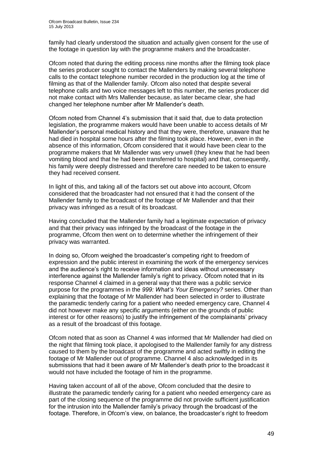family had clearly understood the situation and actually given consent for the use of the footage in question lay with the programme makers and the broadcaster.

Ofcom noted that during the editing process nine months after the filming took place the series producer sought to contact the Mallenders by making several telephone calls to the contact telephone number recorded in the production log at the time of filming as that of the Mallender family. Ofcom also noted that despite several telephone calls and two voice messages left to this number, the series producer did not make contact with Mrs Mallender because, as later became clear, she had changed her telephone number after Mr Mallender's death.

Ofcom noted from Channel 4's submission that it said that, due to data protection legislation, the programme makers would have been unable to access details of Mr Mallender's personal medical history and that they were, therefore, unaware that he had died in hospital some hours after the filming took place. However, even in the absence of this information, Ofcom considered that it would have been clear to the programme makers that Mr Mallender was very unwell (they knew that he had been vomiting blood and that he had been transferred to hospital) and that, consequently, his family were deeply distressed and therefore care needed to be taken to ensure they had received consent.

In light of this, and taking all of the factors set out above into account, Ofcom considered that the broadcaster had not ensured that it had the consent of the Mallender family to the broadcast of the footage of Mr Mallender and that their privacy was infringed as a result of its broadcast.

Having concluded that the Mallender family had a legitimate expectation of privacy and that their privacy was infringed by the broadcast of the footage in the programme, Ofcom then went on to determine whether the infringement of their privacy was warranted.

In doing so, Ofcom weighed the broadcaster's competing right to freedom of expression and the public interest in examining the work of the emergency services and the audience's right to receive information and ideas without unnecessary interference against the Mallender family's right to privacy. Ofcom noted that in its response Channel 4 claimed in a general way that there was a public service purpose for the programmes in the *999: What's Your Emergency?* series. Other than explaining that the footage of Mr Mallender had been selected in order to illustrate the paramedic tenderly caring for a patient who needed emergency care, Channel 4 did not however make any specific arguments (either on the grounds of public interest or for other reasons) to justify the infringement of the complainants' privacy as a result of the broadcast of this footage.

Ofcom noted that as soon as Channel 4 was informed that Mr Mallender had died on the night that filming took place, it apologised to the Mallender family for any distress caused to them by the broadcast of the programme and acted swiftly in editing the footage of Mr Mallender out of programme. Channel 4 also acknowledged in its submissions that had it been aware of Mr Mallender's death prior to the broadcast it would not have included the footage of him in the programme.

Having taken account of all of the above, Ofcom concluded that the desire to illustrate the paramedic tenderly caring for a patient who needed emergency care as part of the closing sequence of the programme did not provide sufficient justification for the intrusion into the Mallender family's privacy through the broadcast of the footage. Therefore, in Ofcom's view, on balance, the broadcaster's right to freedom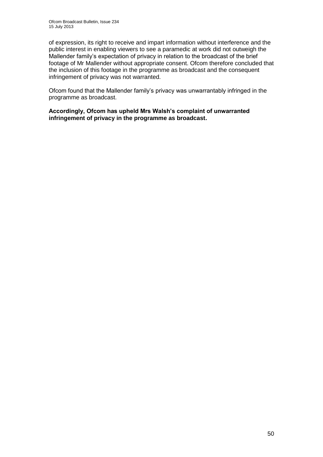of expression, its right to receive and impart information without interference and the public interest in enabling viewers to see a paramedic at work did not outweigh the Mallender family's expectation of privacy in relation to the broadcast of the brief footage of Mr Mallender without appropriate consent. Ofcom therefore concluded that the inclusion of this footage in the programme as broadcast and the consequent infringement of privacy was not warranted.

Ofcom found that the Mallender family's privacy was unwarrantably infringed in the programme as broadcast.

**Accordingly, Ofcom has upheld Mrs Walsh's complaint of unwarranted infringement of privacy in the programme as broadcast.**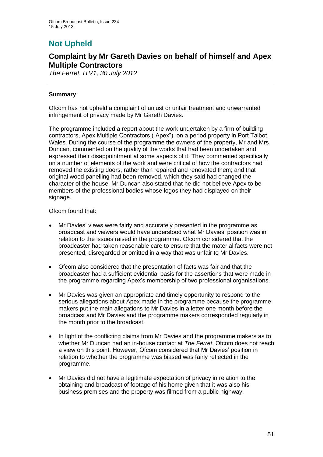# **Not Upheld**

### **Complaint by Mr Gareth Davies on behalf of himself and Apex Multiple Contractors**

*The Ferret, ITV1, 30 July 2012*

#### **Summary**

Ofcom has not upheld a complaint of unjust or unfair treatment and unwarranted infringement of privacy made by Mr Gareth Davies.

The programme included a report about the work undertaken by a firm of building contractors, Apex Multiple Contractors ("Apex"), on a period property in Port Talbot, Wales. During the course of the programme the owners of the property, Mr and Mrs Duncan, commented on the quality of the works that had been undertaken and expressed their disappointment at some aspects of it. They commented specifically on a number of elements of the work and were critical of how the contractors had removed the existing doors, rather than repaired and renovated them; and that original wood panelling had been removed, which they said had changed the character of the house. Mr Duncan also stated that he did not believe Apex to be members of the professional bodies whose logos they had displayed on their signage.

#### Ofcom found that:

- Mr Davies' views were fairly and accurately presented in the programme as broadcast and viewers would have understood what Mr Davies' position was in relation to the issues raised in the programme. Ofcom considered that the broadcaster had taken reasonable care to ensure that the material facts were not presented, disregarded or omitted in a way that was unfair to Mr Davies.
- Ofcom also considered that the presentation of facts was fair and that the broadcaster had a sufficient evidential basis for the assertions that were made in the programme regarding Apex's membership of two professional organisations.
- Mr Davies was given an appropriate and timely opportunity to respond to the serious allegations about Apex made in the programme because the programme makers put the main allegations to Mr Davies in a letter one month before the broadcast and Mr Davies and the programme makers corresponded regularly in the month prior to the broadcast.
- In light of the conflicting claims from Mr Davies and the programme makers as to whether Mr Duncan had an in-house contact at *The Ferret*, Ofcom does not reach a view on this point. However, Ofcom considered that Mr Davies' position in relation to whether the programme was biased was fairly reflected in the programme.
- Mr Davies did not have a legitimate expectation of privacy in relation to the obtaining and broadcast of footage of his home given that it was also his business premises and the property was filmed from a public highway.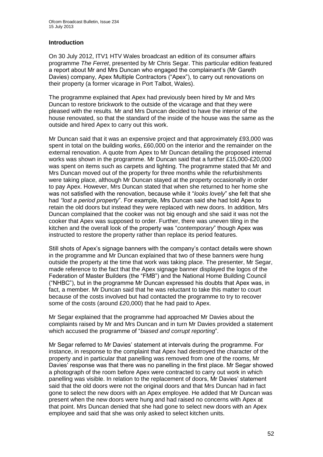#### **Introduction**

On 30 July 2012, ITV1 HTV Wales broadcast an edition of its consumer affairs programme *The Ferret*, presented by Mr Chris Segar. This particular edition featured a report about Mr and Mrs Duncan who engaged the complainant's (Mr Gareth Davies) company, Apex Multiple Contractors ("Apex"), to carry out renovations on their property (a former vicarage in Port Talbot, Wales).

The programme explained that Apex had previously been hired by Mr and Mrs Duncan to restore brickwork to the outside of the vicarage and that they were pleased with the results. Mr and Mrs Duncan decided to have the interior of the house renovated, so that the standard of the inside of the house was the same as the outside and hired Apex to carry out this work.

Mr Duncan said that it was an expensive project and that approximately £93,000 was spent in total on the building works, £60,000 on the interior and the remainder on the external renovation. A quote from Apex to Mr Duncan detailing the proposed internal works was shown in the programme. Mr Duncan said that a further £15,000-£20,000 was spent on items such as carpets and lighting. The programme stated that Mr and Mrs Duncan moved out of the property for three months while the refurbishments were taking place, although Mr Duncan stayed at the property occasionally in order to pay Apex. However, Mrs Duncan stated that when she returned to her home she was not satisfied with the renovation, because while it "*looks lovely*" she felt that she had *"lost a period property*". For example, Mrs Duncan said she had told Apex to retain the old doors but instead they were replaced with new doors. In addition, Mrs Duncan complained that the cooker was not big enough and she said it was not the cooker that Apex was supposed to order. Further, there was uneven tiling in the kitchen and the overall look of the property was "*contemporary*" though Apex was instructed to restore the property rather than replace its period features.

Still shots of Apex's signage banners with the company's contact details were shown in the programme and Mr Duncan explained that two of these banners were hung outside the property at the time that work was taking place. The presenter, Mr Segar, made reference to the fact that the Apex signage banner displayed the logos of the Federation of Master Builders (the "FMB") and the National Home Building Council ("NHBC"), but in the programme Mr Duncan expressed his doubts that Apex was, in fact, a member. Mr Duncan said that he was reluctant to take this matter to court because of the costs involved but had contacted the programme to try to recover some of the costs (around £20,000) that he had paid to Apex.

Mr Segar explained that the programme had approached Mr Davies about the complaints raised by Mr and Mrs Duncan and in turn Mr Davies provided a statement which accused the programme of "*biased and corrupt reporting*".

Mr Segar referred to Mr Davies' statement at intervals during the programme. For instance, in response to the complaint that Apex had destroyed the character of the property and in particular that panelling was removed from one of the rooms, Mr Davies' response was that there was no panelling in the first place. Mr Segar showed a photograph of the room before Apex were contracted to carry out work in which panelling was visible. In relation to the replacement of doors, Mr Davies' statement said that the old doors were not the original doors and that Mrs Duncan had in fact gone to select the new doors with an Apex employee. He added that Mr Duncan was present when the new doors were hung and had raised no concerns with Apex at that point. Mrs Duncan denied that she had gone to select new doors with an Apex employee and said that she was only asked to select kitchen units.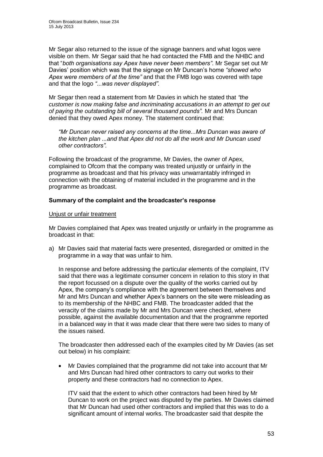Mr Segar also returned to the issue of the signage banners and what logos were visible on them. Mr Segar said that he had contacted the FMB and the NHBC and that "*both organisations say Apex have never been members"*. Mr Segar set out Mr Davies' position which was that the signage on Mr Duncan's home *"showed who Apex were members of at the time"* and that the FMB logo was covered with tape and that the logo *"...was never displayed".* 

Mr Segar then read a statement from Mr Davies in which he stated that *"the customer is now making false and incriminating accusations in an attempt to get out of paying the outstanding bill of several thousand pounds".* Mr and Mrs Duncan denied that they owed Apex money. The statement continued that:

*"Mr Duncan never raised any concerns at the time...Mrs Duncan was aware of the kitchen plan ...and that Apex did not do all the work and Mr Duncan used other contractors".*

Following the broadcast of the programme, Mr Davies, the owner of Apex, complained to Ofcom that the company was treated unjustly or unfairly in the programme as broadcast and that his privacy was unwarrantably infringed in connection with the obtaining of material included in the programme and in the programme as broadcast.

#### **Summary of the complaint and the broadcaster's response**

#### Unjust or unfair treatment

Mr Davies complained that Apex was treated unjustly or unfairly in the programme as broadcast in that:

a) Mr Davies said that material facts were presented, disregarded or omitted in the programme in a way that was unfair to him.

In response and before addressing the particular elements of the complaint, ITV said that there was a legitimate consumer concern in relation to this story in that the report focussed on a dispute over the quality of the works carried out by Apex, the company's compliance with the agreement between themselves and Mr and Mrs Duncan and whether Apex's banners on the site were misleading as to its membership of the NHBC and FMB. The broadcaster added that the veracity of the claims made by Mr and Mrs Duncan were checked, where possible, against the available documentation and that the programme reported in a balanced way in that it was made clear that there were two sides to many of the issues raised.

The broadcaster then addressed each of the examples cited by Mr Davies (as set out below) in his complaint:

 Mr Davies complained that the programme did not take into account that Mr and Mrs Duncan had hired other contractors to carry out works to their property and these contractors had no connection to Apex.

ITV said that the extent to which other contractors had been hired by Mr Duncan to work on the project was disputed by the parties. Mr Davies claimed that Mr Duncan had used other contractors and implied that this was to do a significant amount of internal works. The broadcaster said that despite the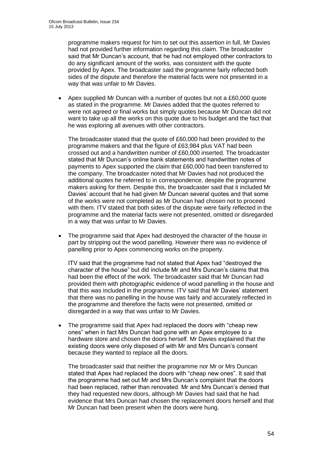programme makers request for him to set out this assertion in full, Mr Davies had not provided further information regarding this claim. The broadcaster said that Mr Duncan's account, that he had not employed other contractors to do any significant amount of the works, was consistent with the quote provided by Apex. The broadcaster said the programme fairly reflected both sides of the dispute and therefore the material facts were not presented in a way that was unfair to Mr Davies.

 Apex supplied Mr Duncan with a number of quotes but not a £60,000 quote as stated in the programme. Mr Davies added that the quotes referred to were not agreed or final works but simply quotes because Mr Duncan did not want to take up all the works on this quote due to his budget and the fact that he was exploring all avenues with other contractors.

The broadcaster stated that the quote of £60,000 had been provided to the programme makers and that the figure of £63,984 plus VAT had been crossed out and a handwritten number of £60,000 inserted. The broadcaster stated that Mr Duncan's online bank statements and handwritten notes of payments to Apex supported the claim that £60,000 had been transferred to the company. The broadcaster noted that Mr Davies had not produced the additional quotes he referred to in correspondence, despite the programme makers asking for them. Despite this, the broadcaster said that it included Mr Davies' account that he had given Mr Duncan several quotes and that some of the works were not completed as Mr Duncan had chosen not to proceed with them. ITV stated that both sides of the dispute were fairly reflected in the programme and the material facts were not presented, omitted or disregarded in a way that was unfair to Mr Davies.

• The programme said that Apex had destroyed the character of the house in part by stripping out the wood panelling. However there was no evidence of panelling prior to Apex commencing works on the property.

ITV said that the programme had not stated that Apex had "destroyed the character of the house" but did include Mr and Mrs Duncan's claims that this had been the effect of the work. The broadcaster said that Mr Duncan had provided them with photographic evidence of wood panelling in the house and that this was included in the programme. ITV said that Mr Davies' statement that there was no panelling in the house was fairly and accurately reflected in the programme and therefore the facts were not presented, omitted or disregarded in a way that was unfair to Mr Davies.

• The programme said that Apex had replaced the doors with "cheap new ones" when in fact Mrs Duncan had gone with an Apex employee to a hardware store and chosen the doors herself. Mr Davies explained that the existing doors were only disposed of with Mr and Mrs Duncan's consent because they wanted to replace all the doors.

The broadcaster said that neither the programme nor Mr or Mrs Duncan stated that Apex had replaced the doors with "cheap new ones". It said that the programme had set out Mr and Mrs Duncan's complaint that the doors had been replaced, rather than renovated. Mr and Mrs Duncan's denied that they had requested new doors, although Mr Davies had said that he had evidence that Mrs Duncan had chosen the replacement doors herself and that Mr Duncan had been present when the doors were hung.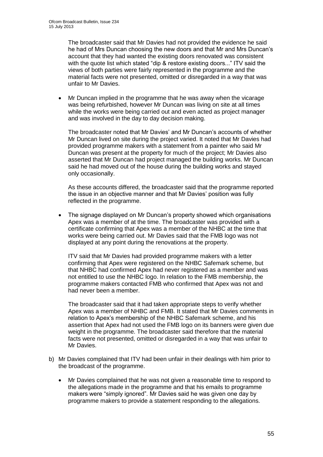The broadcaster said that Mr Davies had not provided the evidence he said he had of Mrs Duncan choosing the new doors and that Mr and Mrs Duncan's account that they had wanted the existing doors renovated was consistent with the quote list which stated "dip & restore existing doors..." ITV said the views of both parties were fairly represented in the programme and the material facts were not presented, omitted or disregarded in a way that was unfair to Mr Davies.

 Mr Duncan implied in the programme that he was away when the vicarage was being refurbished, however Mr Duncan was living on site at all times while the works were being carried out and even acted as project manager and was involved in the day to day decision making.

The broadcaster noted that Mr Davies' and Mr Duncan's accounts of whether Mr Duncan lived on site during the project varied. It noted that Mr Davies had provided programme makers with a statement from a painter who said Mr Duncan was present at the property for much of the project; Mr Davies also asserted that Mr Duncan had project managed the building works. Mr Duncan said he had moved out of the house during the building works and stayed only occasionally.

As these accounts differed, the broadcaster said that the programme reported the issue in an objective manner and that Mr Davies' position was fully reflected in the programme.

 The signage displayed on Mr Duncan's property showed which organisations Apex was a member of at the time. The broadcaster was provided with a certificate confirming that Apex was a member of the NHBC at the time that works were being carried out. Mr Davies said that the FMB logo was not displayed at any point during the renovations at the property.

ITV said that Mr Davies had provided programme makers with a letter confirming that Apex were registered on the NHBC Safemark scheme, but that NHBC had confirmed Apex had never registered as a member and was not entitled to use the NHBC logo. In relation to the FMB membership, the programme makers contacted FMB who confirmed that Apex was not and had never been a member.

The broadcaster said that it had taken appropriate steps to verify whether Apex was a member of NHBC and FMB. It stated that Mr Davies comments in relation to Apex's membership of the NHBC Safemark scheme, and his assertion that Apex had not used the FMB logo on its banners were given due weight in the programme. The broadcaster said therefore that the material facts were not presented, omitted or disregarded in a way that was unfair to Mr Davies.

- b) Mr Davies complained that ITV had been unfair in their dealings with him prior to the broadcast of the programme.
	- Mr Davies complained that he was not given a reasonable time to respond to the allegations made in the programme and that his emails to programme makers were "simply ignored". Mr Davies said he was given one day by programme makers to provide a statement responding to the allegations.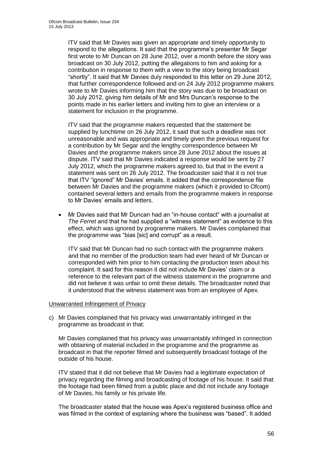ITV said that Mr Davies was given an appropriate and timely opportunity to respond to the allegations. It said that the programme's presenter Mr Segar first wrote to Mr Duncan on 28 June 2012, over a month before the story was broadcast on 30 July 2012, putting the allegations to him and asking for a contribution in response to them with a view to the story being broadcast "shortly". It said that Mr Davies duly responded to this letter on 29 June 2012, that further correspondence followed and on 24 July 2012 programme makers wrote to Mr Davies informing him that the story was due to be broadcast on 30 July 2012, giving him details of Mr and Mrs Duncan's response to the points made in his earlier letters and inviting him to give an interview or a statement for inclusion in the programme.

ITV said that the programme makers requested that the statement be supplied by lunchtime on 26 July 2012, it said that such a deadline was not unreasonable and was appropriate and timely given the previous request for a contribution by Mr Segar and the lengthy correspondence between Mr Davies and the programme makers since 28 June 2012 about the issues at dispute. ITV said that Mr Davies indicated a response would be sent by 27 July 2012, which the programme makers agreed to, but that in the event a statement was sent on 26 July 2012. The broadcaster said that it is not true that ITV "ignored" Mr Davies' emails. It added that the correspondence file between Mr Davies and the programme makers (which it provided to Ofcom) contained several letters and emails from the programme makers in response to Mr Davies' emails and letters.

 Mr Davies said that Mr Duncan had an "in-house contact" with a journalist at *The Ferret* and that he had supplied a "witness statement" as evidence to this effect, which was ignored by programme makers. Mr Davies complained that the programme was "bias [sic] and corrupt" as a result.

ITV said that Mr Duncan had no such contact with the programme makers and that no member of the production team had ever heard of Mr Duncan or corresponded with him prior to him contacting the production team about his complaint. It said for this reason it did not include Mr Davies' claim or a reference to the relevant part of the witness statement in the programme and did not believe it was unfair to omit these details. The broadcaster noted that it understood that the witness statement was from an employee of Apex.

#### Unwarranted Infringement of Privacy

c) Mr Davies complained that his privacy was unwarrantably infringed in the programme as broadcast in that:

Mr Davies complained that his privacy was unwarrantably infringed in connection with obtaining of material included in the programme and the programme as broadcast in that the reporter filmed and subsequently broadcast footage of the outside of his house.

ITV stated that it did not believe that Mr Davies had a legitimate expectation of privacy regarding the filming and broadcasting of footage of his house. It said that the footage had been filmed from a public place and did not include any footage of Mr Davies, his family or his private life.

The broadcaster stated that the house was Apex's registered business office and was filmed in the context of explaining where the business was "based". It added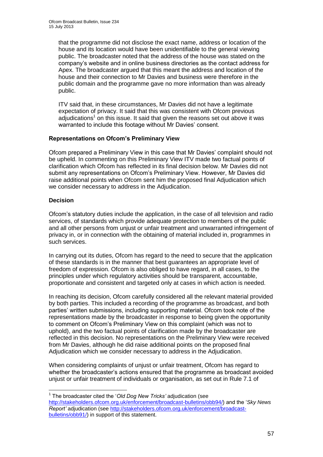that the programme did not disclose the exact name, address or location of the house and its location would have been unidentifiable to the general viewing public. The broadcaster noted that the address of the house was stated on the company's website and in online business directories as the contact address for Apex. The broadcaster argued that this meant the address and location of the house and their connection to Mr Davies and business were therefore in the public domain and the programme gave no more information than was already public.

ITV said that, in these circumstances, Mr Davies did not have a legitimate expectation of privacy. It said that this was consistent with Ofcom previous adjudications<sup>1</sup> on this issue. It said that given the reasons set out above it was warranted to include this footage without Mr Davies' consent.

#### **Representations on Ofcom's Preliminary View**

Ofcom prepared a Preliminary View in this case that Mr Davies' complaint should not be upheld. In commenting on this Preliminary View ITV made two factual points of clarification which Ofcom has reflected in its final decision below. Mr Davies did not submit any representations on Ofcom's Preliminary View. However, Mr Davies did raise additional points when Ofcom sent him the proposed final Adjudication which we consider necessary to address in the Adjudication.

#### **Decision**

1

Ofcom's statutory duties include the application, in the case of all television and radio services, of standards which provide adequate protection to members of the public and all other persons from unjust or unfair treatment and unwarranted infringement of privacy in, or in connection with the obtaining of material included in, programmes in such services.

In carrying out its duties, Ofcom has regard to the need to secure that the application of these standards is in the manner that best guarantees an appropriate level of freedom of expression. Ofcom is also obliged to have regard, in all cases, to the principles under which regulatory activities should be transparent, accountable, proportionate and consistent and targeted only at cases in which action is needed.

In reaching its decision, Ofcom carefully considered all the relevant material provided by both parties. This included a recording of the programme as broadcast, and both parties' written submissions, including supporting material. Ofcom took note of the representations made by the broadcaster in response to being given the opportunity to comment on Ofcom's Preliminary View on this complaint (which was not to uphold), and the two factual points of clarification made by the broadcaster are reflected in this decision. No representations on the Preliminary View were received from Mr Davies, although he did raise additional points on the proposed final Adjudication which we consider necessary to address in the Adjudication.

When considering complaints of unjust or unfair treatment, Ofcom has regard to whether the broadcaster's actions ensured that the programme as broadcast avoided unjust or unfair treatment of individuals or organisation, as set out in Rule 7.1 of

<sup>1</sup> The broadcaster cited the '*Old Dog New Tricks'* adjudication (see [http://stakeholders.ofcom.org.uk/enforcement/broadcast-bulletins/obb94/\)](http://stakeholders.ofcom.org.uk/enforcement/broadcast-bulletins/obb94/) and the '*Sky News Report'* adjudication (see [http://stakeholders.ofcom.org.uk/enforcement/broadcast](http://stakeholders.ofcom.org.uk/enforcement/broadcast-bulletins/obb91/)[bulletins/obb91/\)](http://stakeholders.ofcom.org.uk/enforcement/broadcast-bulletins/obb91/) in support of this statement.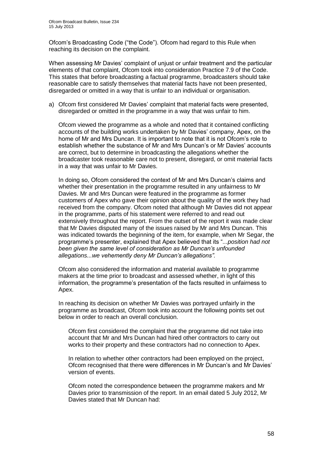Ofcom's Broadcasting Code ("the Code"). Ofcom had regard to this Rule when reaching its decision on the complaint.

When assessing Mr Davies' complaint of unjust or unfair treatment and the particular elements of that complaint, Ofcom took into consideration Practice 7.9 of the Code. This states that before broadcasting a factual programme, broadcasters should take reasonable care to satisfy themselves that material facts have not been presented, disregarded or omitted in a way that is unfair to an individual or organisation.

a) Ofcom first considered Mr Davies' complaint that material facts were presented, disregarded or omitted in the programme in a way that was unfair to him.

Ofcom viewed the programme as a whole and noted that it contained conflicting accounts of the building works undertaken by Mr Davies' company, Apex, on the home of Mr and Mrs Duncan. It is important to note that it is not Ofcom's role to establish whether the substance of Mr and Mrs Duncan's or Mr Davies' accounts are correct, but to determine in broadcasting the allegations whether the broadcaster took reasonable care not to present, disregard, or omit material facts in a way that was unfair to Mr Davies.

In doing so, Ofcom considered the context of Mr and Mrs Duncan's claims and whether their presentation in the programme resulted in any unfairness to Mr Davies. Mr and Mrs Duncan were featured in the programme as former customers of Apex who gave their opinion about the quality of the work they had received from the company. Ofcom noted that although Mr Davies did not appear in the programme, parts of his statement were referred to and read out extensively throughout the report. From the outset of the report it was made clear that Mr Davies disputed many of the issues raised by Mr and Mrs Duncan. This was indicated towards the beginning of the item, for example, when Mr Segar, the programme's presenter, explained that Apex believed that its "*...position had not been given the same level of consideration as Mr Duncan's unfounded allegations...we vehemently deny Mr Duncan's allegations".*

Ofcom also considered the information and material available to programme makers at the time prior to broadcast and assessed whether, in light of this information, the programme's presentation of the facts resulted in unfairness to Apex.

In reaching its decision on whether Mr Davies was portrayed unfairly in the programme as broadcast, Ofcom took into account the following points set out below in order to reach an overall conclusion.

Ofcom first considered the complaint that the programme did not take into account that Mr and Mrs Duncan had hired other contractors to carry out works to their property and these contractors had no connection to Apex.

In relation to whether other contractors had been employed on the project, Ofcom recognised that there were differences in Mr Duncan's and Mr Davies' version of events.

Ofcom noted the correspondence between the programme makers and Mr Davies prior to transmission of the report. In an email dated 5 July 2012, Mr Davies stated that Mr Duncan had: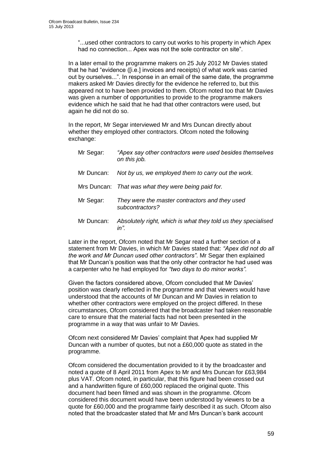"...used other contractors to carry out works to his property in which Apex had no connection... Apex was not the sole contractor on site".

In a later email to the programme makers on 25 July 2012 Mr Davies stated that he had "evidence ([i.e.] invoices and receipts) of what work was carried out by ourselves...". In response in an email of the same date, the programme makers asked Mr Davies directly for the evidence he referred to, but this appeared not to have been provided to them. Ofcom noted too that Mr Davies was given a number of opportunities to provide to the programme makers evidence which he said that he had that other contractors were used, but again he did not do so.

In the report, Mr Segar interviewed Mr and Mrs Duncan directly about whether they employed other contractors. Ofcom noted the following exchange:

| Mr Segar:  | "Apex say other contractors were used besides themselves<br>on this job. |
|------------|--------------------------------------------------------------------------|
| Mr Duncan: | Not by us, we employed them to carry out the work.                       |
|            | Mrs Duncan: That was what they were being paid for.                      |
| Mr Segar:  | They were the master contractors and they used<br>subcontractors?        |
| Mr Duncan: | Absolutely right, which is what they told us they specialised            |

Later in the report, Ofcom noted that Mr Segar read a further section of a statement from Mr Davies, in which Mr Davies stated that: *"Apex did not do all the work and Mr Duncan used other contractors"*. Mr Segar then explained that Mr Duncan's position was that the only other contractor he had used was a carpenter who he had employed for *"two days to do minor works".*

Given the factors considered above, Ofcom concluded that Mr Davies' position was clearly reflected in the programme and that viewers would have understood that the accounts of Mr Duncan and Mr Davies in relation to whether other contractors were employed on the project differed. In these circumstances, Ofcom considered that the broadcaster had taken reasonable care to ensure that the material facts had not been presented in the programme in a way that was unfair to Mr Davies.

Ofcom next considered Mr Davies' complaint that Apex had supplied Mr Duncan with a number of quotes, but not a £60,000 quote as stated in the programme.

Ofcom considered the documentation provided to it by the broadcaster and noted a quote of 8 April 2011 from Apex to Mr and Mrs Duncan for £63,984 plus VAT. Ofcom noted, in particular, that this figure had been crossed out and a handwritten figure of £60,000 replaced the original quote. This document had been filmed and was shown in the programme. Ofcom considered this document would have been understood by viewers to be a quote for £60,000 and the programme fairly described it as such. Ofcom also noted that the broadcaster stated that Mr and Mrs Duncan's bank account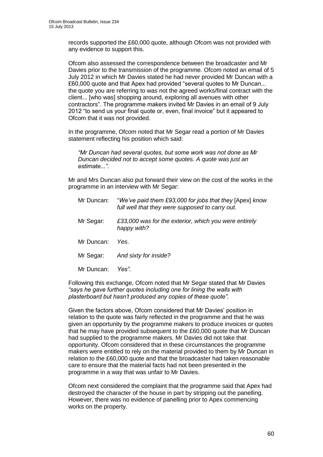records supported the £60,000 quote, although Ofcom was not provided with any evidence to support this.

Ofcom also assessed the correspondence between the broadcaster and Mr Davies prior to the transmission of the programme. Ofcom noted an email of 5 July 2012 in which Mr Davies stated he had never provided Mr Duncan with a £60,000 quote and that Apex had provided "several quotes to Mr Duncan... the quote you are referring to was not the agreed works/final contract with the client... [who was] shopping around, exploring all avenues with other contractors". The programme makers invited Mr Davies in an email of 9 July 2012 "to send us your final quote or, even, final invoice" but it appeared to Ofcom that it was not provided.

In the programme, Ofcom noted that Mr Segar read a portion of Mr Davies statement reflecting his position which said:

*"Mr Duncan had several quotes, but some work was not done as Mr Duncan decided not to accept some quotes. A quote was just an estimate...".*

Mr and Mrs Duncan also put forward their view on the cost of the works in the programme in an interview with Mr Segar:

| Mr Duncan: | "We've paid them £93,000 for jobs that they [Apex] know<br>full well that they were supposed to carry out. |
|------------|------------------------------------------------------------------------------------------------------------|
| Mr Segar:  | £33,000 was for the exterior, which you were entirely<br>happy with?                                       |
| Mr Duncan: | Yes.                                                                                                       |
| Mr Segar:  | And sixty for inside?                                                                                      |
| Mr Duncan: | Yes".                                                                                                      |

Following this exchange, Ofcom noted that Mr Segar stated that Mr Davies *"says he gave further quotes including one for lining the walls with plasterboard but hasn't produced any copies of these quote".*

Given the factors above, Ofcom considered that Mr Davies' position in relation to the quote was fairly reflected in the programme and that he was given an opportunity by the programme makers to produce invoices or quotes that he may have provided subsequent to the £60,000 quote that Mr Duncan had supplied to the programme makers. Mr Davies did not take that opportunity. Ofcom considered that in these circumstances the programme makers were entitled to rely on the material provided to them by Mr Duncan in relation to the £60,000 quote and that the broadcaster had taken reasonable care to ensure that the material facts had not been presented in the programme in a way that was unfair to Mr Davies.

Ofcom next considered the complaint that the programme said that Apex had destroyed the character of the house in part by stripping out the panelling. However, there was no evidence of panelling prior to Apex commencing works on the property.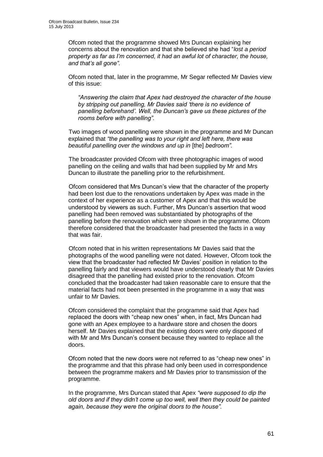Ofcom noted that the programme showed Mrs Duncan explaining her concerns about the renovation and that she believed she had "*lost a period property as far as I'm concerned, it had an awful lot of character, the house, and that's all gone".* 

Ofcom noted that, later in the programme, Mr Segar reflected Mr Davies view of this issue:

*"Answering the claim that Apex had destroyed the character of the house by stripping out panelling, Mr Davies said 'there is no evidence of panelling beforehand'. Well, the Duncan's gave us these pictures of the rooms before with panelling".*

Two images of wood panelling were shown in the programme and Mr Duncan explained that *"the panelling was to your right and left here, there was beautiful panelling over the windows and up in* [the] *bedroom".* 

The broadcaster provided Ofcom with three photographic images of wood panelling on the ceiling and walls that had been supplied by Mr and Mrs Duncan to illustrate the panelling prior to the refurbishment.

Ofcom considered that Mrs Duncan's view that the character of the property had been lost due to the renovations undertaken by Apex was made in the context of her experience as a customer of Apex and that this would be understood by viewers as such. Further, Mrs Duncan's assertion that wood panelling had been removed was substantiated by photographs of the panelling before the renovation which were shown in the programme. Ofcom therefore considered that the broadcaster had presented the facts in a way that was fair.

Ofcom noted that in his written representations Mr Davies said that the photographs of the wood panelling were not dated. However, Ofcom took the view that the broadcaster had reflected Mr Davies' position in relation to the panelling fairly and that viewers would have understood clearly that Mr Davies disagreed that the panelling had existed prior to the renovation. Ofcom concluded that the broadcaster had taken reasonable care to ensure that the material facts had not been presented in the programme in a way that was unfair to Mr Davies.

Ofcom considered the complaint that the programme said that Apex had replaced the doors with "cheap new ones" when, in fact, Mrs Duncan had gone with an Apex employee to a hardware store and chosen the doors herself. Mr Davies explained that the existing doors were only disposed of with Mr and Mrs Duncan's consent because they wanted to replace all the doors.

Ofcom noted that the new doors were not referred to as "cheap new ones" in the programme and that this phrase had only been used in correspondence between the programme makers and Mr Davies prior to transmission of the programme.

In the programme, Mrs Duncan stated that Apex *"were supposed to dip the old doors and if they didn't come up too well, well then they could be painted again, because they were the original doors to the house".*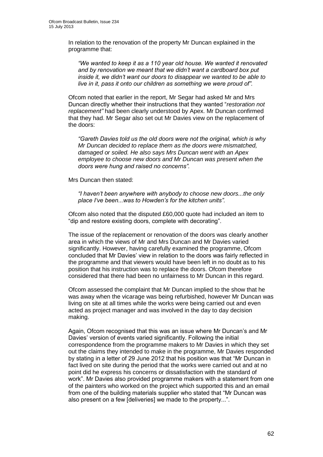In relation to the renovation of the property Mr Duncan explained in the programme that:

*"We wanted to keep it as a 110 year old house. We wanted it renovated and by renovation we meant that we didn't want a cardboard box put inside it, we didn't want our doors to disappear we wanted to be able to live in it, pass it onto our children as something we were proud of".*

Ofcom noted that earlier in the report, Mr Segar had asked Mr and Mrs Duncan directly whether their instructions that they wanted "*restoration not replacement"* had been clearly understood by Apex. Mr Duncan confirmed that they had. Mr Segar also set out Mr Davies view on the replacement of the doors:

*"Gareth Davies told us the old doors were not the original, which is why Mr Duncan decided to replace them as the doors were mismatched, damaged or soiled. He also says Mrs Duncan went with an Apex employee to choose new doors and Mr Duncan was present when the doors were hung and raised no concerns".*

Mrs Duncan then stated:

*"I haven't been anywhere with anybody to choose new doors...the only place I've been...was to Howden's for the kitchen units".*

Ofcom also noted that the disputed £60,000 quote had included an item to "dip and restore existing doors, complete with decorating".

The issue of the replacement or renovation of the doors was clearly another area in which the views of Mr and Mrs Duncan and Mr Davies varied significantly. However, having carefully examined the programme, Ofcom concluded that Mr Davies' view in relation to the doors was fairly reflected in the programme and that viewers would have been left in no doubt as to his position that his instruction was to replace the doors. Ofcom therefore considered that there had been no unfairness to Mr Duncan in this regard.

Ofcom assessed the complaint that Mr Duncan implied to the show that he was away when the vicarage was being refurbished, however Mr Duncan was living on site at all times while the works were being carried out and even acted as project manager and was involved in the day to day decision making.

Again, Ofcom recognised that this was an issue where Mr Duncan's and Mr Davies' version of events varied significantly. Following the initial correspondence from the programme makers to Mr Davies in which they set out the claims they intended to make in the programme, Mr Davies responded by stating in a letter of 29 June 2012 that his position was that "Mr Duncan in fact lived on site during the period that the works were carried out and at no point did he express his concerns or dissatisfaction with the standard of work". Mr Davies also provided programme makers with a statement from one of the painters who worked on the project which supported this and an email from one of the building materials supplier who stated that "Mr Duncan was also present on a few [deliveries] we made to the property...".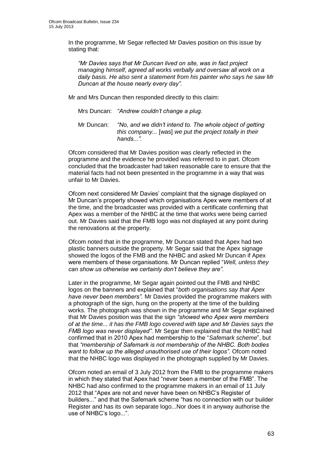In the programme, Mr Segar reflected Mr Davies position on this issue by stating that:

*"Mr Davies says that Mr Duncan lived on site, was in fact project managing himself, agreed all works verbally and oversaw all work on a daily basis. He also sent a statement from his painter who says he saw Mr Duncan at the house nearly every day".*

Mr and Mrs Duncan then responded directly to this claim:

Mrs Duncan: *"Andrew couldn't change a plug.*

Mr Duncan: *"No, and we didn't intend to. The whole object of getting this company...* [was] *we put the project totally in their hands...".* 

Ofcom considered that Mr Davies position was clearly reflected in the programme and the evidence he provided was referred to in part. Ofcom concluded that the broadcaster had taken reasonable care to ensure that the material facts had not been presented in the programme in a way that was unfair to Mr Davies.

Ofcom next considered Mr Davies' complaint that the signage displayed on Mr Duncan's property showed which organisations Apex were members of at the time, and the broadcaster was provided with a certificate confirming that Apex was a member of the NHBC at the time that works were being carried out. Mr Davies said that the FMB logo was not displayed at any point during the renovations at the property.

Ofcom noted that in the programme, Mr Duncan stated that Apex had two plastic banners outside the property. Mr Segar said that the Apex signage showed the logos of the FMB and the NHBC and asked Mr Duncan if Apex were members of these organisations. Mr Duncan replied "*Well, unless they can show us otherwise we certainly don't believe they are".*

Later in the programme, Mr Segar again pointed out the FMB and NHBC logos on the banners and explained that "*both organisations say that Apex have never been members".* Mr Davies provided the programme makers with a photograph of the sign, hung on the property at the time of the building works. The photograph was shown in the programme and Mr Segar explained that Mr Davies position was that the sign *"showed who Apex were members of at the time... it has the FMB logo covered with tape and Mr Davies says the FMB logo was never displayed".* Mr Segar then explained that the NHBC had confirmed that in 2010 Apex had membership to the "*Safemark scheme*", but that *"membership of Safemark is not membership of the NHBC. Both bodies want to follow up the alleged unauthorised use of their logos".* Ofcom noted that the NHBC logo was displayed in the photograph supplied by Mr Davies.

Ofcom noted an email of 3 July 2012 from the FMB to the programme makers in which they stated that Apex had "never been a member of the FMB". The NHBC had also confirmed to the programme makers in an email of 11 July 2012 that "Apex are not and never have been on NHBC's Register of builders..." and that the Safemark scheme "has no connection with our builder Register and has its own separate logo...Nor does it in anyway authorise the use of NHBC's logo...".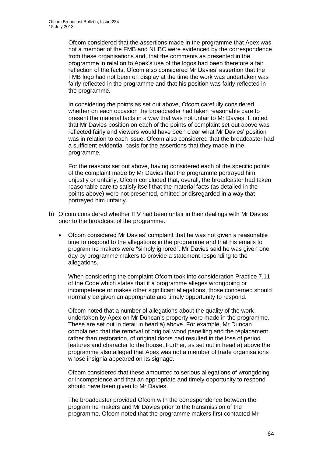Ofcom considered that the assertions made in the programme that Apex was not a member of the FMB and NHBC were evidenced by the correspondence from these organisations and, that the comments as presented in the programme in relation to Apex's use of the logos had been therefore a fair reflection of the facts. Ofcom also considered Mr Davies' assertion that the FMB logo had not been on display at the time the work was undertaken was fairly reflected in the programme and that his position was fairly reflected in the programme.

In considering the points as set out above, Ofcom carefully considered whether on each occasion the broadcaster had taken reasonable care to present the material facts in a way that was not unfair to Mr Davies. It noted that Mr Davies position on each of the points of complaint set out above was reflected fairly and viewers would have been clear what Mr Davies' position was in relation to each issue. Ofcom also considered that the broadcaster had a sufficient evidential basis for the assertions that they made in the programme.

For the reasons set out above, having considered each of the specific points of the complaint made by Mr Davies that the programme portrayed him unjustly or unfairly, Ofcom concluded that, overall, the broadcaster had taken reasonable care to satisfy itself that the material facts (as detailed in the points above) were not presented, omitted or disregarded in a way that portrayed him unfairly.

- b) Ofcom considered whether ITV had been unfair in their dealings with Mr Davies prior to the broadcast of the programme.
	- Ofcom considered Mr Davies' complaint that he was not given a reasonable time to respond to the allegations in the programme and that his emails to programme makers were "simply ignored". Mr Davies said he was given one day by programme makers to provide a statement responding to the allegations.

When considering the complaint Ofcom took into consideration Practice 7.11 of the Code which states that if a programme alleges wrongdoing or incompetence or makes other significant allegations, those concerned should normally be given an appropriate and timely opportunity to respond.

Ofcom noted that a number of allegations about the quality of the work undertaken by Apex on Mr Duncan's property were made in the programme. These are set out in detail in head a) above. For example, Mr Duncan complained that the removal of original wood panelling and the replacement, rather than restoration, of original doors had resulted in the loss of period features and character to the house. Further, as set out in head a) above the programme also alleged that Apex was not a member of trade organisations whose insignia appeared on its signage.

Ofcom considered that these amounted to serious allegations of wrongdoing or incompetence and that an appropriate and timely opportunity to respond should have been given to Mr Davies.

The broadcaster provided Ofcom with the correspondence between the programme makers and Mr Davies prior to the transmission of the programme. Ofcom noted that the programme makers first contacted Mr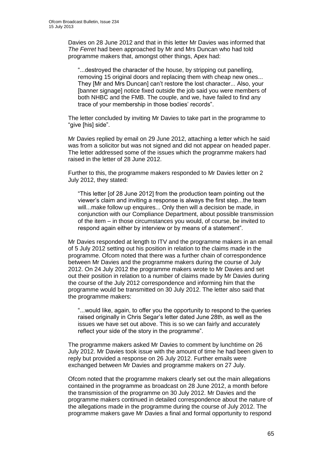Davies on 28 June 2012 and that in this letter Mr Davies was informed that *The Ferret* had been approached by Mr and Mrs Duncan who had told programme makers that, amongst other things, Apex had:

"...destroyed the character of the house, by stripping out panelling, removing 15 original doors and replacing them with cheap new ones... They [Mr and Mrs Duncan] can't restore the lost character... Also, your [banner signage] notice fixed outside the job said you were members of both NHBC and the FMB. The couple, and we, have failed to find any trace of your membership in those bodies' records".

The letter concluded by inviting Mr Davies to take part in the programme to "give [his] side".

Mr Davies replied by email on 29 June 2012, attaching a letter which he said was from a solicitor but was not signed and did not appear on headed paper. The letter addressed some of the issues which the programme makers had raised in the letter of 28 June 2012.

Further to this, the programme makers responded to Mr Davies letter on 2 July 2012, they stated:

"This letter [of 28 June 2012] from the production team pointing out the viewer's claim and inviting a response is always the first step...the team will...make follow up enquires... Only then will a decision be made, in conjunction with our Compliance Department, about possible transmission of the item – in those circumstances you would, of course, be invited to respond again either by interview or by means of a statement".

Mr Davies responded at length to ITV and the programme makers in an email of 5 July 2012 setting out his position in relation to the claims made in the programme. Ofcom noted that there was a further chain of correspondence between Mr Davies and the programme makers during the course of July 2012. On 24 July 2012 the programme makers wrote to Mr Davies and set out their position in relation to a number of claims made by Mr Davies during the course of the July 2012 correspondence and informing him that the programme would be transmitted on 30 July 2012. The letter also said that the programme makers:

"...would like, again, to offer you the opportunity to respond to the queries raised originally in Chris Segar's letter dated June 28th, as well as the issues we have set out above. This is so we can fairly and accurately reflect your side of the story in the programme".

The programme makers asked Mr Davies to comment by lunchtime on 26 July 2012. Mr Davies took issue with the amount of time he had been given to reply but provided a response on 26 July 2012. Further emails were exchanged between Mr Davies and programme makers on 27 July.

Ofcom noted that the programme makers clearly set out the main allegations contained in the programme as broadcast on 28 June 2012, a month before the transmission of the programme on 30 July 2012. Mr Davies and the programme makers continued in detailed correspondence about the nature of the allegations made in the programme during the course of July 2012. The programme makers gave Mr Davies a final and formal opportunity to respond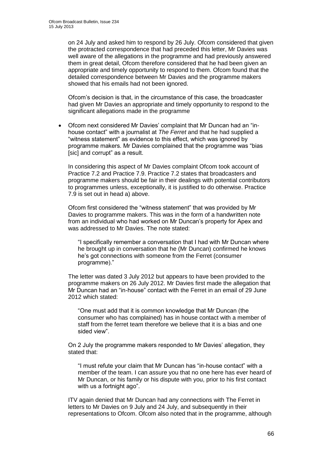on 24 July and asked him to respond by 26 July. Ofcom considered that given the protracted correspondence that had preceded this letter, Mr Davies was well aware of the allegations in the programme and had previously answered them in great detail, Ofcom therefore considered that he had been given an appropriate and timely opportunity to respond to them. Ofcom found that the detailed correspondence between Mr Davies and the programme makers showed that his emails had not been ignored.

Ofcom's decision is that, in the circumstance of this case, the broadcaster had given Mr Davies an appropriate and timely opportunity to respond to the significant allegations made in the programme

 Ofcom next considered Mr Davies' complaint that Mr Duncan had an "inhouse contact" with a journalist at *The Ferret* and that he had supplied a "witness statement" as evidence to this effect, which was ignored by programme makers. Mr Davies complained that the programme was "bias [sic] and corrupt" as a result.

In considering this aspect of Mr Davies complaint Ofcom took account of Practice 7.2 and Practice 7.9. Practice 7.2 states that broadcasters and programme makers should be fair in their dealings with potential contributors to programmes unless, exceptionally, it is justified to do otherwise. Practice 7.9 is set out in head a) above.

Ofcom first considered the "witness statement" that was provided by Mr Davies to programme makers. This was in the form of a handwritten note from an individual who had worked on Mr Duncan's property for Apex and was addressed to Mr Davies. The note stated:

"I specifically remember a conversation that I had with Mr Duncan where he brought up in conversation that he (Mr Duncan) confirmed he knows he's got connections with someone from the Ferret (consumer programme)."

The letter was dated 3 July 2012 but appears to have been provided to the programme makers on 26 July 2012. Mr Davies first made the allegation that Mr Duncan had an "in-house" contact with the Ferret in an email of 29 June 2012 which stated:

"One must add that it is common knowledge that Mr Duncan (the consumer who has complained) has in house contact with a member of staff from the ferret team therefore we believe that it is a bias and one sided view".

On 2 July the programme makers responded to Mr Davies' allegation, they stated that:

"I must refute your claim that Mr Duncan has "in-house contact" with a member of the team. I can assure you that no one here has ever heard of Mr Duncan, or his family or his dispute with you, prior to his first contact with us a fortnight ago".

ITV again denied that Mr Duncan had any connections with The Ferret in letters to Mr Davies on 9 July and 24 July, and subsequently in their representations to Ofcom. Ofcom also noted that in the programme, although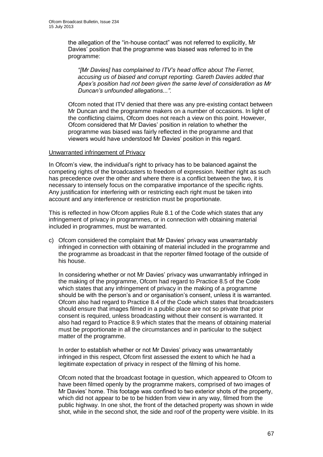the allegation of the "in-house contact" was not referred to explicitly, Mr Davies' position that the programme was biased was referred to in the programme:

*"[Mr Davies] has complained to ITV's head office about The Ferret, accusing us of biased and corrupt reporting. Gareth Davies added that Apex's position had not been given the same level of consideration as Mr Duncan's unfounded allegations...".* 

Ofcom noted that ITV denied that there was any pre-existing contact between Mr Duncan and the programme makers on a number of occasions. In light of the conflicting claims, Ofcom does not reach a view on this point. However, Ofcom considered that Mr Davies' position in relation to whether the programme was biased was fairly reflected in the programme and that viewers would have understood Mr Davies' position in this regard.

#### Unwarranted infringement of Privacy

In Ofcom's view, the individual's right to privacy has to be balanced against the competing rights of the broadcasters to freedom of expression. Neither right as such has precedence over the other and where there is a conflict between the two, it is necessary to intensely focus on the comparative importance of the specific rights. Any justification for interfering with or restricting each right must be taken into account and any interference or restriction must be proportionate.

This is reflected in how Ofcom applies Rule 8.1 of the Code which states that any infringement of privacy in programmes, or in connection with obtaining material included in programmes, must be warranted.

c) Ofcom considered the complaint that Mr Davies' privacy was unwarrantably infringed in connection with obtaining of material included in the programme and the programme as broadcast in that the reporter filmed footage of the outside of his house.

In considering whether or not Mr Davies' privacy was unwarrantably infringed in the making of the programme, Ofcom had regard to Practice 8.5 of the Code which states that any infringement of privacy in the making of a programme should be with the person's and or organisation's consent, unless it is warranted. Ofcom also had regard to Practice 8.4 of the Code which states that broadcasters should ensure that images filmed in a public place are not so private that prior consent is required, unless broadcasting without their consent is warranted. It also had regard to Practice 8.9 which states that the means of obtaining material must be proportionate in all the circumstances and in particular to the subject matter of the programme.

In order to establish whether or not Mr Davies' privacy was unwarrantably infringed in this respect, Ofcom first assessed the extent to which he had a legitimate expectation of privacy in respect of the filming of his home.

Ofcom noted that the broadcast footage in question, which appeared to Ofcom to have been filmed openly by the programme makers, comprised of two images of Mr Davies' home. This footage was confined to two exterior shots of the property, which did not appear to be to be hidden from view in any way, filmed from the public highway. In one shot, the front of the detached property was shown in wide shot, while in the second shot, the side and roof of the property were visible. In its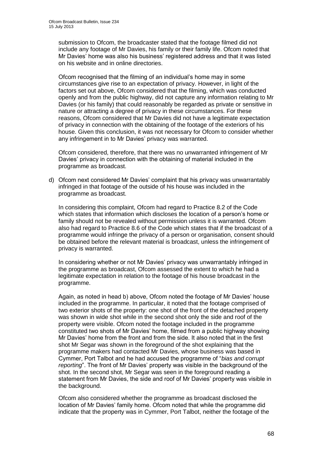submission to Ofcom, the broadcaster stated that the footage filmed did not include any footage of Mr Davies, his family or their family life. Ofcom noted that Mr Davies' home was also his business' registered address and that it was listed on his website and in online directories.

Ofcom recognised that the filming of an individual's home may in some circumstances give rise to an expectation of privacy. However, in light of the factors set out above, Ofcom considered that the filming, which was conducted openly and from the public highway, did not capture any information relating to Mr Davies (or his family) that could reasonably be regarded as private or sensitive in nature or attracting a degree of privacy in these circumstances. For these reasons, Ofcom considered that Mr Davies did not have a legitimate expectation of privacy in connection with the obtaining of the footage of the exteriors of his house. Given this conclusion, it was not necessary for Ofcom to consider whether any infringement in to Mr Davies' privacy was warranted.

Ofcom considered, therefore, that there was no unwarranted infringement of Mr Davies' privacy in connection with the obtaining of material included in the programme as broadcast.

d) Ofcom next considered Mr Davies' complaint that his privacy was unwarrantably infringed in that footage of the outside of his house was included in the programme as broadcast.

In considering this complaint, Ofcom had regard to Practice 8.2 of the Code which states that information which discloses the location of a person's home or family should not be revealed without permission unless it is warranted. Ofcom also had regard to Practice 8.6 of the Code which states that if the broadcast of a programme would infringe the privacy of a person or organisation, consent should be obtained before the relevant material is broadcast, unless the infringement of privacy is warranted.

In considering whether or not Mr Davies' privacy was unwarrantably infringed in the programme as broadcast, Ofcom assessed the extent to which he had a legitimate expectation in relation to the footage of his house broadcast in the programme.

Again, as noted in head b) above, Ofcom noted the footage of Mr Davies' house included in the programme. In particular, it noted that the footage comprised of two exterior shots of the property: one shot of the front of the detached property was shown in wide shot while in the second shot only the side and roof of the property were visible. Ofcom noted the footage included in the programme constituted two shots of Mr Davies' home, filmed from a public highway showing Mr Davies' home from the front and from the side. It also noted that in the first shot Mr Segar was shown in the foreground of the shot explaining that the programme makers had contacted Mr Davies, whose business was based in Cymmer, Port Talbot and he had accused the programme of "*bias and corrupt reporting*". The front of Mr Davies' property was visible in the background of the shot. In the second shot, Mr Segar was seen in the foreground reading a statement from Mr Davies, the side and roof of Mr Davies' property was visible in the background.

Ofcom also considered whether the programme as broadcast disclosed the location of Mr Davies' family home. Ofcom noted that while the programme did indicate that the property was in Cymmer, Port Talbot, neither the footage of the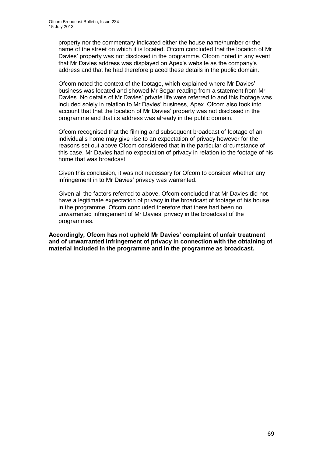property nor the commentary indicated either the house name/number or the name of the street on which it is located. Ofcom concluded that the location of Mr Davies' property was not disclosed in the programme. Ofcom noted in any event that Mr Davies address was displayed on Apex's website as the company's address and that he had therefore placed these details in the public domain.

Ofcom noted the context of the footage, which explained where Mr Davies' business was located and showed Mr Segar reading from a statement from Mr Davies. No details of Mr Davies' private life were referred to and this footage was included solely in relation to Mr Davies' business, Apex. Ofcom also took into account that that the location of Mr Davies' property was not disclosed in the programme and that its address was already in the public domain.

Ofcom recognised that the filming and subsequent broadcast of footage of an individual's home may give rise to an expectation of privacy however for the reasons set out above Ofcom considered that in the particular circumstance of this case, Mr Davies had no expectation of privacy in relation to the footage of his home that was broadcast.

Given this conclusion, it was not necessary for Ofcom to consider whether any infringement in to Mr Davies' privacy was warranted.

Given all the factors referred to above, Ofcom concluded that Mr Davies did not have a legitimate expectation of privacy in the broadcast of footage of his house in the programme. Ofcom concluded therefore that there had been no unwarranted infringement of Mr Davies' privacy in the broadcast of the programmes.

**Accordingly, Ofcom has not upheld Mr Davies' complaint of unfair treatment and of unwarranted infringement of privacy in connection with the obtaining of material included in the programme and in the programme as broadcast.**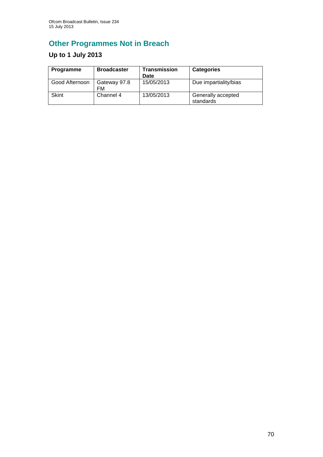# **Other Programmes Not in Breach**

## **Up to 1 July 2013**

| <b>Programme</b> | <b>Broadcaster</b> | <b>Transmission</b><br>Date | <b>Categories</b>               |
|------------------|--------------------|-----------------------------|---------------------------------|
| Good Afternoon   | Gateway 97.8<br>FM | 15/05/2013                  | Due impartiality/bias           |
| <b>Skint</b>     | Channel 4          | 13/05/2013                  | Generally accepted<br>standards |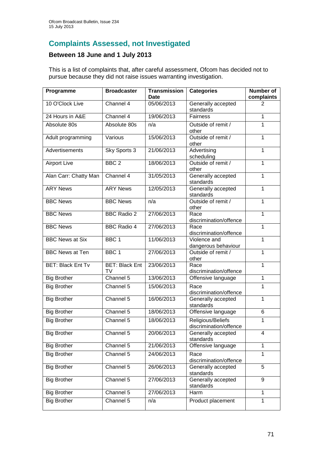## **Complaints Assessed, not Investigated**

### **Between 18 June and 1 July 2013**

This is a list of complaints that, after careful assessment, Ofcom has decided not to pursue because they did not raise issues warranting investigation.

| Programme                | <b>Broadcaster</b>          | <b>Transmission</b><br><b>Date</b> | <b>Categories</b>                           | <b>Number of</b><br>complaints |
|--------------------------|-----------------------------|------------------------------------|---------------------------------------------|--------------------------------|
| 10 O'Clock Live          | Channel 4                   | 05/06/2013                         | Generally accepted<br>standards             | 2                              |
| 24 Hours in A&E          | Channel 4                   | 19/06/2013                         | Fairness                                    | 1                              |
| Absolute 80s             | Absolute 80s                | n/a                                | Outside of remit /                          | 1                              |
| Adult programming        | Various                     | 15/06/2013                         | other<br>Outside of remit /                 | 1                              |
|                          |                             |                                    | other                                       |                                |
| Advertisements           | Sky Sports 3                | 21/06/2013                         | Advertising<br>scheduling                   | 1                              |
| <b>Airport Live</b>      | BBC <sub>2</sub>            | 18/06/2013                         | Outside of remit /<br>other                 | $\mathbf{1}$                   |
| Alan Carr: Chatty Man    | Channel 4                   | 31/05/2013                         | Generally accepted<br>standards             | 1                              |
| <b>ARY News</b>          | <b>ARY News</b>             | 12/05/2013                         | Generally accepted<br>standards             | $\mathbf{1}$                   |
| <b>BBC News</b>          | <b>BBC News</b>             | n/a                                | Outside of remit /<br>other                 | $\mathbf{1}$                   |
| <b>BBC News</b>          | <b>BBC Radio 2</b>          | 27/06/2013                         | Race<br>discrimination/offence              | 1                              |
| <b>BBC News</b>          | <b>BBC Radio 4</b>          | 27/06/2013                         | Race<br>discrimination/offence              | $\mathbf{1}$                   |
| <b>BBC News at Six</b>   | BBC <sub>1</sub>            | 11/06/2013                         | Violence and<br>dangerous behaviour         | 1                              |
| <b>BBC News at Ten</b>   | BBC <sub>1</sub>            | 27/06/2013                         | Outside of remit /<br>other                 | $\mathbf{1}$                   |
| <b>BET: Black Ent Tv</b> | <b>BET: Black Ent</b><br>TV | 23/06/2013                         | Race<br>discrimination/offence              | $\overline{1}$                 |
| <b>Big Brother</b>       | Channel 5                   | 13/06/2013                         | Offensive language                          | $\mathbf{1}$                   |
| <b>Big Brother</b>       | Channel 5                   | 15/06/2013                         | Race<br>discrimination/offence              | $\mathbf{1}$                   |
| <b>Big Brother</b>       | Channel 5                   | 16/06/2013                         | Generally accepted<br>standards             | $\mathbf{1}$                   |
| <b>Big Brother</b>       | Channel 5                   | 18/06/2013                         | Offensive language                          | 6                              |
| <b>Big Brother</b>       | Channel 5                   | 18/06/2013                         | Religious/Beliefs<br>discrimination/offence | 1                              |
| <b>Big Brother</b>       | Channel 5                   | 20/06/2013                         | Generally accepted<br>standards             | 4                              |
| <b>Big Brother</b>       | Channel 5                   | 21/06/2013                         | Offensive language                          | $\mathbf{1}$                   |
| <b>Big Brother</b>       | Channel 5                   | 24/06/2013                         | Race<br>discrimination/offence              | 1                              |
| <b>Big Brother</b>       | Channel 5                   | 26/06/2013                         | Generally accepted<br>standards             | 5                              |
| <b>Big Brother</b>       | Channel 5                   | 27/06/2013                         | Generally accepted<br>standards             | 9                              |
| <b>Big Brother</b>       | Channel 5                   | 27/06/2013                         | Harm                                        | $\mathbf{1}$                   |
| <b>Big Brother</b>       | Channel 5                   | n/a                                | Product placement                           | 1                              |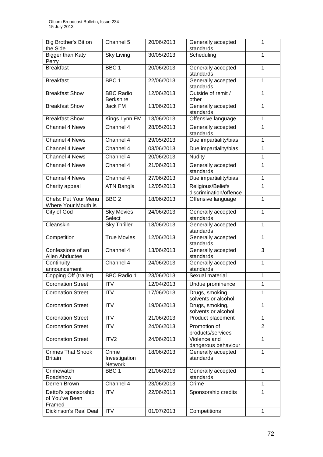| Big Brother's Bit on<br>the Side                 | Channel 5                            | 20/06/2013 | Generally accepted<br>standards             | 1              |
|--------------------------------------------------|--------------------------------------|------------|---------------------------------------------|----------------|
| <b>Bigger than Katy</b><br>Perry                 | <b>Sky Living</b>                    | 30/05/2013 | Scheduling                                  | 1              |
| <b>Breakfast</b>                                 | BBC <sub>1</sub>                     | 20/06/2013 | Generally accepted<br>standards             | 1              |
| <b>Breakfast</b>                                 | BBC <sub>1</sub>                     | 22/06/2013 | Generally accepted<br>standards             | 1              |
| <b>Breakfast Show</b>                            | <b>BBC Radio</b><br><b>Berkshire</b> | 12/06/2013 | Outside of remit /<br>other                 | 1              |
| <b>Breakfast Show</b>                            | Jack FM                              | 13/06/2013 | Generally accepted<br>standards             | 1              |
| <b>Breakfast Show</b>                            | Kings Lynn FM                        | 13/06/2013 | Offensive language                          | 1              |
| Channel 4 News                                   | Channel 4                            | 28/05/2013 | Generally accepted<br>standards             | 1              |
| Channel 4 News                                   | Channel $4$                          | 29/05/2013 | Due impartiality/bias                       | 1              |
| <b>Channel 4 News</b>                            | Channel 4                            | 03/06/2013 | Due impartiality/bias                       | 1              |
| <b>Channel 4 News</b>                            | Channel 4                            | 20/06/2013 | <b>Nudity</b>                               | 1              |
| <b>Channel 4 News</b>                            | Channel 4                            | 21/06/2013 | Generally accepted<br>standards             | 1              |
| <b>Channel 4 News</b>                            | Channel 4                            | 27/06/2013 | Due impartiality/bias                       | 1              |
| Charity appeal                                   | <b>ATN Bangla</b>                    | 12/05/2013 | Religious/Beliefs<br>discrimination/offence | 1              |
| Chefs: Put Your Menu<br>Where Your Mouth is      | BBC <sub>2</sub>                     | 18/06/2013 | Offensive language                          | 1              |
| City of God                                      | <b>Sky Movies</b><br>Select          | 24/06/2013 | Generally accepted<br>standards             | 1              |
| Cleanskin                                        | <b>Sky Thriller</b>                  | 18/06/2013 | Generally accepted<br>standards             | 1              |
| Competition                                      | <b>True Movies</b>                   | 12/06/2013 | Generally accepted<br>standards             | 1              |
| Confessions of an<br>Alien Abductee              | Channel 4                            | 13/06/2013 | Generally accepted<br>standards             | 3              |
| Continuity<br>announcement                       | Channel 4                            | 24/06/2013 | Generally accepted<br>standards             | 1              |
| Copping Off (trailer)                            | <b>BBC Radio 1</b>                   | 23/06/2013 | Sexual material                             | 1              |
| <b>Coronation Street</b>                         | <b>ITV</b>                           | 12/04/2013 | Undue prominence                            | 1              |
| <b>Coronation Street</b>                         | <b>ITV</b>                           | 17/06/2013 | Drugs, smoking,<br>solvents or alcohol      | 1              |
| <b>Coronation Street</b>                         | <b>ITV</b>                           | 19/06/2013 | Drugs, smoking,<br>solvents or alcohol      | 1              |
| <b>Coronation Street</b>                         | <b>ITV</b>                           | 21/06/2013 | Product placement                           | 1              |
| <b>Coronation Street</b>                         | <b>ITV</b>                           | 24/06/2013 | Promotion of<br>products/services           | $\overline{2}$ |
| <b>Coronation Street</b>                         | ITV <sub>2</sub>                     | 24/06/2013 | Violence and<br>dangerous behaviour         | 1              |
| <b>Crimes That Shook</b><br><b>Britain</b>       | Crime<br>Investigation<br>Network    | 18/06/2013 | Generally accepted<br>standards             | 1              |
| Crimewatch<br>Roadshow                           | BBC <sub>1</sub>                     | 21/06/2013 | Generally accepted<br>standards             | 1              |
| Derren Brown                                     | Channel 4                            | 23/06/2013 | Crime                                       | 1              |
| Dettol's sponsorship<br>of You've Been<br>Framed | <b>ITV</b>                           | 22/06/2013 | Sponsorship credits                         | 1              |
| Dickinson's Real Deal                            | <b>ITV</b>                           | 01/07/2013 | Competitions                                | $\mathbf{1}$   |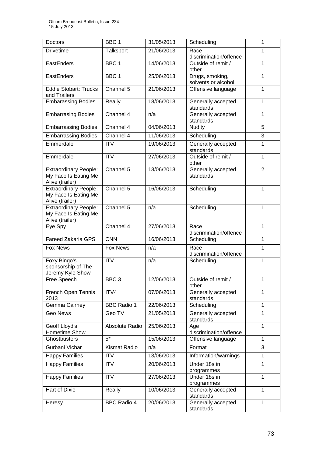| Doctors                                                                 | BBC <sub>1</sub>    | 31/05/2013 | Scheduling                             | 1              |
|-------------------------------------------------------------------------|---------------------|------------|----------------------------------------|----------------|
| <b>Drivetime</b>                                                        | Talksport           | 21/06/2013 | Race<br>discrimination/offence         | 1              |
| EastEnders                                                              | BBC <sub>1</sub>    | 14/06/2013 | Outside of remit /<br>other            | 1              |
| EastEnders                                                              | BBC 1               | 25/06/2013 | Drugs, smoking,<br>solvents or alcohol | 1              |
| <b>Eddie Stobart: Trucks</b><br>and Trailers                            | Channel 5           | 21/06/2013 | Offensive language                     | 1              |
| <b>Embarassing Bodies</b>                                               | Really              | 18/06/2013 | Generally accepted<br>standards        | 1              |
| <b>Embarrasing Bodies</b>                                               | Channel 4           | n/a        | Generally accepted<br>standards        | 1              |
| <b>Embarrassing Bodies</b>                                              | Channel 4           | 04/06/2013 | <b>Nudity</b>                          | 5              |
| <b>Embarrassing Bodies</b>                                              | Channel 4           | 11/06/2013 | Scheduling                             | 3              |
| Emmerdale                                                               | <b>ITV</b>          | 19/06/2013 | Generally accepted<br>standards        | 1              |
| Emmerdale                                                               | <b>ITV</b>          | 27/06/2013 | Outside of remit /<br>other            | 1              |
| <b>Extraordinary People:</b><br>My Face Is Eating Me<br>Alive (trailer) | Channel 5           | 13/06/2013 | Generally accepted<br>standards        | $\overline{2}$ |
| <b>Extraordinary People:</b><br>My Face Is Eating Me<br>Alive (trailer) | Channel 5           | 16/06/2013 | Scheduling                             | 1              |
| <b>Extraordinary People:</b><br>My Face Is Eating Me<br>Alive (trailer) | Channel 5           | n/a        | Scheduling                             | 1              |
| Eye Spy                                                                 | Channel 4           | 27/06/2013 | Race<br>discrimination/offence         | 1              |
| <b>Fareed Zakaria GPS</b>                                               | <b>CNN</b>          | 16/06/2013 | 1<br>Scheduling                        |                |
| <b>Fox News</b>                                                         | <b>Fox News</b>     | n/a        | Race<br>discrimination/offence         | 1              |
| Foxy Bingo's<br>sponsorship of The<br>Jeremy Kyle Show                  | <b>ITV</b>          | n/a        | Scheduling                             | 1              |
| Free Speech                                                             | BBC <sub>3</sub>    | 12/06/2013 | Outside of remit /<br>1<br>other       |                |
| French Open Tennis<br>2013                                              | ITV4                | 07/06/2013 | 1<br>Generally accepted<br>standards   |                |
| Gemma Cairney                                                           | <b>BBC Radio 1</b>  | 22/06/2013 | Scheduling<br>1                        |                |
| <b>Geo News</b>                                                         | Geo TV              | 21/05/2013 | Generally accepted<br>standards        | 1              |
| Geoff Lloyd's<br>Hometime Show                                          | Absolute Radio      | 25/06/2013 | 1<br>Age<br>discrimination/offence     |                |
| Ghostbusters                                                            | $5*$                | 15/06/2013 | Offensive language                     | 1              |
| Gurbani Vichar                                                          | <b>Kismat Radio</b> | n/a        | 3<br>Format                            |                |
| <b>Happy Families</b>                                                   | <b>ITV</b>          | 13/06/2013 | 1<br>Information/warnings              |                |
| Happy Families                                                          | <b>ITV</b>          | 20/06/2013 | Under 18s in<br>1<br>programmes        |                |
| <b>Happy Families</b>                                                   | <b>ITV</b>          | 27/06/2013 | Under 18s in<br>1<br>programmes        |                |
| Hart of Dixie                                                           | Really              | 10/06/2013 | Generally accepted<br>standards        | 1              |
| Heresy                                                                  | BBC Radio 4         | 20/06/2013 | Generally accepted<br>standards        | 1              |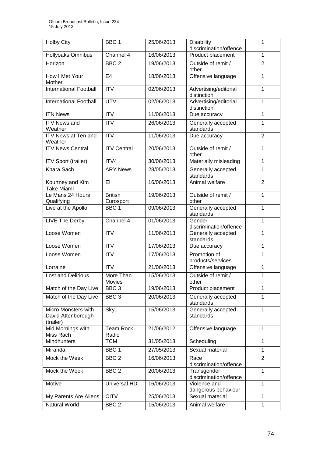| <b>Holby City</b>                                      | BBC <sub>1</sub>            | 25/06/2013 | <b>Disability</b><br>discrimination/offence      | 1              |
|--------------------------------------------------------|-----------------------------|------------|--------------------------------------------------|----------------|
| Hollyoaks Omnibus                                      | Channel 4                   | 16/06/2013 | Product placement                                | $\mathbf{1}$   |
| Horizon                                                | BBC <sub>2</sub>            | 19/06/2013 | Outside of remit /<br>other                      | $\overline{2}$ |
| How I Met Your<br>Mother                               | E <sub>4</sub>              | 18/06/2013 | Offensive language                               | $\mathbf{1}$   |
| <b>International Football</b>                          | $\overline{IV}$             | 02/06/2013 | Advertising/editorial<br>distinction             | $\mathbf{1}$   |
| <b>International Football</b>                          | <b>UTV</b>                  | 02/06/2013 | Advertising/editorial<br>distinction             | 1              |
| <b>ITN News</b>                                        | $\overline{IV}$             | 11/06/2013 | Due accuracy                                     | 1              |
| <b>ITV News and</b><br>Weather                         | <b>ITV</b>                  | 26/06/2013 | Generally accepted<br>standards                  | $\mathbf{1}$   |
| ITV News at Ten and<br>Weather                         | <b>ITV</b>                  | 11/06/2013 | Due accuracy                                     | $\overline{2}$ |
| <b>ITV News Central</b>                                | <b>ITV Central</b>          | 20/06/2013 | Outside of remit /<br>other                      | $\mathbf{1}$   |
| <b>ITV Sport (trailer)</b>                             | ITV4                        | 30/06/2013 | Materially misleading                            | $\mathbf{1}$   |
| <b>Khara Sach</b>                                      | <b>ARY News</b>             | 28/05/2013 | Generally accepted<br>standards                  | $\overline{1}$ |
| Kourtney and Kim<br>Take Miami                         | E!                          | 16/06/2013 | Animal welfare                                   | $\overline{2}$ |
| Le Mans 24 Hours<br>Qualifying                         | <b>British</b><br>Eurosport | 19/06/2013 | Outside of remit /<br>other                      | $\overline{1}$ |
| Live at the Apollo                                     | BBC <sub>1</sub>            | 09/06/2013 | Generally accepted<br>standards                  | $\mathbf{1}$   |
| LIVE The Derby                                         | Channel 4                   | 01/06/2013 | Gender<br>discrimination/offence                 | $\mathbf{1}$   |
| Loose Women                                            | <b>ITV</b>                  | 11/06/2013 | $\mathbf{1}$<br>Generally accepted<br>standards  |                |
| Loose Women                                            | <b>ITV</b>                  | 17/06/2013 | $\mathbf{1}$<br>Due accuracy                     |                |
| Loose Women                                            | <b>ITV</b>                  | 17/06/2013 | Promotion of<br>1<br>products/services           |                |
| Lorraine                                               | <b>ITV</b>                  | 21/06/2013 | $\mathbf{1}$<br>Offensive language               |                |
| <b>Lost and Delirious</b>                              | More Than<br>Movies         | 15/06/2013 | Outside of remit /<br>other                      | $\overline{1}$ |
| Match of the Day Live                                  | BBC <sub>3</sub>            | 19/06/2013 | Product placement                                | 1              |
| Match of the Day Live                                  | BBC <sub>3</sub>            | 20/06/2013 | Generally accepted<br>standards                  | $\mathbf{1}$   |
| Micro Monsters with<br>David Attenborough<br>(trailer) | Sky1                        | 15/06/2013 | Generally accepted<br>standards                  | $\mathbf{1}$   |
| Mid Mornings with<br>Miss Rach                         | <b>Team Rock</b><br>Radio   | 21/06/2012 | Offensive language                               | 1              |
| Mindhunters                                            | <b>TCM</b>                  | 31/05/2013 | Scheduling                                       | $\mathbf{1}$   |
| Miranda                                                | BBC <sub>1</sub>            | 27/05/2013 | Sexual material<br>1                             |                |
| Mock the Week                                          | BBC <sub>2</sub>            | 16/06/2013 | $\overline{2}$<br>Race<br>discrimination/offence |                |
| Mock the Week                                          | BBC <sub>2</sub>            | 20/06/2013 | Transgender<br>discrimination/offence            | 1              |
| Motive                                                 | Universal HD                | 16/06/2013 | Violence and<br>1<br>dangerous behaviour         |                |
| My Parents Are Aliens                                  | <b>CITV</b>                 | 25/06/2013 | Sexual material                                  | $\mathbf{1}$   |
| Natural World                                          | BBC <sub>2</sub>            | 15/06/2013 | Animal welfare<br>1                              |                |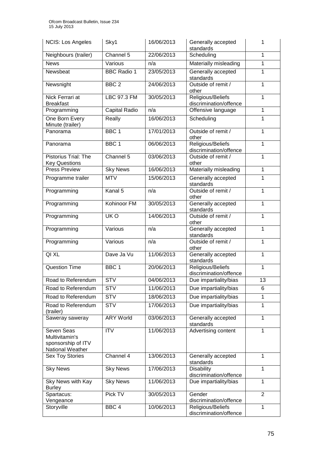| <b>NCIS: Los Angeles</b>                                                      | Sky1                 | 16/06/2013 | Generally accepted<br>standards                  | 1              |
|-------------------------------------------------------------------------------|----------------------|------------|--------------------------------------------------|----------------|
| Neighbours (trailer)                                                          | Channel 5            | 22/06/2013 | Scheduling                                       | 1              |
| <b>News</b>                                                                   | Various              | n/a        | Materially misleading                            | 1              |
| Newsbeat                                                                      | <b>BBC Radio 1</b>   | 23/05/2013 | Generally accepted<br>standards                  | 1              |
| Newsnight                                                                     | BBC <sub>2</sub>     | 24/06/2013 | Outside of remit /<br>other                      | 1              |
| Nick Ferrari at<br><b>Breakfast</b>                                           | <b>LBC 97.3 FM</b>   | 30/05/2013 | Religious/Beliefs<br>discrimination/offence      | 1              |
| Programming                                                                   | <b>Capital Radio</b> | n/a        | Offensive language                               | 1              |
| One Born Every<br>Minute (trailer)                                            | Really               | 16/06/2013 | Scheduling                                       | 1              |
| Panorama                                                                      | BBC <sub>1</sub>     | 17/01/2013 | Outside of remit /<br>other                      | 1              |
| Panorama                                                                      | BBC <sub>1</sub>     | 06/06/2013 | Religious/Beliefs<br>discrimination/offence      | 1              |
| <b>Pistorius Trial: The</b><br><b>Key Questions</b>                           | Channel 5            | 03/06/2013 | Outside of remit /<br>other                      | 1              |
| <b>Press Preview</b>                                                          | <b>Sky News</b>      | 16/06/2013 | Materially misleading                            | $\mathbf{1}$   |
| Programme trailer                                                             | <b>MTV</b>           | 15/06/2013 | Generally accepted<br>standards                  | 1              |
| Programming                                                                   | Kanal 5              | n/a        | Outside of remit /<br>1<br>other                 |                |
| Programming                                                                   | Kohinoor FM          | 30/05/2013 | Generally accepted<br>standards                  | 1              |
| Programming                                                                   | UK <sub>O</sub>      | 14/06/2013 | Outside of remit /<br>other                      | $\overline{1}$ |
| Programming                                                                   | Various              | n/a        | Generally accepted<br>1<br>standards             |                |
| Programming                                                                   | Various              | n/a        | Outside of remit /<br>other                      | 1              |
| QI XL                                                                         | Dave Ja Vu           | 11/06/2013 | Generally accepted<br>1<br>standards             |                |
| <b>Question Time</b>                                                          | BBC <sub>1</sub>     | 20/06/2013 | Religious/Beliefs<br>1<br>discrimination/offence |                |
| Road to Referendum                                                            | <b>STV</b>           | 04/06/2013 | Due impartiality/bias<br>13                      |                |
| Road to Referendum                                                            | <b>STV</b>           | 11/06/2013 | Due impartiality/bias                            | 6              |
| Road to Referendum                                                            | <b>STV</b>           | 18/06/2013 | Due impartiality/bias<br>1                       |                |
| Road to Referendum<br>(trailer)                                               | <b>STV</b>           | 17/06/2013 | Due impartiality/bias                            | 1              |
| Saweray saweray                                                               | <b>ARY World</b>     | 03/06/2013 | Generally accepted<br>1<br>standards             |                |
| <b>Seven Seas</b><br>Multivitamin's<br>sponsorship of ITV<br>National Weather | <b>ITV</b>           | 11/06/2013 | Advertising content                              | 1              |
| <b>Sex Toy Stories</b>                                                        | Channel 4            | 13/06/2013 | Generally accepted<br>1<br>standards             |                |
| <b>Sky News</b>                                                               | Sky News             | 17/06/2013 | <b>Disability</b><br>1<br>discrimination/offence |                |
| Sky News with Kay<br><b>Burley</b>                                            | <b>Sky News</b>      | 11/06/2013 | Due impartiality/bias                            | 1              |
| Spartacus:                                                                    | Pick TV              | 30/05/2013 | Gender                                           | $\overline{2}$ |
| Vengeance                                                                     |                      |            | discrimination/offence                           |                |
| Storyville                                                                    | BBC <sub>4</sub>     | 10/06/2013 | Religious/Beliefs<br>discrimination/offence      | 1              |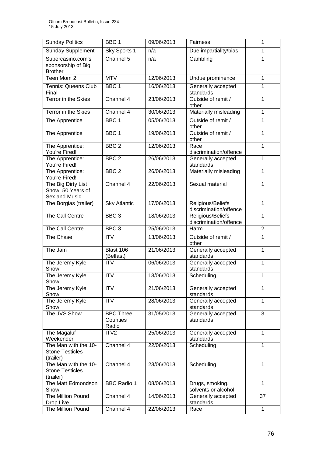| <b>Sunday Politics</b>                                      | BBC <sub>1</sub>                      | 09/06/2013 | <b>Fairness</b>                                        | 1            |
|-------------------------------------------------------------|---------------------------------------|------------|--------------------------------------------------------|--------------|
| <b>Sunday Supplement</b>                                    | Sky Sports 1                          | n/a        | Due impartiality/bias                                  | 1            |
| Supercasino.com's<br>sponsorship of Big<br><b>Brother</b>   | Channel 5                             | n/a        | Gambling                                               | 1            |
| Teen Mom 2                                                  | <b>MTV</b>                            | 12/06/2013 | Undue prominence                                       | $\mathbf{1}$ |
| Tennis: Queens Club<br>Final                                | BBC <sub>1</sub>                      | 16/06/2013 | Generally accepted<br>standards                        | 1            |
| Terror in the Skies                                         | Channel 4                             | 23/06/2013 | Outside of remit /<br>other                            | 1            |
| Terror in the Skies                                         | Channel 4                             | 30/06/2013 | Materially misleading                                  | $\mathbf{1}$ |
| The Apprentice                                              | BBC <sub>1</sub>                      | 05/06/2013 | Outside of remit /<br>other                            | $\mathbf{1}$ |
| The Apprentice                                              | BBC <sub>1</sub>                      | 19/06/2013 | Outside of remit /<br>other                            | $\mathbf{1}$ |
| The Apprentice:<br>You're Fired!                            | BBC <sub>2</sub>                      | 12/06/2013 | Race<br>discrimination/offence                         | 1            |
| The Apprentice:<br>You're Fired!                            | BBC <sub>2</sub>                      | 26/06/2013 | Generally accepted<br>standards                        | 1            |
| The Apprentice:<br>You're Fired!                            | BBC <sub>2</sub>                      | 26/06/2013 | Materially misleading                                  | 1            |
| The Big Dirty List<br>Show: 50 Years of<br>Sex and Music    | Channel 4                             | 22/06/2013 | Sexual material                                        | 1            |
| The Borgias (trailer)                                       | <b>Sky Atlantic</b>                   | 17/06/2013 | Religious/Beliefs<br>discrimination/offence            | $\mathbf{1}$ |
| The Call Centre                                             | BBC <sub>3</sub>                      | 18/06/2013 | Religious/Beliefs<br>discrimination/offence            | $\mathbf{1}$ |
| The Call Centre                                             | BBC <sub>3</sub>                      | 25/06/2013 | $\overline{2}$<br>Harm                                 |              |
| The Chase                                                   | <b>ITV</b>                            | 13/06/2013 | Outside of remit /<br>other                            | 1            |
| The Jam                                                     | Blast 106<br>(Belfast)                | 21/06/2013 | Generally accepted<br>1<br>standards                   |              |
| The Jeremy Kyle<br>Show                                     | <b>ITV</b>                            | 06/06/2013 | Generally accepted<br>standards                        | 1            |
| The Jeremy Kyle<br>Show                                     | <b>ITV</b>                            | 13/06/2013 | Scheduling                                             | 1            |
| The Jeremy Kyle<br>Show                                     | <b>ITV</b>                            | 21/06/2013 | Generally accepted<br>standards                        | 1            |
| The Jeremy Kyle<br>Show                                     | <b>ITV</b>                            | 28/06/2013 | Generally accepted<br>$\mathbf{1}$<br>standards        |              |
| The JVS Show                                                | <b>BBC Three</b><br>Counties<br>Radio | 31/05/2013 | Generally accepted<br>standards                        | 3            |
| The Magaluf<br>Weekender                                    | ITV <sub>2</sub>                      | 25/06/2013 | Generally accepted<br>standards                        | 1            |
| The Man with the 10-<br><b>Stone Testicles</b><br>(trailer) | Channel 4                             | 22/06/2013 | Scheduling                                             | 1            |
| The Man with the 10-<br><b>Stone Testicles</b><br>(trailer) | Channel 4                             | 23/06/2013 | Scheduling<br>1                                        |              |
| The Matt Edmondson<br>Show                                  | <b>BBC Radio 1</b>                    | 08/06/2013 | $\mathbf{1}$<br>Drugs, smoking,<br>solvents or alcohol |              |
| The Million Pound<br>Drop Live                              | Channel 4                             | 14/06/2013 | 37<br>Generally accepted<br>standards                  |              |
| The Million Pound                                           | Channel 4                             | 22/06/2013 | Race                                                   | $\mathbf{1}$ |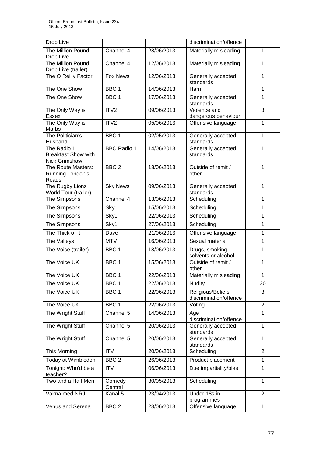| Drop Live                                                         |                    |            | discrimination/offence                           |   |
|-------------------------------------------------------------------|--------------------|------------|--------------------------------------------------|---|
| The Million Pound<br>Drop Live                                    | Channel 4          | 28/06/2013 | Materially misleading                            | 1 |
| The Million Pound<br>Drop Live (trailer)                          | Channel 4          | 12/06/2013 | Materially misleading                            | 1 |
| The O Reilly Factor                                               | <b>Fox News</b>    | 12/06/2013 | Generally accepted<br>standards                  | 1 |
| The One Show                                                      | BBC <sub>1</sub>   | 14/06/2013 | Harm                                             | 1 |
| The One Show                                                      | BBC <sub>1</sub>   | 17/06/2013 | Generally accepted<br>standards                  | 1 |
| The Only Way is<br>Essex                                          | ITV <sub>2</sub>   | 09/06/2013 | Violence and<br>3<br>dangerous behaviour         |   |
| The Only Way is<br>Marbs                                          | ITV <sub>2</sub>   | 05/06/2013 | Offensive language                               | 1 |
| The Politician's<br>Husband                                       | BBC <sub>1</sub>   | 02/05/2013 | Generally accepted<br>standards                  | 1 |
| The Radio 1<br><b>Breakfast Show with</b><br><b>Nick Grimshaw</b> | <b>BBC Radio 1</b> | 14/06/2013 | Generally accepted<br>standards                  | 1 |
| The Route Masters:<br>Running London's<br>Roads                   | BBC <sub>2</sub>   | 18/06/2013 | Outside of remit /<br>other                      | 1 |
| The Rugby Lions<br>World Tour (trailer)                           | <b>Sky News</b>    | 09/06/2013 | 1<br>Generally accepted<br>standards             |   |
| The Simpsons                                                      | Channel 4          | 13/06/2013 | Scheduling                                       | 1 |
| The Simpsons                                                      | Sky1               | 15/06/2013 | Scheduling                                       | 1 |
| The Simpsons                                                      | Sky1               | 22/06/2013 | Scheduling                                       | 1 |
| The Simpsons                                                      | Sky1               | 27/06/2013 | Scheduling                                       | 1 |
| The Thick of It                                                   | Dave               | 21/06/2013 | Offensive language                               | 1 |
| The Valleys                                                       | <b>MTV</b>         | 16/06/2013 | Sexual material                                  | 1 |
| The Voice (trailer)                                               | BBC <sub>1</sub>   | 18/06/2013 | Drugs, smoking,<br>solvents or alcohol           |   |
| The Voice UK                                                      | BBC <sub>1</sub>   | 15/06/2013 | Outside of remit /<br>1<br>other                 |   |
| The Voice UK                                                      | BBC <sub>1</sub>   | 22/06/2013 | Materially misleading<br>1                       |   |
| The Voice UK                                                      | BBC 1              | 22/06/2013 | <b>Nudity</b><br>30                              |   |
| The Voice UK                                                      | BBC <sub>1</sub>   | 22/06/2013 | Religious/Beliefs<br>3<br>discrimination/offence |   |
| The Voice UK                                                      | BBC <sub>1</sub>   | 22/06/2013 | $\overline{2}$<br>Voting                         |   |
| The Wright Stuff                                                  | Channel 5          | 14/06/2013 | Age<br>1<br>discrimination/offence               |   |
| The Wright Stuff                                                  | Channel 5          | 20/06/2013 | Generally accepted<br>1<br>standards             |   |
| The Wright Stuff                                                  | Channel 5          | 20/06/2013 | Generally accepted<br>1<br>standards             |   |
| This Morning                                                      | <b>ITV</b>         | 20/06/2013 | $\overline{2}$<br>Scheduling                     |   |
| Today at Wimbledon                                                | BBC <sub>2</sub>   | 26/06/2013 | 1<br>Product placement                           |   |
| Tonight: Who'd be a<br>teacher?                                   | <b>ITV</b>         | 06/06/2013 | Due impartiality/bias                            | 1 |
| Two and a Half Men                                                | Comedy<br>Central  | 30/05/2013 | Scheduling<br>1                                  |   |
| Vakna med NRJ                                                     | Kanal 5            | 23/04/2013 | Under 18s in<br>$\overline{2}$<br>programmes     |   |
| Venus and Serena                                                  | BBC <sub>2</sub>   | 23/06/2013 | Offensive language                               | 1 |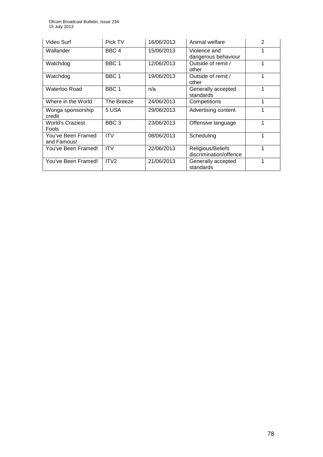| Video Surf                        | Pick TV          | 16/06/2013 | Animal welfare                              | 2 |
|-----------------------------------|------------------|------------|---------------------------------------------|---|
| Wallander                         | BBC <sub>4</sub> | 15/06/2013 | Violence and<br>dangerous behaviour         |   |
| Watchdog                          | BBC 1            | 12/06/2013 | Outside of remit /<br>other                 |   |
| Watchdog                          | BBC 1            | 19/06/2013 | Outside of remit /<br>other                 |   |
| Waterloo Road                     | BBC 1            | n/a        | Generally accepted<br>standards             |   |
| Where in the World                | The Breeze       | 24/06/2013 | Competitions                                | 1 |
| Wonga sponsorship<br>credit       | 5 USA            | 29/06/2013 | Advertising content                         |   |
| <b>World's Craziest</b><br>Fools  | BBC <sub>3</sub> | 23/06/2013 | Offensive language                          |   |
| You've Been Framed<br>and Famous! | <b>ITV</b>       | 08/06/2013 | Scheduling                                  | 1 |
| You've Been Framed!               | <b>ITV</b>       | 22/06/2013 | Religious/Beliefs<br>discrimination/offence | 1 |
| You've Been Framed!               | ITV <sub>2</sub> | 21/06/2013 | Generally accepted<br>standards             | 1 |